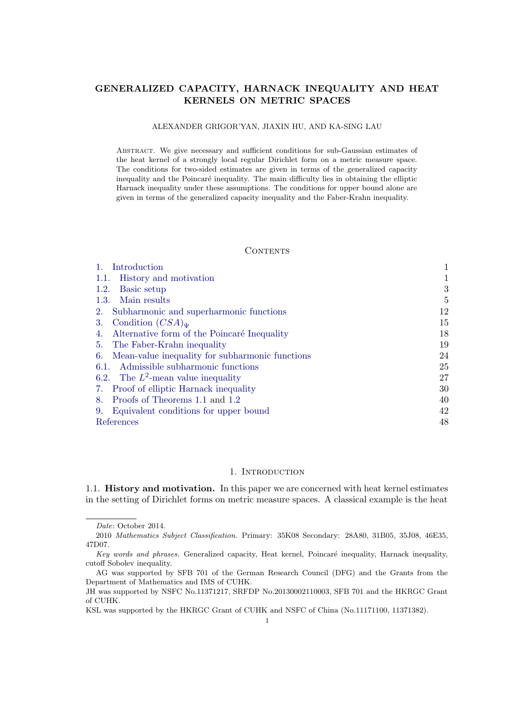# GENERALIZED CAPACITY, HARNACK INEQUALITY AND HEAT KERNELS ON METRIC SPACES

# ALEXANDER GRIGOR'YAN, JIAXIN HU, AND KA-SING LAU

Abstract. We give necessary and sufficient conditions for sub-Gaussian estimates of the heat kernel of a strongly local regular Dirichlet form on a metric measure space. The conditions for two-sided estimates are given in terms of the generalized capacity inequality and the Poincaré inequality. The main difficulty lies in obtaining the elliptic Harnack inequality under these assumptions. The conditions for upper bound alone are given in terms of the generalized capacity inequality and the Faber-Krahn inequality.

## **CONTENTS**

| Introduction                                       |                |
|----------------------------------------------------|----------------|
| History and motivation<br>1.1.                     |                |
| Basic setup<br>1.2.                                | 3              |
| 1.3. Main results                                  | $\overline{5}$ |
| 2. Subharmonic and superharmonic functions         | 12             |
| Condition $(CSA)_{\Psi}$<br>3.                     | 15             |
| 4. Alternative form of the Poincaré Inequality     | 18             |
| 5. The Faber-Krahn inequality                      | 19             |
| 6. Mean-value inequality for subharmonic functions | 24             |
| 6.1. Admissible subharmonic functions              | 25             |
| 6.2. The $L^2$ -mean value inequality              | 27             |
| 7. Proof of elliptic Harnack inequality            | 30             |
| 8. Proofs of Theorems 1.1 and 1.2                  | 40             |
| Equivalent conditions for upper bound<br>9.        | 42             |
| References                                         | 48             |

### 1. INTRODUCTION

1.1. History and motivation. In this paper we are concerned with heat kernel estimates in the setting of Dirichlet forms on metric measure spaces. A classical example is the heat

Date: October 2014.

<sup>2010</sup> Mathematics Subject Classification. Primary: 35K08 Secondary: 28A80, 31B05, 35J08, 46E35, 47D07.

Key words and phrases. Generalized capacity, Heat kernel, Poincaré inequality, Harnack inequality, cutoff Sobolev inequality.

AG was supported by SFB 701 of the German Research Council (DFG) and the Grants from the Department of Mathematics and IMS of CUHK.

JH was supported by NSFC No.11371217, SRFDP No.20130002110003, SFB 701 and the HKRGC Grant of CUHK.

KSL was supported by the HKRGC Grant of CUHK and NSFC of China (No.11171100, 11371382).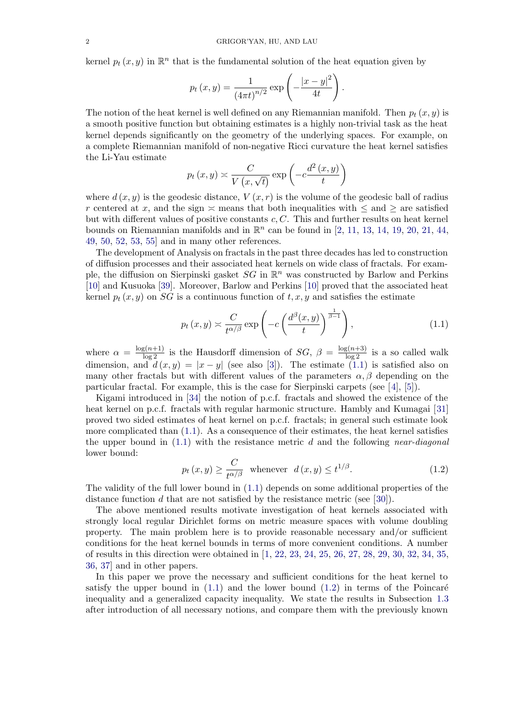kernel  $p_t(x, y)$  in  $\mathbb{R}^n$  that is the fundamental solution of the heat equation given by

$$
p_t(x, y) = \frac{1}{(4\pi t)^{n/2}} \exp \left(-\frac{|x - y|^2}{4t}\right).
$$

The notion of the heat kernel is well defined on any Riemannian manifold. Then  $p_t(x, y)$  is a smooth positive function but obtaining estimates is a highly non-trivial task as the heat kernel depends significantly on the geometry of the underlying spaces. For example, on a complete Riemannian manifold of non-negative Ricci curvature the heat kernel satisfies the Li-Yau estimate

$$
p_t(x, y) \asymp \frac{C}{V(x, \sqrt{t})} \exp\left(-c \frac{d^2(x, y)}{t}\right)
$$

where  $d(x, y)$  is the geodesic distance,  $V(x, r)$  is the volume of the geodesic ball of radius r centered at x, and the sign  $\approx$  means that both inequalities with  $\leq$  and  $\geq$  are satisfied but with different values of positive constants  $c, C$ . This and further results on heat kernel bounds on Riemannian manifolds and in  $\mathbb{R}^n$  can be found in [2, 11, 13, 14, 19, 20, 21, 44, 49, 50, 52, 53, 55] and in many other references.

The development of Analysis on fractals in the past three decades has led to construction of diffusion processes and their associated heat kernels on wide class of fractals. For example, the [d](#page-47-0)iffusion on Sierp[ins](#page-48-0)ki gasket  $SG$  in  $\mathbb{R}^n$  was constru[ct](#page-47-0)ed [by](#page-47-0) [Barlo](#page-47-0)[w](#page-48-0) [and](#page-48-0) [Per](#page-48-0)kins [\[10](#page-49-0)] [and](#page-49-0) [Kusuoka](#page-49-0) [39]. Moreover, Barlow and Perkins [10] proved that the associated heat kernel  $p_t(x, y)$  on SG is a continuous function of  $t, x, y$  and satisfies the estimate

$$
p_t(x,y) \asymp \frac{C}{t^{\alpha/\beta}} \exp\left(-c\left(\frac{d^{\beta}(x,y)}{t}\right)^{\frac{1}{\beta-1}}\right),\tag{1.1}
$$

where  $\alpha = \frac{\log(n+1)}{\log 2}$  is the Hausdorff dimension of  $SG$ ,  $\beta = \frac{\log(n+3)}{\log 2}$  is a so called walk dimension, and  $d(x, y) = |x - y|$  (see also [3]). The estimate (1.1) is satisfied also on many other fractals but with different values of the parameters  $\alpha, \beta$  depending on the particular fractal. For example, this is the case for Sierpinski carpets (see [4], [5]).

Kigami introduced in [34] the notion of p.c.f. fractals and showed the existence of the heat kernel on p.c.f. fractals with regular har[m](#page-47-0)onic structure. Hambly and Kumagai [31] proved two sided estimates of heat kernel on p.c.f. fractals; in general such estimate look more complicated than (1.1). As a consequence of their estimates, the heat [ke](#page-47-0)r[ne](#page-47-0)l satisfies the upper bound in  $(1.1)$  $(1.1)$  [w](#page-48-0)ith the resistance metric d and the following near-diagonal lower bound:

$$
p_t(x,y) \ge \frac{C}{t^{\alpha/\beta}} \quad \text{whenever} \quad d(x,y) \le t^{1/\beta}.\tag{1.2}
$$

The validity of the full lower bound in (1.1) depends on some additional properties of the distance function d that are not satisfied by the resistance metric (see [30]).

The above mentioned results motivate investigation of heat kernels associated with strongly local regular Dirichlet forms on metric measure spaces with volume doubling property. The main problem here is to provide reasonable necessary and/or sufficient conditions for the heat kernel bounds in terms of more convenient con[diti](#page-48-0)ons. A number of results in this direction were obtained in [1, 22, 23, 24, 25, 26, 27, 28, 29, 30, 32, 34, 35, 36, 37] and in other papers.

In this paper we prove the necessary and sufficient conditions for the heat kernel to satisfy the upper bound in  $(1.1)$  and the lower bound  $(1.2)$  in terms of the Poincaré inequality and a generalized capacity inequ[al](#page-47-0)i[ty.](#page-48-0) [W](#page-48-0)e [st](#page-48-0)a[te](#page-48-0) [the](#page-48-0) [results](#page-48-0) [in](#page-48-0) [Subsection](#page-48-0) [1.3](#page-48-0) [after](#page-48-0) [i](#page-48-0)ntroduction of all necessary notions, and compare them with the previously known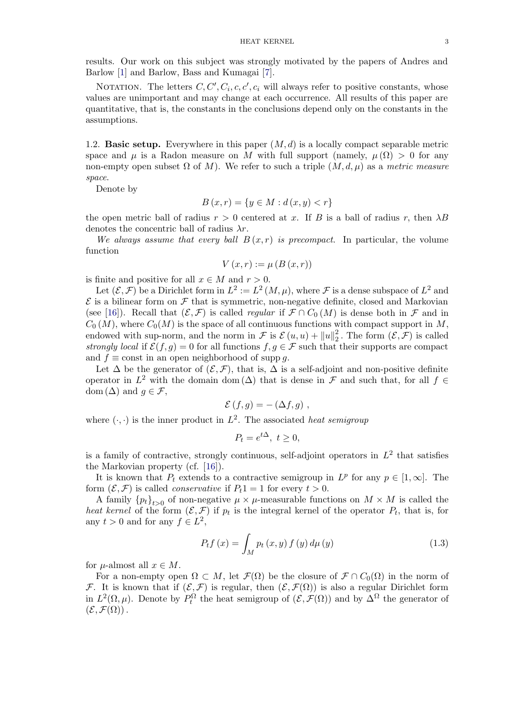<span id="page-2-0"></span>results. Our work on this subject was strongly motivated by the papers of Andres and Barlow [1] and Barlow, Bass and Kumagai [7].

NOTATION. The letters  $C, C', C_i, c, c', c_i$  will always refer to positive constants, whose values are unimportant and may change at each occurrence. All results of this paper are quantitative, that is, the constants in the co[nc](#page-47-0)lusions depend only on the constants in the assumpt[io](#page-47-0)ns.

1.2. **Basic setup.** Everywhere in this paper  $(M, d)$  is a locally compact separable metric space and  $\mu$  is a Radon measure on M with full support (namely,  $\mu(\Omega) > 0$  for any non-empty open subset  $\Omega$  of M). We refer to such a triple  $(M, d, \mu)$  as a metric measure space.

Denote by

$$
B(x,r) = \{ y \in M : d(x,y) < r \}
$$

the open metric ball of radius  $r > 0$  centered at x. If B is a ball of radius r, then  $\lambda B$ denotes the concentric ball of radius  $\lambda r$ .

We always assume that every ball  $B(x, r)$  is precompact. In particular, the volume function

$$
V(x,r) := \mu(B(x,r))
$$

is finite and positive for all  $x \in M$  and  $r > 0$ .

Let  $(\mathcal{E}, \mathcal{F})$  be a Dirichlet form in  $L^2 := L^2(M, \mu)$ , where  $\mathcal{F}$  is a dense subspace of  $L^2$  and  $\mathcal E$  is a bilinear form on  $\mathcal F$  that is symmetric, non-negative definite, closed and Markovian (see [16]). Recall that  $(\mathcal{E}, \mathcal{F})$  is called *regular* if  $\mathcal{F} \cap C_0(M)$  is dense both in  $\mathcal{F}$  and in  $C_0(M)$ , where  $C_0(M)$  is the space of all continuous functions with compact support in M, endowed with sup-norm, and the norm in  $\mathcal{F}$  is  $\mathcal{E}(u, u) + ||u||_2^2$ . The form  $(\mathcal{E}, \mathcal{F})$  is called strongly local if  $\mathcal{E}(f,g) = 0$  for all functions  $f, g \in \mathcal{F}$  such that their supports are compact and  $f \equiv \text{const}$  in an open neighborhood of supp q.

Let  $\Delta$  be the generator of  $(\mathcal{E}, \mathcal{F})$ , that is,  $\Delta$  is a self-adjoint and non-positive definite operator in  $L^2$  with the domain dom ( $\Delta$ ) that is dense in F and such that, for all  $f \in$ dom  $(\Delta)$  and  $q \in \mathcal{F}$ ,

$$
\mathcal{E}(f,g) = -(\Delta f,g) ,
$$

where  $(\cdot, \cdot)$  is the inner product in  $L^2$ . The associated *heat semigroup* 

$$
P_t = e^{t\Delta}, \ t \ge 0,
$$

is a family of contractive, strongly continuous, self-adjoint operators in  $L^2$  that satisfies the Markovian property (cf. [16]).

It is known that  $P_t$  extends to a contractive semigroup in  $L^p$  for any  $p \in [1,\infty]$ . The form  $(\mathcal{E}, \mathcal{F})$  is called *conservative* if  $P_t 1 = 1$  for every  $t > 0$ .

A family  ${p_t}_{t>0}$  of non-negative  $\mu \times \mu$ -measurable functions on  $M \times M$  is called the heat kernel of the form  $(\mathcal{E}, \mathcal{F})$  $(\mathcal{E}, \mathcal{F})$  [i](#page-48-0)f  $p_t$  is the integral kernel of the operator  $P_t$ , that is, for any  $t > 0$  and for any  $f \in L^2$ ,

$$
P_{t}f(x) = \int_{M} p_{t}(x, y) f(y) d\mu(y)
$$
\n(1.3)

for  $\mu$ -almost all  $x \in M$ .

For a non-empty open  $\Omega \subset M$ , let  $\mathcal{F}(\Omega)$  be the closure of  $\mathcal{F} \cap C_0(\Omega)$  in the norm of F. It is known that if  $(\mathcal{E}, \mathcal{F})$  is regular, then  $(\mathcal{E}, \mathcal{F}(\Omega))$  is also a regular Dirichlet form in  $L^2(\Omega, \mu)$ . Denote by  $P_t^{\Omega}$  the heat semigroup of  $(\mathcal{E}, \mathcal{F}(\Omega))$  and by  $\Delta^{\Omega}$  the generator of  $(\mathcal{E}, \mathcal{F}(\Omega))$ .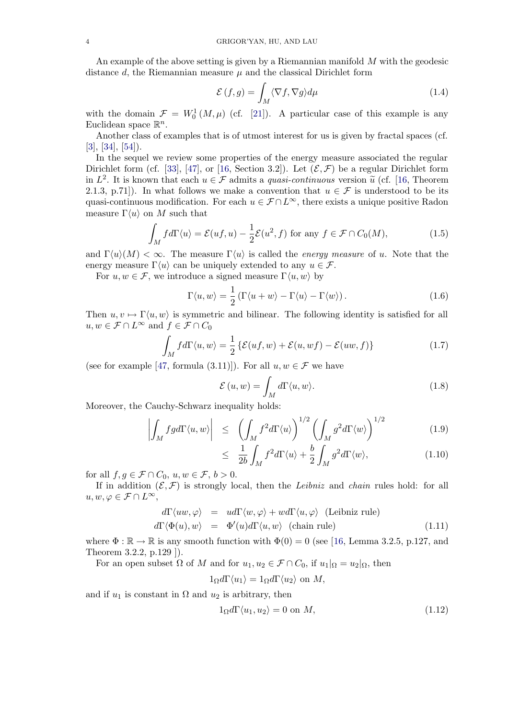<span id="page-3-0"></span>An example of the above setting is given by a Riemannian manifold M with the geodesic distance  $d$ , the Riemannian measure  $\mu$  and the classical Dirichlet form

$$
\mathcal{E}(f,g) = \int_M \langle \nabla f, \nabla g \rangle d\mu \tag{1.4}
$$

with the domain  $\mathcal{F} = W_0^1(M,\mu)$  (cf. [21]). A particular case of this example is any Euclidean space  $\mathbb{R}^n$ .

Another class of examples that is of utmost interest for us is given by fractal spaces (cf. [3], [34], [54]).

In the sequel we review some properti[es](#page-48-0) of the energy measure associated the regular Dirichlet form (cf. [33], [47], or [16, Section 3.2]). Let  $(\mathcal{E}, \mathcal{F})$  be a regular Dirichlet form in  $L^2$ . It is known that each  $u \in \mathcal{F}$  admits a *quasi-continuous* version  $\tilde{u}$  (cf. [16, Theorem [2.1](#page-47-0).[3,](#page-48-0) [p](#page-48-0).7[1\]\)](#page-49-0). In what follows we make a convention that  $u \in \mathcal{F}$  is understood to be its quasi-continuous modification. For each  $u \in \mathcal{F} \cap L^{\infty}$ , there exists a unique positive Radon mea[su](#page-48-0)re  $\Gamma \langle u \rangle$  on M such [th](#page-49-0)at

$$
\int_M f d\Gamma \langle u \rangle = \mathcal{E}(uf, u) - \frac{1}{2} \mathcal{E}(u^2, f) \text{ for any } f \in \mathcal{F} \cap C_0(M), \tag{1.5}
$$

and  $\Gamma(u)(M) < \infty$ . The measure  $\Gamma(u)$  is called the *energy measure* of u. Note that the energy measure  $\Gamma(u)$  can be uniquely extended to any  $u \in \mathcal{F}$ .

For  $u, w \in \mathcal{F}$ , we introduce a signed measure  $\Gamma \langle u, w \rangle$  by

$$
\Gamma \langle u, w \rangle = \frac{1}{2} \left( \Gamma \langle u + w \rangle - \Gamma \langle u \rangle - \Gamma \langle w \rangle \right). \tag{1.6}
$$

Then  $u, v \mapsto \Gamma(u, w)$  is symmetric and bilinear. The following identity is satisfied for all  $u, w \in \mathcal{F} \cap L^{\infty}$  and  $f \in \mathcal{F} \cap C_0$ 

$$
\int_{M} f d\Gamma \langle u, w \rangle = \frac{1}{2} \left\{ \mathcal{E}(uf, w) + \mathcal{E}(u, wf) - \mathcal{E}(uw, f) \right\}
$$
\n(1.7)

(see for example [47, formula (3.11)]). For all  $u, w \in \mathcal{F}$  we have

$$
\mathcal{E}(u, w) = \int_{M} d\Gamma \langle u, w \rangle.
$$
 (1.8)

Moreover, the Ca[uch](#page-49-0)y-Schwarz inequality holds:

$$
\left| \int_{M} fg d\Gamma \langle u, w \rangle \right| \leq \left( \int_{M} f^{2} d\Gamma \langle u \rangle \right)^{1/2} \left( \int_{M} g^{2} d\Gamma \langle w \rangle \right)^{1/2} \tag{1.9}
$$

$$
\leq \frac{1}{2b} \int_M f^2 d\Gamma \langle u \rangle + \frac{b}{2} \int_M g^2 d\Gamma \langle w \rangle, \tag{1.10}
$$

for all  $f, g \in \mathcal{F} \cap C_0$ ,  $u, w \in \mathcal{F}, b > 0$ .

If in addition  $(\mathcal{E}, \mathcal{F})$  is strongly local, then the Leibniz and chain rules hold: for all  $u, w, \varphi \in \mathcal{F} \cap L^{\infty},$ 

$$
d\Gamma \langle uw, \varphi \rangle = u d\Gamma \langle w, \varphi \rangle + w d\Gamma \langle u, \varphi \rangle \text{ (Leibniz rule)}
$$
  

$$
d\Gamma \langle \Phi(u), w \rangle = \Phi'(u) d\Gamma \langle u, w \rangle \text{ (chain rule)}
$$
(1.11)

where  $\Phi : \mathbb{R} \to \mathbb{R}$  is any smooth function with  $\Phi(0) = 0$  (see [16, Lemma 3.2.5, p.127, and Theorem 3.2.2, p.129 ]).

For an open subset  $\Omega$  of M and for  $u_1, u_2 \in \mathcal{F} \cap C_0$ , if  $u_1|_{\Omega} = u_2|_{\Omega}$ , then

$$
1_{\Omega}d\Gamma\langle u_1\rangle = 1_{\Omega}d\Gamma\langle u_2\rangle \text{ on } M,
$$

and if  $u_1$  is constant in  $\Omega$  and  $u_2$  is arbitrary, then

$$
1_{\Omega}d\Gamma\langle u_1, u_2 \rangle = 0 \text{ on } M,
$$
\n(1.12)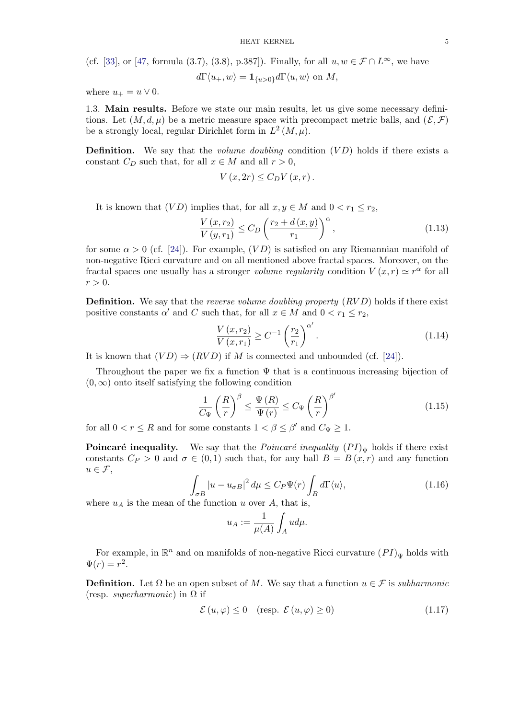<span id="page-4-0"></span>(cf. [33], or [47, formula (3.7), (3.8), p.387]). Finally, for all  $u, w \in \mathcal{F} \cap L^{\infty}$ , we have

$$
d\Gamma\langle u_+,w\rangle = \mathbf{1}_{\{u>0\}} d\Gamma\langle u,w\rangle \text{ on } M,
$$

where  $u_+ = u \vee 0$ .

1.3. [Ma](#page-48-0)in [resu](#page-49-0)lts. Before we state our main results, let us give some necessary definitions. Let  $(M, d, \mu)$  be a metric measure space with precompact metric balls, and  $(\mathcal{E}, \mathcal{F})$ be a strongly local, regular Dirichlet form in  $L^2(M,\mu)$ .

**Definition.** We say that the *volume doubling* condition  $(VD)$  holds if there exists a constant  $C_D$  such that, for all  $x \in M$  and all  $r > 0$ ,

$$
V(x, 2r) \leq C_D V(x, r).
$$

It is known that  $(VD)$  implies that, for all  $x, y \in M$  and  $0 < r_1 \leq r_2$ ,

$$
\frac{V(x,r_2)}{V(y,r_1)} \le C_D \left(\frac{r_2 + d(x,y)}{r_1}\right)^{\alpha},\tag{1.13}
$$

for some  $\alpha > 0$  (cf. [24]). For example,  $(VD)$  is satisfied on any Riemannian manifold of non-negative Ricci curvature and on all mentioned above fractal spaces. Moreover, on the fractal spaces one usually has a stronger volume regularity condition  $V(x,r) \simeq r^{\alpha}$  for all  $r > 0$ .

**Definition.** We say that the *reverse volume doubling property*  $(RVD)$  holds if there exist positive constants  $\alpha'$  and C such that, for all  $x \in M$  and  $0 < r_1 \le r_2$ ,

$$
\frac{V(x,r_2)}{V(x,r_1)} \ge C^{-1} \left(\frac{r_2}{r_1}\right)^{\alpha'}.
$$
\n(1.14)

It is known that  $(VD) \Rightarrow (RVD)$  if M is connected and unbounded (cf. [24]).

Throughout the paper we fix a function  $\Psi$  that is a continuous increasing bijection of  $(0, \infty)$  onto itself satisfying the following condition

$$
\frac{1}{C_{\Psi}} \left(\frac{R}{r}\right)^{\beta} \le \frac{\Psi(R)}{\Psi(r)} \le C_{\Psi} \left(\frac{R}{r}\right)^{\beta'} \tag{1.15}
$$

for all  $0 < r \leq R$  and for some constants  $1 < \beta \leq \beta'$  and  $C_{\Psi} \geq 1$ .

**Poincaré inequality.** We say that the *Poincaré inequality*  $(PI)_{\Psi}$  holds if there exist constants  $C_P > 0$  and  $\sigma \in (0,1)$  such that, for any ball  $B = B(x,r)$  and any function  $u \in \mathcal{F}$ ,

$$
\int_{\sigma B} |u - u_{\sigma B}|^2 d\mu \le C_P \Psi(r) \int_B d\Gamma \langle u \rangle, \tag{1.16}
$$

where  $u_A$  is the mean of the function u over A, that is,

$$
u_A:=\frac{1}{\mu(A)}\int_Aud\mu.
$$

For example, in  $\mathbb{R}^n$  and on manifolds of non-negative Ricci curvature  $(PI)_{\Psi}$  holds with  $\Psi(r) = r^2.$ 

**Definition.** Let  $\Omega$  be an open subset of M. We say that a function  $u \in \mathcal{F}$  is subharmonic (resp. *superharmonic*) in  $\Omega$  if

$$
\mathcal{E}(u,\varphi) \le 0 \quad \text{(resp. } \mathcal{E}(u,\varphi) \ge 0\text{)}\tag{1.17}
$$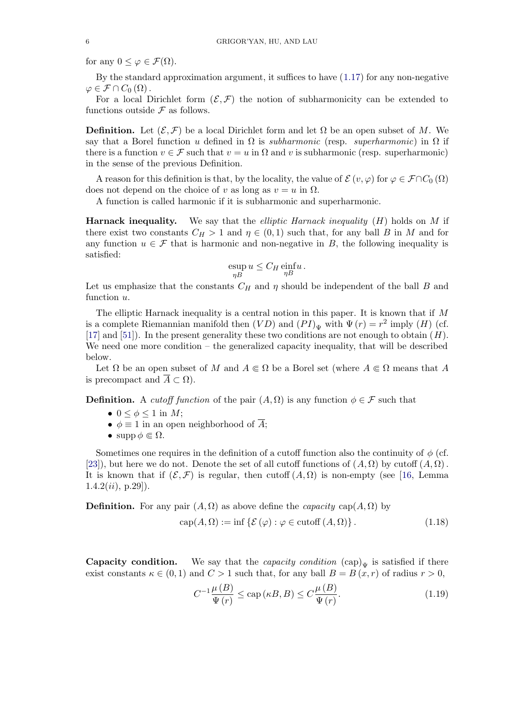for any  $0 \leq \varphi \in \mathcal{F}(\Omega)$ .

By the standard approximation argument, it suffices to have  $(1.17)$  for any non-negative  $\varphi \in \mathcal{F} \cap C_0(\Omega)$ .

For a local Dirichlet form  $(\mathcal{E}, \mathcal{F})$  the notion of subharmonicity can be extended to functions outside  $\mathcal F$  as follows.

**Definition.** Let  $(\mathcal{E}, \mathcal{F})$  be a local Dirichlet form and let  $\Omega$  be an open subset of M. We say that a Borel function u defined in  $\Omega$  is *subharmonic* (resp. *superharmonic*) in  $\Omega$  if there is a function  $v \in \mathcal{F}$  such that  $v = u$  in  $\Omega$  and v is subharmonic (resp. superharmonic) in the sense of the previous Definition.

A reason for this definition is that, by the locality, the value of  $\mathcal{E}(v, \varphi)$  for  $\varphi \in \mathcal{F} \cap C_0(\Omega)$ does not depend on the choice of v as long as  $v = u$  in  $\Omega$ .

A function is called harmonic if it is subharmonic and superharmonic.

**Harnack inequality.** We say that the *elliptic Harnack inequality*  $(H)$  holds on M if there exist two constants  $C_H > 1$  and  $\eta \in (0,1)$  such that, for any ball B in M and for any function  $u \in \mathcal{F}$  that is harmonic and non-negative in B, the following inequality is satisfied:

$$
\operatorname*{exp}_{\eta B} u \leq C_H \operatorname*{einf}_{\eta B} u.
$$

Let us emphasize that the constants  $C_H$  and  $\eta$  should be independent of the ball B and function u.

The elliptic Harnack inequality is a central notion in this paper. It is known that if M is a complete Riemannian manifold then  $(VD)$  and  $(PI)_{\Psi}$  with  $\Psi(r) = r^2$  imply  $(H)$  (cf. [17] and [51]). In the present generality these two conditions are not enough to obtain  $(H)$ . We need one more condition – the generalized capacity inequality, that will be described below.

Let  $\Omega$  be an open subset of M and  $A \in \Omega$  be a Borel set (where  $A \in \Omega$  means that A [is](#page-48-0) [p](#page-48-0)reco[mpa](#page-49-0)ct and  $\overline{A} \subset \Omega$ ).

**Definition.** A *cutoff function* of the pair  $(A, \Omega)$  is any function  $\phi \in \mathcal{F}$  such that

- $0 \leq \phi \leq 1$  in M;
- $\phi \equiv 1$  in an open neighborhood of  $\overline{A}$ ;
- supp  $\phi \in \Omega$ .

Sometimes one requires in the definition of a cutoff function also the continuity of  $\phi$  (cf. [23]), but here we do not. Denote the set of all cutoff functions of  $(A, \Omega)$  by cutoff  $(A, \Omega)$ . It is known that if  $(\mathcal{E}, \mathcal{F})$  is regular, then cutoff  $(A, \Omega)$  is non-empty (see [16, Lemma  $1.4.2(ii), p.29]$ ).

**[De](#page-48-0)finition.** For any pair  $(A, \Omega)$  as above define the *capacity* cap $(A, \Omega)$  by

$$
cap(A, \Omega) := \inf \{ \mathcal{E}(\varphi) : \varphi \in \text{cutoff}(A, \Omega) \}.
$$
 (1.18)

**Capacity condition.** We say that the *capacity condition*  $(cap)_{\Psi}$  is satisfied if there exist constants  $\kappa \in (0,1)$  and  $C > 1$  such that, for any ball  $B = B(x,r)$  of radius  $r > 0$ ,

$$
C^{-1}\frac{\mu(B)}{\Psi(r)} \le \text{cap}(\kappa B, B) \le C\frac{\mu(B)}{\Psi(r)}.\tag{1.19}
$$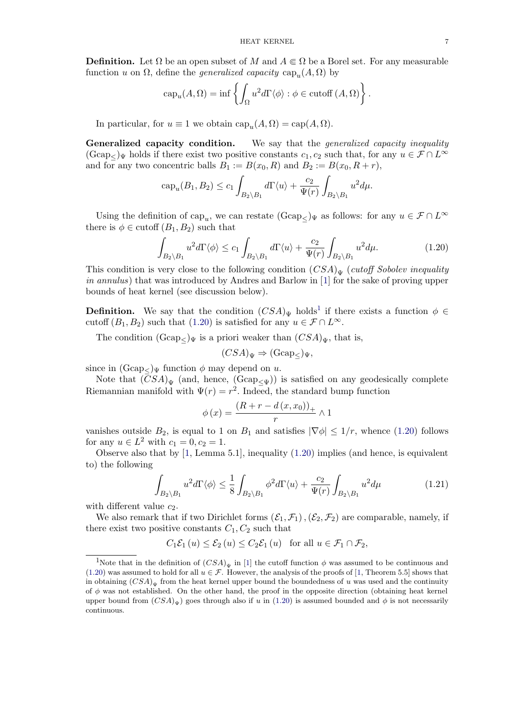<span id="page-6-0"></span>**Definition.** Let  $\Omega$  be an open subset of M and  $A \in \Omega$  be a Borel set. For any measurable function u on  $\Omega$ , define the *generalized capacity* cap<sub>u</sub> $(A, \Omega)$  by

$$
capu(A, \Omega) = \inf \left\{ \int_{\Omega} u^2 d\Gamma \langle \phi \rangle : \phi \in \text{cutoff}(A, \Omega) \right\}.
$$

In particular, for  $u \equiv 1$  we obtain  $cap_u(A, \Omega) = cap(A, \Omega)$ .

**Generalized capacity condition.** We say that the *generalized capacity inequality*  $(\text{Gcap}_{\leq})_{\Psi}$  holds if there exist two positive constants  $c_1, c_2$  such that, for any  $u \in \mathcal{F} \cap L^{\infty}$ and for any two concentric balls  $B_1 := B(x_0, R)$  and  $B_2 := B(x_0, R + r)$ ,

$$
cap_u(B_1, B_2) \le c_1 \int_{B_2 \setminus B_1} d\Gamma \langle u \rangle + \frac{c_2}{\Psi(r)} \int_{B_2 \setminus B_1} u^2 d\mu.
$$

Using the definition of cap<sub>u</sub>, we can restate  $(\text{Gcap}_{<})_{\Psi}$  as follows: for any  $u \in \mathcal{F} \cap L^{\infty}$ there is  $\phi \in \text{cutoff}(B_1, B_2)$  such that

$$
\int_{B_2 \setminus B_1} u^2 d\Gamma \langle \phi \rangle \le c_1 \int_{B_2 \setminus B_1} d\Gamma \langle u \rangle + \frac{c_2}{\Psi(r)} \int_{B_2 \setminus B_1} u^2 d\mu. \tag{1.20}
$$

This condition is very close to the following condition  $(CSA)_{\Psi}$  (cutoff Sobolev inequality in annulus) that was introduced by Andres and Barlow in [1] for the sake of proving upper bounds of heat kernel (see discussion below).

**Definition.** We say that the condition  $(CSA)_{\Psi}$  holds<sup>1</sup> if there exists a function  $\phi \in$ cutoff  $(B_1, B_2)$  such that  $(1.20)$  is satisfied for any  $u \in \mathcal{F} \cap L^{\infty}$ .

The condition  $(\text{Gcap}_{\leq})_{\Psi}$  is a priori weaker than  $(CSA)_{\Psi}$ , that is,

$$
(CSA)_{\Psi} \Rightarrow (\text{Gcap}_{\leq})_{\Psi},
$$

since in  $(Gcap_{\leq})_{\Psi}$  function  $\phi$  may depend on u.

Note that  $(CSA)_{\Psi}$  (and, hence,  $(Gcap_{\Psi})$ ) is satisfied on any geodesically complete Riemannian manifold with  $\Psi(r) = r^2$ . Indeed, the standard bump function

$$
\phi(x) = \frac{(R+r-d(x,x_0))_+}{r} \wedge 1
$$

vanishes outside  $B_2$ , is equal to 1 on  $B_1$  and satisfies  $|\nabla \phi| \leq 1/r$ , whence (1.20) follows for any  $u \in L^2$  with  $c_1 = 0, c_2 = 1$ .

Observe also that by [1, Lemma 5.1], inequality (1.20) implies (and hence, is equivalent to) the following

$$
\int_{B_2 \setminus B_1} u^2 d\Gamma \langle \phi \rangle \le \frac{1}{8} \int_{B_2 \setminus B_1} \phi^2 d\Gamma \langle u \rangle + \frac{c_2}{\Psi(r)} \int_{B_2 \setminus B_1} u^2 d\mu \tag{1.21}
$$

with different value  $c_2$ .

We also remark that if two Dirichlet forms  $(\mathcal{E}_1, \mathcal{F}_1), (\mathcal{E}_2, \mathcal{F}_2)$  are comparable, namely, if there exist two positive constants  $C_1, C_2$  such that

$$
C_1 \mathcal{E}_1 (u) \le \mathcal{E}_2 (u) \le C_2 \mathcal{E}_1 (u) \text{ for all } u \in \mathcal{F}_1 \cap \mathcal{F}_2,
$$

<sup>&</sup>lt;sup>1</sup>Note that in the definition of  $(CSA)_{\Psi}$  in [1] the cutoff function  $\phi$  was assumed to be continuous and (1.20) was assumed to hold for all  $u \in \mathcal{F}$ . However, the analysis of the proofs of [1, Theorem 5.5] shows that in obtaining  $(CSA)_{\Psi}$  from the heat kernel upper bound the boundedness of u was used and the continuity of  $\phi$  was not established. On the other hand, the proof in the opposite direction (obtaining heat kernel upper bound from  $(CSA)_{\Psi}$ ) goes through also [i](#page-47-0)f u in (1.20) is assumed bounded and  $\phi$  is not necessarily continuous.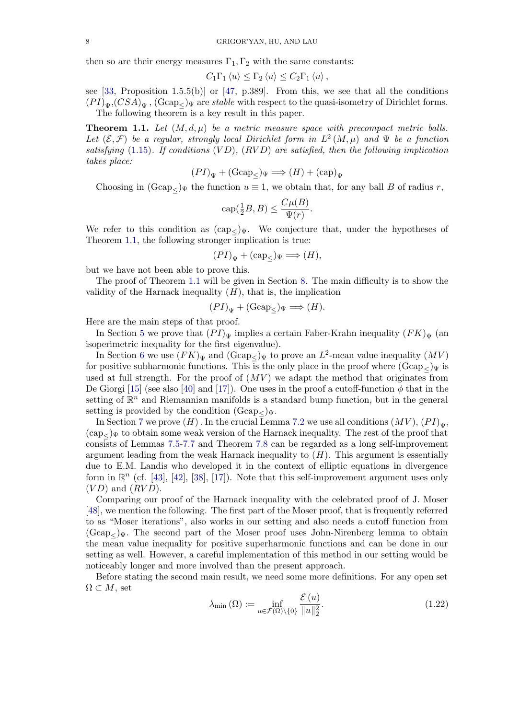<span id="page-7-0"></span>then so are their energy measures  $\Gamma_1, \Gamma_2$  with the same constants:

$$
C_1\Gamma_1 \langle u \rangle \leq \Gamma_2 \langle u \rangle \leq C_2\Gamma_1 \langle u \rangle,
$$

see [33, Proposition 1.5.5(b)] or [47, p.389]. From this, we see that all the conditions  $(PI)_{\Psi}$ ,  $(CSA)_{\Psi}$ ,  $(Gcap_{\leq})_{\Psi}$  are stable with respect to the quasi-isometry of Dirichlet forms. The following theorem is a key result in this paper.

**The[or](#page-48-0)em 1.1.** Let  $(M, d, \mu)$  be [a m](#page-49-0)etric measure space with precompact metric balls. Let  $(\mathcal{E}, \mathcal{F})$  be a regular, strongly local Dirichlet form in  $L^2(M, \mu)$  and  $\Psi$  be a function satisfying  $(1.15)$ . If conditions  $(VD)$ ,  $(RVD)$  are satisfied, then the following implication takes place:

$$
(PI)_{\Psi} + (\text{Gcap}_{\leq})_{\Psi} \Longrightarrow (H) + (\text{cap})_{\Psi}
$$

Choosing in  $(\text{Gcap}_{\leq})_{\Psi}$  the function  $u \equiv 1$ , we obtain that, for any ball B of radius r,

$$
\operatorname{cap}(\tfrac{1}{2}B,B) \le \frac{C\mu(B)}{\Psi(r)}.
$$

We refer to this condition as  $(\text{cap}_{<})_{\Psi}$ . We conjecture that, under the hypotheses of Theorem 1.1, the following stronger implication is true:

$$
(PI)_{\Psi} + (\text{cap}_{\leq})_{\Psi} \Longrightarrow (H),
$$

but we have not been able to prove this.

The proof of Theorem 1.1 will be given in Section 8. The main difficulty is to show the validity of the Harnack inequality  $(H)$ , that is, the implication

$$
(PI)_{\Psi} + (\text{Gcap}_{\leq})_{\Psi} \Longrightarrow (H).
$$

Here are the main steps of that proof.

In Section 5 we prove that  $(PI)_{\Psi}$  implies a certain Faber-Krahn inequality  $(FK)_{\Psi}$  (an isoperimetric inequality for the first eigenvalue).

In Section 6 we use  $(FK)_{\Psi}$  and  $(\text{Gcap}_{\leq})_{\Psi}$  to prove an  $L^2$ -mean value inequality  $(MV)$ for positive subharmonic functions. This is the only place in the proof where  $(Gcap_{\leq} \Psi)$  is used at full s[tr](#page-18-0)ength. For the proof of  $(MV)$  we adapt the method that originates from De Giorgi [15] (see also [40] and [17]). One uses in the proof a cutoff-function  $\phi$  that in the setting of  $\mathbb{R}^n$  $\mathbb{R}^n$  $\mathbb{R}^n$  and Riemannian manifolds is a standard bump function, but in the general setting is provided by the condition  $(Gcap_{<})\Psi$ .

In Section 7 we prove  $(H)$ . In the crucial Lemma 7.2 we use all conditions  $(MV)$ ,  $(PI)_{\Psi}$ ,  $(\text{cap}_{\leq})_{\Psi}$  t[o](#page-47-0) [ob](#page-47-0)tain some [we](#page-48-0)ak ve[rsio](#page-48-0)n of the Harnack inequality. The rest of the proof that consists of Lemmas 7.5-7.7 and Theorem 7.8 can be regarded as a long self-improvement argument leading from the weak Harnack inequality to  $(H)$ . This argument is essentially due to E.M. [L](#page-29-0)andis who developed it in the cont[ext](#page-30-0) of elliptic equations in divergence form in  $\mathbb{R}^n$  (cf. [43], [42], [38], [17]). Note that this self-improvement argument uses only  $(VD)$  and  $(RVD)$ .

Comparing our proof of the Harnack inequality with the celebrated proof of J. Moser [48], we mention the following. The first part of the Moser proof, that is frequently referred to as "Moser ite[rat](#page-48-0)io[ns"](#page-48-0), [also](#page-48-0) [wor](#page-48-0)ks in our setting and also needs a cutoff function from  $(\text{Gcap}_{\leq})_{\Psi}$ . The second part of the Moser proof uses John-Nirenberg lemma to obtain the mean value inequality for positive superharmonic functions and can be done in our [sett](#page-49-0)ing as well. However, a careful implementation of this method in our setting would be noticeably longer and more involved than the present approach.

Before stating the second main result, we need some more definitions. For any open set  $\Omega \subset M$ , set

$$
\lambda_{\min}(\Omega) := \inf_{u \in \mathcal{F}(\Omega) \setminus \{0\}} \frac{\mathcal{E}(u)}{\|u\|_2^2}.
$$
\n(1.22)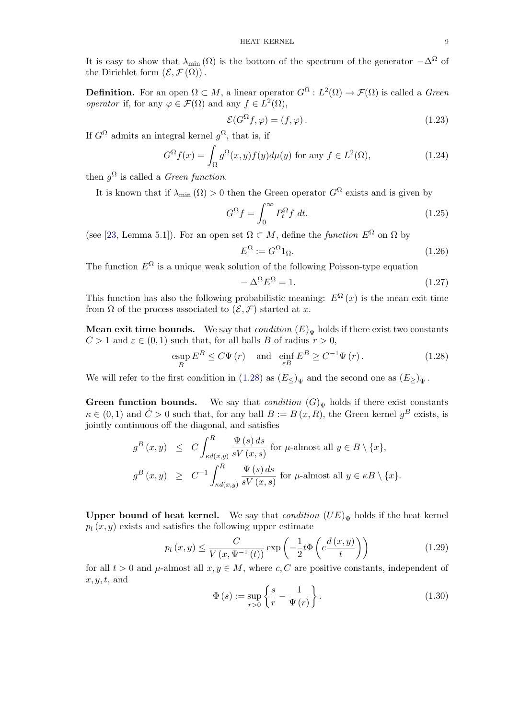<span id="page-8-0"></span>It is easy to show that  $\lambda_{\min}(\Omega)$  is the bottom of the spectrum of the generator  $-\Delta^{\Omega}$  of the Dirichlet form  $(\mathcal{E}, \mathcal{F}(\Omega))$ .

**Definition.** For an open  $\Omega \subset M$ , a linear operator  $G^{\Omega}: L^2(\Omega) \to \mathcal{F}(\Omega)$  is called a *Green operator* if, for any  $\varphi \in \mathcal{F}(\Omega)$  and any  $f \in L^2(\Omega)$ ,

$$
\mathcal{E}(G^{\Omega}f,\varphi) = (f,\varphi). \tag{1.23}
$$

If  $G^{\Omega}$  admits an integral kernel  $g^{\Omega}$ , that is, if

$$
G^{\Omega}f(x) = \int_{\Omega} g^{\Omega}(x, y) f(y) d\mu(y) \text{ for any } f \in L^{2}(\Omega), \tag{1.24}
$$

then  $q^{\Omega}$  is called a *Green function*.

It is known that if  $\lambda_{\min}(\Omega) > 0$  then the Green operator  $G^{\Omega}$  exists and is given by

$$
G^{\Omega}f = \int_0^{\infty} P_t^{\Omega} f \, dt. \tag{1.25}
$$

(see [23, Lemma 5.1]). For an open set  $\Omega \subset M$ , define the *function*  $E^{\Omega}$  on  $\Omega$  by

$$
E^{\Omega} := G^{\Omega} 1_{\Omega}.
$$
\n
$$
(1.26)
$$

The function  $E^{\Omega}$  is a unique weak solution of the following Poisson-type equation

$$
-\Delta^{\Omega} E^{\Omega} = 1. \tag{1.27}
$$

This function has also the following probabilistic meaning:  $E^{\Omega}(x)$  is the mean exit time from  $\Omega$  of the process associated to  $(\mathcal{E}, \mathcal{F})$  started at x.

**Mean exit time bounds.** We say that *condition*  $(E)_{\Psi}$  holds if there exist two constants  $C > 1$  and  $\varepsilon \in (0, 1)$  such that, for all balls B of radius  $r > 0$ ,

$$
\sup_{B} E^{B} \leq C \Psi(r) \quad \text{and} \quad \inf_{\varepsilon B} E^{B} \geq C^{-1} \Psi(r). \tag{1.28}
$$

We will refer to the first condition in (1.28) as  $(E_{\leq})_{\Psi}$  and the second one as  $(E_{\geq})_{\Psi}$ .

**Green function bounds.** We say that *condition*  $(G)_{\Psi}$  holds if there exist constants  $\kappa \in (0,1)$  and  $\dot{C} > 0$  such that, for any ball  $B := B(x,R)$ , the Green kernel  $q^B$  exists, is jointly continuous off the diagonal, and satisfies

$$
g^{B}(x, y) \leq C \int_{\kappa d(x, y)}^{R} \frac{\Psi(s) ds}{sV(x, s)} \text{ for } \mu\text{-almost all } y \in B \setminus \{x\},
$$
  

$$
g^{B}(x, y) \geq C^{-1} \int_{\kappa d(x, y)}^{R} \frac{\Psi(s) ds}{sV(x, s)} \text{ for } \mu\text{-almost all } y \in \kappa B \setminus \{x\}.
$$

Upper bound of heat kernel. We say that *condition*  $(UE)_{\Psi}$  holds if the heat kernel  $p_t(x, y)$  exists and satisfies the following upper estimate

$$
p_t(x,y) \le \frac{C}{V(x,\Psi^{-1}(t))} \exp\left(-\frac{1}{2}t\Phi\left(c\frac{d(x,y)}{t}\right)\right) \tag{1.29}
$$

for all  $t > 0$  and  $\mu$ -almost all  $x, y \in M$ , where c, C are positive constants, independent of  $x, y, t$ , and

$$
\Phi(s) := \sup_{r>0} \left\{ \frac{s}{r} - \frac{1}{\Psi(r)} \right\}.
$$
\n(1.30)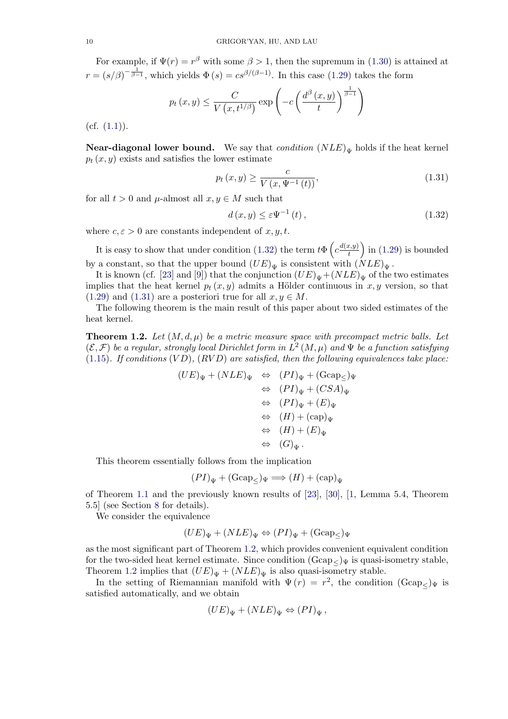<span id="page-9-0"></span>For example, if  $\Psi(r) = r^{\beta}$  with some  $\beta > 1$ , then the supremum in (1.30) is attained at  $r = (s/\beta)^{-\frac{1}{\beta-1}}$ , which yields  $\Phi(s) = cs^{\beta/(\beta-1)}$ . In this case (1.29) takes the form

$$
p_t(x, y) \leq \frac{C}{V(x, t^{1/\beta})} \exp\left(-c\left(\frac{d^{\beta}(x, y)}{t}\right)^{\frac{1}{\beta-1}}\right)
$$

 $(cf. (1.1)).$ 

**Near-diagonal lower bound.** We say that *condition*  $(NLE)_{\Psi}$  holds if the heat kernel  $p_t(x, y)$  exists and satisfies the lower estimate

$$
p_t(x, y) \ge \frac{c}{V(x, \Psi^{-1}(t))},
$$
\n(1.31)

for all  $t > 0$  and  $\mu$ -almost all  $x, y \in M$  such that

$$
d(x, y) \le \varepsilon \Psi^{-1}(t), \qquad (1.32)
$$

where  $c, \varepsilon > 0$  are constants independent of  $x, y, t$ .

It is easy to show that under condition (1.32) the term  $t\Phi\left(c\frac{d(x,y)}{t}\right)$ t ) in  $(1.29)$  is bounded by a constant, so that the upper bound  $(UE)_{\Psi}$  is consistent with  $(NLE)_{\Psi}$ .

It is known (cf. [23] and [9]) that the conjunction  $(UE)_{\Psi} + (NLE)_{\Psi}$  of the two estimates implies that the heat kernel  $p_t(x, y)$  admits a Hölder continuous in x, y [vers](#page-8-0)ion, so that  $(1.29)$  and  $(1.31)$  are a posteriori true for all  $x, y \in M$ .

The following theorem is the main result of this paper about two sided estimates of the heat kernel.

**[Theo](#page-8-0)rem 1.2.** Let  $(M, d, \mu)$  be a metric measure space with precompact metric balls. Let  $(\mathcal{E}, \mathcal{F})$  be a regular, strongly local Dirichlet form in  $L^2(M, \mu)$  and  $\Psi$  be a function satisfying (1.15). If conditions  $(VD)$ ,  $(RVD)$  are satisfied, then the following equivalences take place:

$$
(UE)_{\Psi} + (NLE)_{\Psi} \Leftrightarrow (PI)_{\Psi} + (\text{Gcap}_{\leq})_{\Psi}
$$
  
\n
$$
\Leftrightarrow (PI)_{\Psi} + (CSA)_{\Psi}
$$
  
\n
$$
\Leftrightarrow (PI)_{\Psi} + (E)_{\Psi}
$$
  
\n
$$
\Leftrightarrow (H) + (\text{cap})_{\Psi}
$$
  
\n
$$
\Leftrightarrow (H) + (E)_{\Psi}
$$
  
\n
$$
\Leftrightarrow (G)_{\Psi}.
$$

This theorem essentially follows from the implication

$$
(PI)_{\Psi} + (\text{Gcap}_{\leq})_{\Psi} \Longrightarrow (H) + (\text{cap})_{\Psi}
$$

of Theorem 1.1 and the previously known results of [23], [30], [1, Lemma 5.4, Theorem 5.5] (see Section 8 for details).

We consider the equivalence

$$
(UE)_{\Psi} + (NLE)_{\Psi} \Leftrightarrow (PI)_{\Psi} + (\text{Gcap}_{\leq})_{\Psi}
$$

as the most signi[fic](#page-39-0)ant part of Theorem 1.2, which provides convenient equivalent condition for the two-sided heat kernel estimate. Since condition  $(Gcap<sub>\ell</sub>)_{\Psi}$  is quasi-isometry stable, Theorem 1.2 implies that  $(UE)_{\Psi} + (NLE)_{\Psi}$  is also quasi-isometry stable.

In the setting of Riemannian manifold with  $\Psi(r) = r^2$ , the condition  $(\text{Gap}_{\leq})_{\Psi}$  is satisfied automatically, and we obtain

$$
(UE)_{\Psi} + (NLE)_{\Psi} \Leftrightarrow (PI)_{\Psi},
$$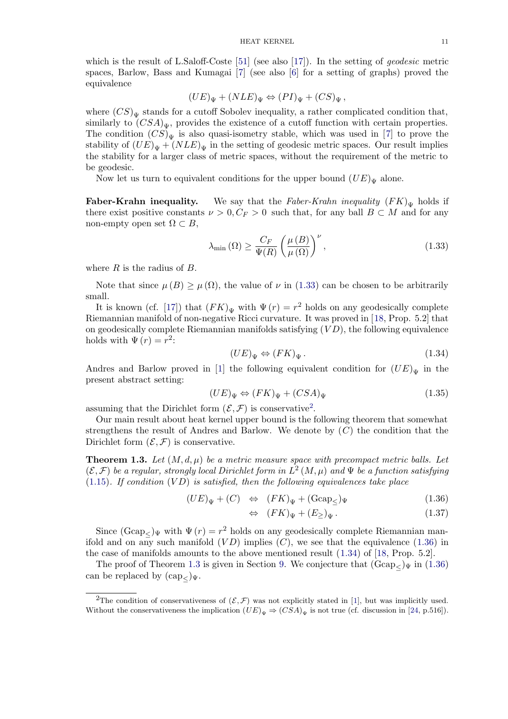which is the result of L.Saloff-Coste [51] (see also [17]). In the setting of *geodesic* metric spaces, Barlow, Bass and Kumagai [7] (see also [6] for a setting of graphs) proved the equivalence

$$
(UE)_{\Psi} + (NLE)_{\Psi} \Leftrightarrow (PI)_{\Psi} + (CS)_{\Psi},
$$

where  $(CS)_{\Psi}$  stands for a cutoff Sob[ole](#page-47-0)v inequalit[y,](#page-47-0) a rather complicated condition that, similarly to  $(CSA)_{\Psi}$ , provides the existence of a cutoff function with certain properties. The condition  $(CS)_{\Psi}$  is also quasi-isometry stable, which was used in [7] to prove the stability of  $(UE)_{\Psi} + (NLE)_{\Psi}$  in the setting of geodesic metric spaces. Our result implies the stability for a larger class of metric spaces, without the requirement of the metric to be geodesic.

Now let us turn to equivalent conditions for the upper bound  $(UE)_{\Psi}$  a[lo](#page-47-0)ne.

**Faber-Krahn inequality.** We say that the Faber-Krahn inequality  $(FK)_{\Psi}$  holds if there exist positive constants  $\nu > 0, C_F > 0$  such that, for any ball  $B \subset M$  and for any non-empty open set  $\Omega \subset B$ ,

$$
\lambda_{\min}(\Omega) \ge \frac{C_F}{\Psi(R)} \left(\frac{\mu(B)}{\mu(\Omega)}\right)^{\nu},\tag{1.33}
$$

where  $R$  is the radius of  $B$ .

Note that since  $\mu(B) \geq \mu(\Omega)$ , the value of  $\nu$  in (1.33) can be chosen to be arbitrarily small.

It is known (cf. [17]) that  $(FK)_{\Psi}$  with  $\Psi(r) = r^2$  holds on any geodesically complete Riemannian manifold of non-negative Ricci curvature. It was proved in [18, Prop. 5.2] that on geodesically complete Riemannian manifolds satisfying  $(VD)$ , the following equivalence holds with  $\Psi(r) = r^2$ :

$$
(UE)_{\Psi} \Leftrightarrow (FK)_{\Psi}.
$$
\n(1.34)

Andres and Barlow proved in [1] the following equivalent condition for  $(UE)_{\Psi}$  in the present abstract setting:

$$
(UE)_{\Psi} \Leftrightarrow (FK)_{\Psi} + (CSA)_{\Psi} \tag{1.35}
$$

assuming that the Dirichlet form  $(\mathcal{E}, \mathcal{F})$  is conservative<sup>2</sup>.

Our main result about heat kernel upper bound is the following theorem that somewhat strengthens the result of Andres and Barlow. We denote by  $(C)$  the condition that the Dirichlet form  $(\mathcal{E}, \mathcal{F})$  is conservative.

**Theorem 1.3.** Let  $(M, d, \mu)$  be a metric measure space with precompact metric balls. Let  $(\mathcal{E}, \mathcal{F})$  be a regular, strongly local Dirichlet form in  $L^2(M, \mu)$  and  $\Psi$  be a function satisfying  $(1.15)$ . If condition  $(VD)$  is satisfied, then the following equivalences take place

$$
(UE)_{\Psi} + (C) \Leftrightarrow (FK)_{\Psi} + (\text{Gcap}_{\leq})_{\Psi}
$$
\n
$$
(1.36)
$$

$$
\Leftrightarrow \ \ (FK)_{\Psi} + (E_{\geq})_{\Psi} \,. \tag{1.37}
$$

[Sin](#page-4-0)ce  $(\text{Gcap}_\leq)\Psi$  with  $\Psi(r) = r^2$  holds on any geodesically complete Riemannian manifold and on any such manifold  $(VD)$  implies  $(C)$ , we see that the equivalence (1.36) in the case of manifolds amounts to the above mentioned result (1.34) of [18, Prop. 5.2].

The proof of Theorem 1.3 is given in Section 9. We conjecture that  $(Gcap_{\leq} \Psi$  in  $(1.36)$ can be replaced by  $(\text{cap}_{<})_{\Psi}$ .

<sup>&</sup>lt;sup>2</sup>The condition of conservativeness of  $(\mathcal{E}, \mathcal{F})$  [wa](#page-48-0)s not explicitly stated in [1], but was implicitly used. Without the conservativeness the implication  $(UE)_{\Psi} \Rightarrow (CSA)_{\Psi}$  $(UE)_{\Psi} \Rightarrow (CSA)_{\Psi}$  is not true (cf. discussion in [24, p.516]).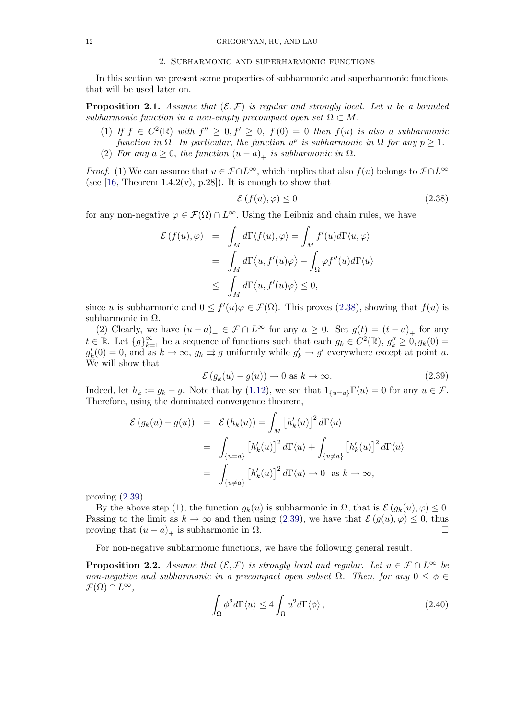#### 2. Subharmonic and superharmonic functions

<span id="page-11-0"></span>In this section we present some properties of subharmonic and superharmonic functions that will be used later on.

**Proposition 2.1.** Assume that  $(\mathcal{E}, \mathcal{F})$  is regular and strongly local. Let u be a bounded subharmonic function in a non-empty precompact open set  $\Omega \subset M$ .

- (1) If  $f \in C^2(\mathbb{R})$  with  $f'' \geq 0, f' \geq 0, f(0) = 0$  then  $f(u)$  is also a subharmonic function in  $\Omega$ . In particular, the function  $u^p$  is subharmonic in  $\Omega$  for any  $p \geq 1$ .
- (2) For any  $a \geq 0$ , the function  $(u a)_+$  is subharmonic in  $\Omega$ .

*Proof.* (1) We can assume that  $u \in \mathcal{F} \cap L^{\infty}$ , which implies that also  $f(u)$  belongs to  $\mathcal{F} \cap L^{\infty}$ (see [16, Theorem 1.4.2(v), p.28]). It is enough to show that

$$
\mathcal{E}\left(f(u),\varphi\right) \le 0\tag{2.38}
$$

for any non-negative  $\varphi \in \mathcal{F}(\Omega) \cap L^{\infty}$ . Using the Leibniz and chain rules, we have

$$
\mathcal{E}(f(u), \varphi) = \int_M d\Gamma \langle f(u), \varphi \rangle = \int_M f'(u) d\Gamma \langle u, \varphi \rangle
$$
  
= 
$$
\int_M d\Gamma \langle u, f'(u)\varphi \rangle - \int_\Omega \varphi f''(u) d\Gamma \langle u \rangle
$$
  

$$
\leq \int_M d\Gamma \langle u, f'(u)\varphi \rangle \leq 0,
$$

since u is subharmonic and  $0 \le f'(u)\varphi \in \mathcal{F}(\Omega)$ . This proves (2.38), showing that  $f(u)$  is subharmonic in  $\Omega$ .

(2) Clearly, we have  $(u - a)_+ \in \mathcal{F} \cap L^{\infty}$  for any  $a \geq 0$ . Set  $g(t) = (t - a)_+$  for any  $t \in \mathbb{R}$ . Let  $\{g\}_{k=1}^{\infty}$  be a sequence of functions such that each  $g_k \in C^2(\mathbb{R})$ ,  $g_k'' \geq 0$ ,  $g_k(0) =$  $g'_k(0) = 0$ , and as  $k \to \infty$ ,  $g_k \rightrightarrows g$  uniformly while  $g'_k \to g'$  everywhere except at point a. We will show that

$$
\mathcal{E}(g_k(u) - g(u)) \to 0 \text{ as } k \to \infty.
$$
 (2.39)

Indeed, let  $h_k := g_k - g$ . Note that by (1.12), we see that  $1_{\{u=a\}} \Gamma \langle u \rangle = 0$  for any  $u \in \mathcal{F}$ . Therefore, using the dominated convergence theorem,

$$
\mathcal{E}(g_k(u) - g(u)) = \mathcal{E}(h_k(u)) = \int_M [h'_k(u)]^2 d\Gamma \langle u \rangle
$$
  
= 
$$
\int_{\{u=a\}} [h'_k(u)]^2 d\Gamma \langle u \rangle + \int_{\{u \neq a\}} [h'_k(u)]^2 d\Gamma \langle u \rangle
$$
  
= 
$$
\int_{\{u \neq a\}} [h'_k(u)]^2 d\Gamma \langle u \rangle \to 0 \text{ as } k \to \infty,
$$

proving  $(2.39)$ .

By the above step (1), the function  $g_k(u)$  is subharmonic in  $\Omega$ , that is  $\mathcal{E}(g_k(u), \varphi) \leq 0$ . Passing to the limit as  $k \to \infty$  and then using (2.39), we have that  $\mathcal{E}(g(u), \varphi) \leq 0$ , thus proving that  $(u - a)$ , is subharmonic in  $\Omega$ . proving that  $(u - a)_+$  is subharmonic in  $\Omega$ .

For non-negative subharmonic functions, we have the following general result.

**Proposition 2.2.** Assume that  $(\mathcal{E}, \mathcal{F})$  is strongly local and regular. Let  $u \in \mathcal{F} \cap L^{\infty}$  be non-negative and subharmonic in a precompact open subset  $\Omega$ . Then, for any  $0 \leq \phi \in$  $\mathcal{F}(\Omega) \cap L^{\infty}$ ,

$$
\int_{\Omega} \phi^2 d\Gamma \langle u \rangle \le 4 \int_{\Omega} u^2 d\Gamma \langle \phi \rangle , \qquad (2.40)
$$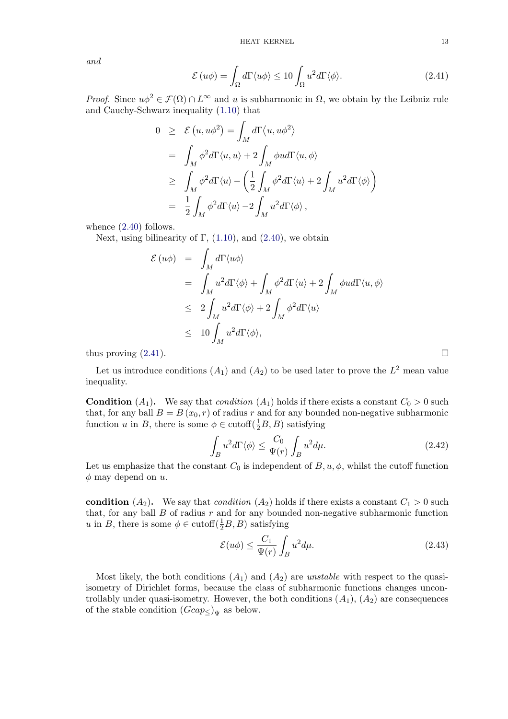<span id="page-12-0"></span>and

$$
\mathcal{E}(u\phi) = \int_{\Omega} d\Gamma \langle u\phi \rangle \le 10 \int_{\Omega} u^2 d\Gamma \langle \phi \rangle.
$$
 (2.41)

*Proof.* Since  $u\phi^2 \in \mathcal{F}(\Omega) \cap L^{\infty}$  and u is subharmonic in  $\Omega$ , we obtain by the Leibniz rule and Cauchy-Schwarz inequality (1.10) that

$$
0 \geq \mathcal{E}(u, u\phi^2) = \int_M d\Gamma \langle u, u\phi^2 \rangle
$$
  
\n
$$
= \int_M \phi^2 d\Gamma \langle u, u \rangle + 2 \int_M \phi u d\Gamma \langle u, \phi \rangle
$$
  
\n
$$
\geq \int_M \phi^2 d\Gamma \langle u \rangle - \left(\frac{1}{2} \int_M \phi^2 d\Gamma \langle u \rangle + 2 \int_M u^2 d\Gamma \langle \phi \rangle \right)
$$
  
\n
$$
= \frac{1}{2} \int_M \phi^2 d\Gamma \langle u \rangle - 2 \int_M u^2 d\Gamma \langle \phi \rangle,
$$

whence  $(2.40)$  follows.

Next, using bilinearity of  $\Gamma$ , (1.10), and (2.40), we obtain

$$
\mathcal{E}(u\phi) = \int_M d\Gamma \langle u\phi \rangle
$$
  
=  $\int_M u^2 d\Gamma \langle \phi \rangle + \int_M \phi^2 d\Gamma \langle u \rangle + 2 \int_M \phi u d\Gamma \langle u, \phi \rangle$   
 $\leq 2 \int_M u^2 d\Gamma \langle \phi \rangle + 2 \int_M \phi^2 d\Gamma \langle u \rangle$   
 $\leq 10 \int_M u^2 d\Gamma \langle \phi \rangle,$ 

thus proving  $(2.41)$ .

Let us introduce conditions  $(A_1)$  and  $(A_2)$  to be used later to prove the  $L^2$  mean value inequality.

**Condition**  $(A_1)$ . We say that *condition*  $(A_1)$  holds if there exists a constant  $C_0 > 0$  such that, for any ball  $B = B(x_0, r)$  of radius r and for any bounded non-negative subharmonic function u in B, there is some  $\phi \in \text{cutoff}(\frac{1}{2}B, B)$  satisfying

$$
\int_{B} u^{2} d\Gamma \langle \phi \rangle \le \frac{C_{0}}{\Psi(r)} \int_{B} u^{2} d\mu. \tag{2.42}
$$

Let us emphasize that the constant  $C_0$  is independent of  $B, u, \phi$ , whilst the cutoff function  $\phi$  may depend on u.

condition  $(A_2)$ . We say that *condition*  $(A_2)$  holds if there exists a constant  $C_1 > 0$  such that, for any ball  $B$  of radius  $r$  and for any bounded non-negative subharmonic function u in B, there is some  $\phi \in \text{cutoff}(\frac{1}{2}B, B)$  satisfying

$$
\mathcal{E}(u\phi) \le \frac{C_1}{\Psi(r)} \int_B u^2 d\mu. \tag{2.43}
$$

Most likely, the both conditions  $(A_1)$  and  $(A_2)$  are unstable with respect to the quasiisometry of Dirichlet forms, because the class of subharmonic functions changes uncontrollably under quasi-isometry. However, the both conditions  $(A_1), (A_2)$  are consequences of the stable condition  $(Gcap_{\leq})_{\Psi}$  as below.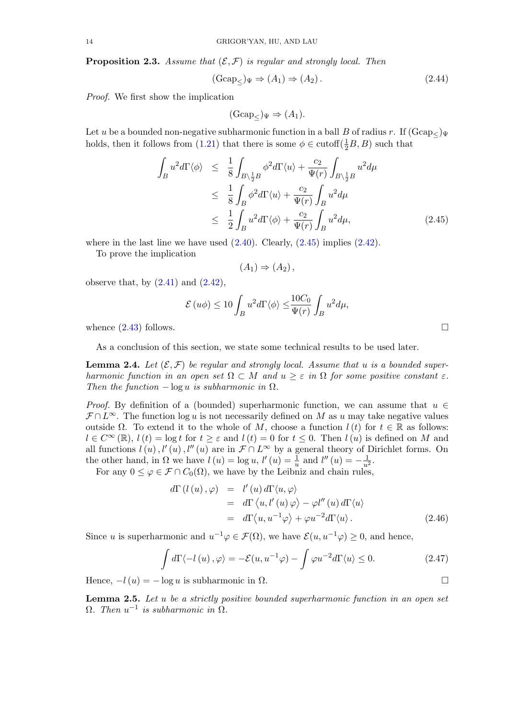<span id="page-13-0"></span>**Proposition 2.3.** Assume that  $(\mathcal{E}, \mathcal{F})$  is regular and strongly local. Then

$$
(\text{Gcap}_{\leq})_{\Psi} \Rightarrow (A_1) \Rightarrow (A_2). \tag{2.44}
$$

Proof. We first show the implication

$$
(\text{Gcap}_{\leq})_{\Psi} \Rightarrow (A_1).
$$

Let u be a bounded non-negative subharmonic function in a ball B of radius r. If  $(Gcap_{\leq} \mathcal{V})$ holds, then it follows from (1.21) that there is some  $\phi \in \text{cutoff}(\frac{1}{2}B, B)$  such that

$$
\int_{B} u^{2} d\Gamma \langle \phi \rangle \leq \frac{1}{8} \int_{B \setminus \frac{1}{2}B} \phi^{2} d\Gamma \langle u \rangle + \frac{c_{2}}{\Psi(r)} \int_{B \setminus \frac{1}{2}B} u^{2} d\mu
$$
\n
$$
\leq \frac{1}{8} \int_{B} \phi^{2} d\Gamma \langle u \rangle + \frac{c_{2}}{\Psi(r)} \int_{B} u^{2} d\mu
$$
\n
$$
\leq \frac{1}{2} \int_{B} u^{2} d\Gamma \langle \phi \rangle + \frac{c_{2}}{\Psi(r)} \int_{B} u^{2} d\mu, \qquad (2.45)
$$

where in the last line we have used  $(2.40)$ . Clearly,  $(2.45)$  implies  $(2.42)$ .

To prove the implication

$$
(A_1) \Rightarrow (A_2),
$$

observe that, by  $(2.41)$  and  $(2.42)$ ,

$$
\mathcal{E}(u\phi) \le 10 \int_B u^2 d\Gamma \langle \phi \rangle \le \frac{10C_0}{\Psi(r)} \int_B u^2 d\mu,
$$

whence  $(2.43)$  foll[ows.](#page-12-0)

As a conclusion of this section, we state some technical results to be used later.

**Lemma [2.4.](#page-12-0)** Let  $(\mathcal{E}, \mathcal{F})$  be regular and strongly local. Assume that u is a bounded superharmonic function in an open set  $\Omega \subset M$  and  $u \geq \varepsilon$  in  $\Omega$  for some positive constant  $\varepsilon$ . Then the function  $-\log u$  is subharmonic in  $\Omega$ .

*Proof.* By definition of a (bounded) superharmonic function, we can assume that  $u \in$  $\mathcal{F} \cap L^{\infty}$ . The function log u is not necessarily defined on M as u may take negative values outside  $Ω$ . To extend it to the whole of M, choose a function  $l(t)$  for  $t \in \mathbb{R}$  as follows:  $l \in \mathbb{C}^{\infty}(\mathbb{R}), l(t) = \log t$  for  $t \geq \varepsilon$  and  $l(t) = 0$  for  $t \leq 0$ . Then  $l(u)$  is defined on M and all functions  $l(u)$ ,  $l'(u)$ ,  $l''(u)$  are in  $\mathcal{F} \cap L^{\infty}$  by a general theory of Dirichlet forms. On the other hand, in  $\Omega$  we have  $l(u) = \log u$ ,  $l'(u) = \frac{1}{u}$  and  $l''(u) = -\frac{1}{u^2}$ .

For any  $0 \leq \varphi \in \mathcal{F} \cap C_0(\Omega)$ , we have by the Leibniz and chain rules,

$$
d\Gamma(l(u), \varphi) = l'(u) d\Gamma\langle u, \varphi \rangle
$$
  
=  $d\Gamma \langle u, l'(u) \varphi \rangle - \varphi l''(u) d\Gamma \langle u \rangle$   
=  $d\Gamma \langle u, u^{-1} \varphi \rangle + \varphi u^{-2} d\Gamma \langle u \rangle$ . (2.46)

Since u is superharmonic and  $u^{-1}\varphi \in \mathcal{F}(\Omega)$ , we have  $\mathcal{E}(u, u^{-1}\varphi) \geq 0$ , and hence,

$$
\int d\Gamma \langle -l(u), \varphi \rangle = -\mathcal{E}(u, u^{-1}\varphi) - \int \varphi u^{-2} d\Gamma \langle u \rangle \le 0.
$$
 (2.47)

Hence,  $-l(u) = -\log u$  is subharmonic in  $\Omega$ .

**Lemma 2.5.** Let  $u$  be a strictly positive bounded superharmonic function in an open set  $\Omega$ . Then  $u^{-1}$  is subharmonic in  $\Omega$ .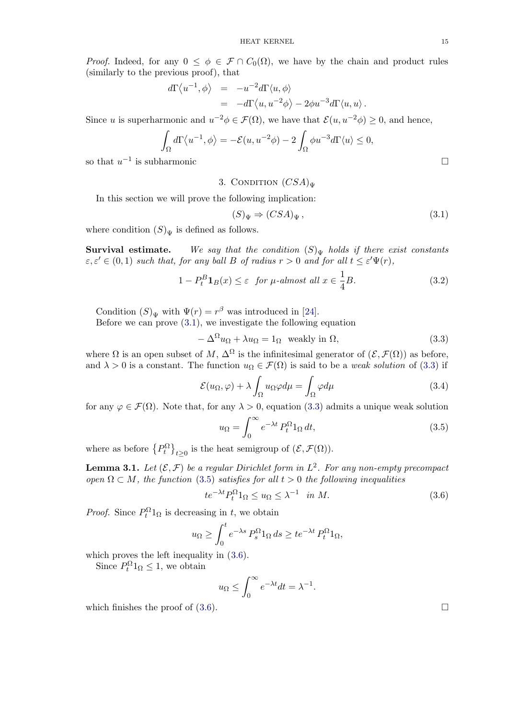<span id="page-14-0"></span>*Proof.* Indeed, for any  $0 \leq \phi \in \mathcal{F} \cap C_0(\Omega)$ , we have by the chain and product rules (similarly to the previous proof), that

$$
d\Gamma \langle u^{-1}, \phi \rangle = -u^{-2} d\Gamma \langle u, \phi \rangle
$$
  
=  $-d\Gamma \langle u, u^{-2} \phi \rangle - 2\phi u^{-3} d\Gamma \langle u, u \rangle.$ 

Since u is superharmonic and  $u^{-2}\phi \in \mathcal{F}(\Omega)$ , we have that  $\mathcal{E}(u, u^{-2}\phi) \geq 0$ , and hence,

$$
\int_{\Omega} d\Gamma \langle u^{-1}, \phi \rangle = -\mathcal{E}(u, u^{-2}\phi) - 2 \int_{\Omega} \phi u^{-3} d\Gamma \langle u \rangle \le 0,
$$
  
so that  $u^{-1}$  is subharmonic

3. CONDITION  $(CSA)_{\Psi}$ 

In this section we will prove the following implication:

$$
(S)_{\Psi} \Rightarrow (CSA)_{\Psi}, \tag{3.1}
$$

where condition  $(S)<sub>\Psi</sub>$  is defined as follows.

**Survival estimate.** We say that the condition  $(S)_{\Psi}$  holds if there exist constants  $\varepsilon, \varepsilon' \in (0, 1)$  such that, for any ball B of radius  $r > 0$  and for all  $t \leq \varepsilon' \Psi(r)$ ,

$$
1 - P_t^B \mathbf{1}_B(x) \le \varepsilon \quad \text{for } \mu\text{-almost all } x \in \frac{1}{4}B. \tag{3.2}
$$

Condition  $(S)_\Psi$  with  $\Psi(r) = r^\beta$  was introduced in [24].

Before we can prove  $(3.1)$ , we investigate the following equation

 $-\Delta^{\Omega}u_{\Omega} + \lambda u_{\Omega} = 1_{\Omega}$  weakly in  $\Omega$ , (3.3)

where  $\Omega$  is an open subset of M,  $\Delta^{\Omega}$  is the infinitesi[mal](#page-48-0) generator of  $(\mathcal{E}, \mathcal{F}(\Omega))$  as before, and  $\lambda > 0$  is a constant. The function  $u_{\Omega} \in \mathcal{F}(\Omega)$  is said to be a *weak solution* of (3.3) if

$$
\mathcal{E}(u_{\Omega}, \varphi) + \lambda \int_{\Omega} u_{\Omega} \varphi d\mu = \int_{\Omega} \varphi d\mu \tag{3.4}
$$

for any  $\varphi \in \mathcal{F}(\Omega)$ . Note that, for any  $\lambda > 0$ , equation (3.3) admits a unique weak solution

$$
u_{\Omega} = \int_0^{\infty} e^{-\lambda t} P_t^{\Omega} 1_{\Omega} dt,
$$
\n(3.5)

where as before  ${P_t^{\Omega}}_{t\geq0}$  is the heat semigroup of  $(\mathcal{E}, \mathcal{F}(\Omega)).$ 

**Lemma 3.1.** Let  $(\mathcal{E}, \mathcal{F})$  be a regular Dirichlet form in  $L^2$ . For any non-empty precompact open  $\Omega \subset M$ , the function (3.5) satisfies for all  $t > 0$  the following inequalities

$$
te^{-\lambda t}P_t^{\Omega}1_{\Omega} \le u_{\Omega} \le \lambda^{-1} \quad \text{in } M. \tag{3.6}
$$

*Proof.* Since  $P_t^{\Omega}1_{\Omega}$  is decreasing in t, we obtain

$$
u_{\Omega} \ge \int_0^t e^{-\lambda s} P_s^{\Omega} 1_{\Omega} ds \ge t e^{-\lambda t} P_t^{\Omega} 1_{\Omega},
$$

which proves the left inequality in  $(3.6)$ .

Since  $P_t^{\Omega} 1_{\Omega} \leq 1$ , we obtain

$$
u_{\Omega} \le \int_0^{\infty} e^{-\lambda t} dt = \lambda^{-1}.
$$

which finishes the proof of  $(3.6)$ .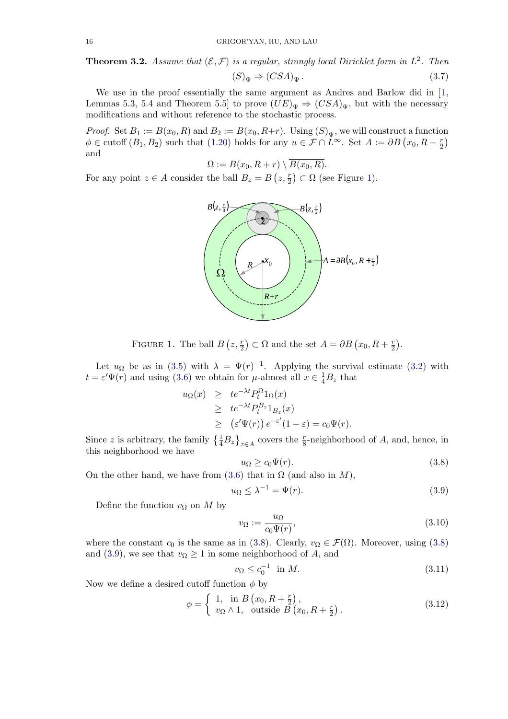<span id="page-15-0"></span>**Theorem 3.2.** Assume that  $(\mathcal{E}, \mathcal{F})$  is a regular, strongly local Dirichlet form in  $L^2$ . Then  $(S)<sub>\Psi</sub> \Rightarrow (CSA)<sub>\Psi</sub>$  . (3.7)

We use in the proof essentially the same argument as Andres and Barlow did in [1, Lemmas 5.3, 5.4 and Theorem 5.5] to prove  $(UE)_{\Psi} \Rightarrow (CSA)_{\Psi}$ , but with the necessary modifications and without reference to the stochastic process.

*Proof.* Set  $B_1 := B(x_0, R)$  and  $B_2 := B(x_0, R+r)$ . Using  $(S)_{\Psi}$ , we will c[on](#page-47-0)struct a function  $\phi \in \text{cutoff}(B_1, B_2)$  such that (1.20) holds for any  $u \in \mathcal{F} \cap L^{\infty}$ . Set  $A := \partial B(x_0, R + \frac{r}{2})$ and

$$
\Omega := B(x_0, R + r) \setminus \overline{B(x_0, R)}.
$$

For any point  $z \in A$  consider t[he](#page-6-0) [b](#page-6-0)all  $B_z = B(z, \frac{r}{2}) \subset \Omega$  (see Figure 1).

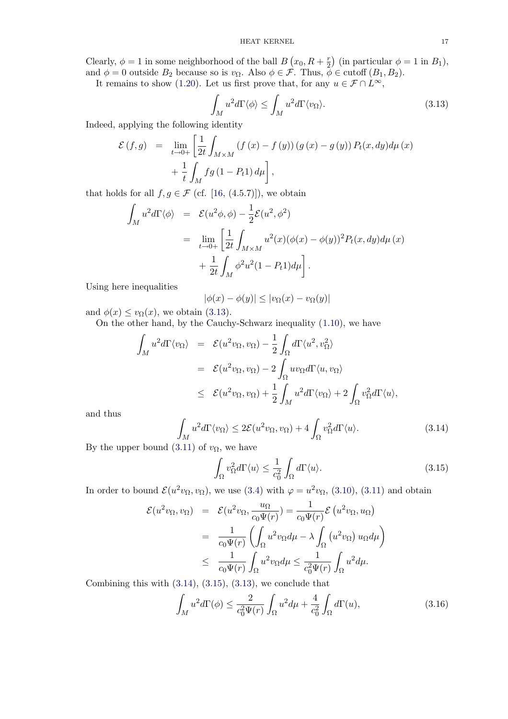Clearly,  $\phi = 1$  in some neighborhood of the ball  $B(x_0, R + \frac{r}{2})$  (in particular  $\phi = 1$  in  $B_1$ ), and  $\phi = 0$  outside  $B_2$  because so is  $v_{\Omega}$ . Also  $\phi \in \mathcal{F}$ . Thus,  $\phi \in \text{cutoff}(B_1, B_2)$ .

It remains to show (1.20). Let us first prove that, for any  $u \in \mathcal{F} \cap L^{\infty}$ ,

$$
\int_{M} u^{2} d\Gamma \langle \phi \rangle \le \int_{M} u^{2} d\Gamma \langle v_{\Omega} \rangle. \tag{3.13}
$$

Indeed, applying the f[ollow](#page-6-0)ing identity

$$
\mathcal{E}(f,g) = \lim_{t \to 0+} \left[ \frac{1}{2t} \int_{M \times M} (f(x) - f(y)) (g(x) - g(y)) P_t(x, dy) d\mu(x) + \frac{1}{t} \int_M fg(1 - P_t 1) d\mu \right],
$$

that holds for all  $f, g \in \mathcal{F}$  (cf. [16, (4.5.7)]), we obtain

$$
\int_M u^2 d\Gamma \langle \phi \rangle = \mathcal{E}(u^2 \phi, \phi) - \frac{1}{2} \mathcal{E}(u^2, \phi^2)
$$
  
= 
$$
\lim_{t \to 0+} \left[ \frac{1}{2t} \int_{M \times M} u^2(x) (\phi(x) - \phi(y))^2 P_t(x, dy) d\mu(x) + \frac{1}{2t} \int_M \phi^2 u^2 (1 - P_t) d\mu \right].
$$

Using here inequalities

 $|\phi(x) - \phi(y)| \leq |v_{\Omega}(x) - v_{\Omega}(y)|$ 

and  $\phi(x) \leq v_{\Omega}(x)$ , we obtain (3.13).

On the other hand, by the Cauchy-Schwarz inequality (1.10), we have

$$
\int_M u^2 d\Gamma \langle v_{\Omega} \rangle = \mathcal{E}(u^2 v_{\Omega}, v_{\Omega}) - \frac{1}{2} \int_{\Omega} d\Gamma \langle u^2, v_{\Omega}^2 \rangle
$$
  
\n
$$
= \mathcal{E}(u^2 v_{\Omega}, v_{\Omega}) - 2 \int_{\Omega} uv_{\Omega} d\Gamma \langle u, v_{\Omega} \rangle
$$
  
\n
$$
\leq \mathcal{E}(u^2 v_{\Omega}, v_{\Omega}) + \frac{1}{2} \int_M u^2 d\Gamma \langle v_{\Omega} \rangle + 2 \int_{\Omega} v_{\Omega}^2 d\Gamma \langle u \rangle,
$$

and thus

$$
\int_{M} u^{2} d\Gamma \langle v_{\Omega} \rangle \leq 2\mathcal{E}(u^{2}v_{\Omega}, v_{\Omega}) + 4 \int_{\Omega} v_{\Omega}^{2} d\Gamma \langle u \rangle.
$$
\n(3.14)

By the upper bound (3.11) of  $v_{\Omega}$ , we have

$$
\int_{\Omega} v_{\Omega}^2 d\Gamma \langle u \rangle \le \frac{1}{c_0^2} \int_{\Omega} d\Gamma \langle u \rangle. \tag{3.15}
$$

In order to bound  $\mathcal{E}(u^2v_{\Omega}, v_{\Omega})$  $\mathcal{E}(u^2v_{\Omega}, v_{\Omega})$  $\mathcal{E}(u^2v_{\Omega}, v_{\Omega})$ , we use (3.4) with  $\varphi = u^2v_{\Omega}$ , (3.10), (3.11) and obtain

$$
\mathcal{E}(u^2v_{\Omega}, v_{\Omega}) = \mathcal{E}(u^2v_{\Omega}, \frac{u_{\Omega}}{c_0\Psi(r)}) = \frac{1}{c_0\Psi(r)} \mathcal{E}(u^2v_{\Omega}, u_{\Omega})
$$
  

$$
= \frac{1}{c_0\Psi(r)} \left( \int_{\Omega} u^2v_{\Omega}d\mu - \lambda \int_{\Omega} (u^2v_{\Omega}) u_{\Omega}d\mu \right)
$$
  

$$
\leq \frac{1}{c_0\Psi(r)} \int_{\Omega} u^2v_{\Omega}d\mu \leq \frac{1}{c_0^2\Psi(r)} \int_{\Omega} u^2d\mu.
$$

Combining this with  $(3.14)$ ,  $(3.15)$ ,  $(3.13)$ , we conclude that

$$
\int_M u^2 d\Gamma(\phi) \le \frac{2}{c_0^2 \Psi(r)} \int_\Omega u^2 d\mu + \frac{4}{c_0^2} \int_\Omega d\Gamma(u),\tag{3.16}
$$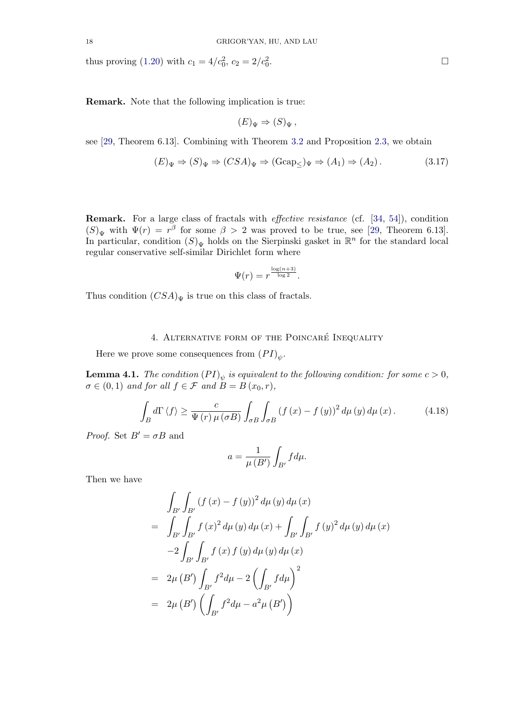<span id="page-17-0"></span>thus proving (1.20) with  $c_1 = 4/c_0^2$ ,  $c_2 = 2/c_0^2$ 

Remark. No[te th](#page-6-0)at the following implication is true:

$$
(E)_{\Psi} \Rightarrow (S)_{\Psi},
$$

see [29, Theorem 6.13]. Combining with Theorem 3.2 and Proposition 2.3, we obtain

$$
(E)_{\Psi} \Rightarrow (S)_{\Psi} \Rightarrow (CSA)_{\Psi} \Rightarrow (\text{Gcap}_{\leq})_{\Psi} \Rightarrow (A_1) \Rightarrow (A_2). \tag{3.17}
$$

Remark. For a large class of fractals with effective resistance (cf. [34, 54]), condition  $(S)_{\Psi}$  with  $\Psi(r) = r^{\beta}$  for some  $\beta > 2$  was proved to be true, see [29, Theorem 6.13]. In particular, condition  $(S)<sub>\Psi</sub>$  holds on the Sierpinski gasket in  $\mathbb{R}^n$  for the standard local regular conservative self-similar Dirichlet form where

$$
\Psi(r) = r^{\frac{\log(n+3)}{\log 2}}.
$$

Thus condition  $(CSA)_{\Psi}$  is true on this class of fractals.

# 4. ALTERNATIVE FORM OF THE POINCARÉ INEQUALITY

Here we prove some consequences from  $(PI)_{\psi}$ .

**Lemma 4.1.** The condition  $(PI)_\psi$  is equivalent to the following condition: for some  $c > 0$ ,  $\sigma \in (0,1)$  and for all  $f \in \mathcal{F}$  and  $B = B(x_0,r)$ ,

$$
\int_{B} d\Gamma \left\langle f \right\rangle \geq \frac{c}{\Psi(r)\,\mu\left(\sigma B\right)} \int_{\sigma B} \int_{\sigma B} \left(f\left(x\right) - f\left(y\right)\right)^2 d\mu\left(y\right) d\mu\left(x\right). \tag{4.18}
$$

*Proof.* Set  $B' = \sigma B$  and

$$
a = \frac{1}{\mu(B')} \int_{B'} f d\mu.
$$

Then we have

$$
\int_{B'} \int_{B'} (f(x) - f(y))^{2} d\mu(y) d\mu(x)
$$
\n
$$
= \int_{B'} \int_{B'} f(x)^{2} d\mu(y) d\mu(x) + \int_{B'} \int_{B'} f(y)^{2} d\mu(y) d\mu(x)
$$
\n
$$
-2 \int_{B'} \int_{B'} f(x) f(y) d\mu(y) d\mu(x)
$$
\n
$$
= 2\mu (B') \int_{B'} f^{2} d\mu - 2 \left( \int_{B'} f d\mu \right)^{2}
$$
\n
$$
= 2\mu (B') \left( \int_{B'} f^{2} d\mu - a^{2} \mu (B') \right)
$$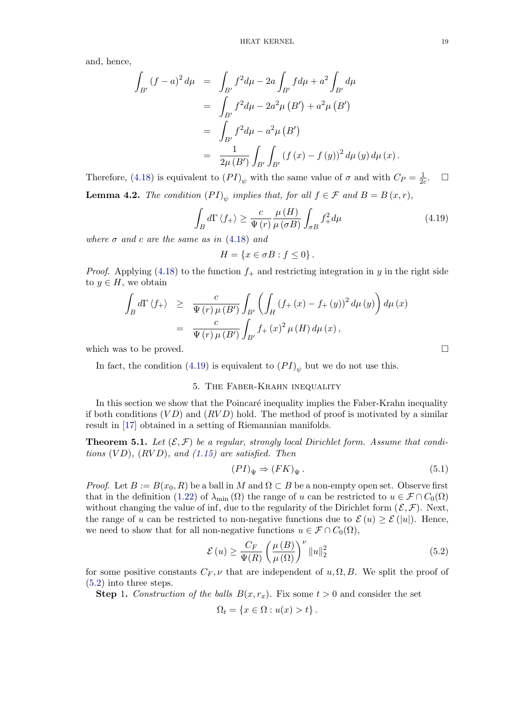<span id="page-18-0"></span>and, hence,

$$
\int_{B'} (f - a)^2 d\mu = \int_{B'} f^2 d\mu - 2a \int_{B'} f d\mu + a^2 \int_{B'} d\mu
$$
  
= 
$$
\int_{B'} f^2 d\mu - 2a^2 \mu (B') + a^2 \mu (B')
$$
  
= 
$$
\int_{B'} f^2 d\mu - a^2 \mu (B')
$$
  
= 
$$
\frac{1}{2\mu (B')} \int_{B'} \int_{B'} (f (x) - f (y))^2 d\mu (y) d\mu (x).
$$

Therefore, (4.18) is equivalent to  $(PI)_{\psi}$  with the same value of  $\sigma$  and with  $C_P = \frac{1}{2c}$ .  $\Box$ **Lemma 4.2.** The condition  $(PI)_{\psi}$  implies that, for all  $f \in \mathcal{F}$  and  $B = B(x, r)$ ,

$$
\int_{B} d\Gamma \left\langle f_{+} \right\rangle \geq \frac{c}{\Psi \left( r \right)} \frac{\mu \left( H \right)}{\mu \left( \sigma B \right)} \int_{\sigma B} f_{+}^{2} d\mu \tag{4.19}
$$

where  $\sigma$  and c are the same as in (4.18) and

$$
H = \{x \in \sigma B : f \le 0\}.
$$

*Proof.* Applying (4.18) to the function  $f_+$  and restricting integration in y in the right side to  $y \in H$ , we obtain

$$
\int_{B} d\Gamma \langle f_{+} \rangle \geq \frac{c}{\Psi(r) \mu(B')} \int_{B'} \left( \int_{H} (f_{+}(x) - f_{+}(y))^{2} d\mu(y) \right) d\mu(x)
$$
  
= 
$$
\frac{c}{\Psi(r) \mu(B')} \int_{B'} f_{+}(x)^{2} \mu(H) d\mu(x),
$$

which was to be proved.  $\Box$ 

In fact, the condition (4.19) is equivalent to  $(PI)_{\psi}$  but we do not use this.

### 5. The Faber-Krahn inequality

In this section we show that the Poincaré inequality implies the Faber-Krahn inequality if both conditions  $(VD)$  and  $(RVD)$  hold. The method of proof is motivated by a similar result in [17] obtained in a setting of Riemannian manifolds.

**Theorem 5.1.** Let  $(\mathcal{E}, \mathcal{F})$  be a regular, strongly local Dirichlet form. Assume that conditions  $(VD)$ ,  $(RVD)$ , and  $(1.15)$  are satisfied. Then

$$
(PI)_{\Psi} \Rightarrow (FK)_{\Psi}.
$$
\n
$$
(5.1)
$$

*Proof.* Let  $B := B(x_0, R)$  be a ball in M and  $\Omega \subset B$  be a non-empty open set. Observe first that in the definition (1.22[\)](#page-4-0) [of](#page-4-0)  $\lambda_{\min}(\Omega)$  the range of u can be restricted to  $u \in \mathcal{F} \cap C_0(\Omega)$ without changing the value of inf, due to the regularity of the Dirichlet form  $(\mathcal{E}, \mathcal{F})$ . Next, the range of u can be restricted to non-negative functions due to  $\mathcal{E}(u) \geq \mathcal{E}(u|)$ . Hence, we need to show that for all non-negative functions  $u \in \mathcal{F} \cap C_0(\Omega)$ ,

$$
\mathcal{E}\left(u\right) \ge \frac{C_F}{\Psi(R)} \left(\frac{\mu\left(B\right)}{\mu\left(\Omega\right)}\right)^{\nu} \left\|u\right\|_2^2\tag{5.2}
$$

for some positive constants  $C_F$ ,  $\nu$  that are independent of  $u, \Omega, B$ . We split the proof of (5.2) into three steps.

**Step 1.** Construction of the balls  $B(x, r_x)$ . Fix some  $t > 0$  and consider the set

$$
\Omega_t = \{x \in \Omega : u(x) > t\}.
$$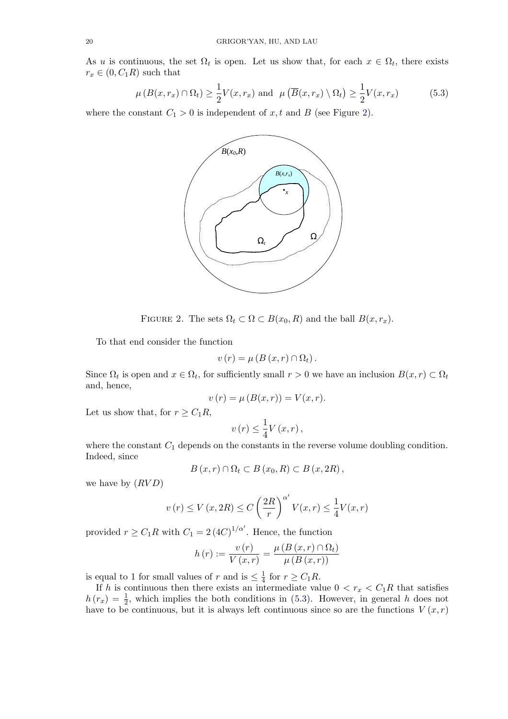<span id="page-19-0"></span>As u is continuous, the set  $\Omega_t$  is open. Let us show that, for each  $x \in \Omega_t$ , there exists  $r_x \in (0, C_1R)$  such that

$$
\mu(B(x, r_x) \cap \Omega_t) \ge \frac{1}{2} V(x, r_x) \text{ and } \mu(\overline{B}(x, r_x) \setminus \Omega_t) \ge \frac{1}{2} V(x, r_x) \tag{5.3}
$$

where the constant  $C_1 > 0$  is independent of  $x, t$  and  $B$  (see Figure 2).

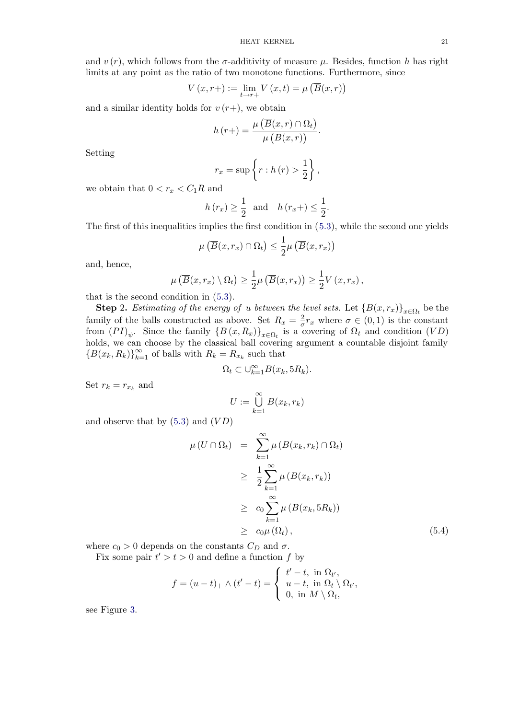and  $v(r)$ , which follows from the  $\sigma$ -additivity of measure  $\mu$ . Besides, function h has right limits at any point as the ratio of two monotone functions. Furthermore, since

$$
V(x,r+) := \lim_{t \to r+} V(x,t) = \mu\left(\overline{B}(x,r)\right)
$$

and a similar identity holds for  $v(r+)$ , we obtain

$$
h(r+) = \frac{\mu\left(\overline{B}(x,r) \cap \Omega_t\right)}{\mu\left(\overline{B}(x,r)\right)}.
$$

Setting

$$
r_x = \sup \left\{ r : h(r) > \frac{1}{2} \right\},\
$$

we obtain that  $0 < r_x < C_1 R$  and

$$
h(r_x) \geq \frac{1}{2}
$$
 and  $h(r_x+) \leq \frac{1}{2}$ .

The first of this inequalities implies the first condition in (5.3), while the second one yields

$$
\mu\left(\overline{B}(x,r_x)\cap\Omega_t\right)\leq\frac{1}{2}\mu\left(\overline{B}(x,r_x)\right)
$$

and, hence,

$$
\mu\left(\overline{B}(x,r_x)\setminus\Omega_t\right)\geq \frac{1}{2}\mu\left(\overline{B}(x,r_x)\right)\geq \frac{1}{2}V(x,r_x),
$$

that is the second condition in (5.3).

**Step 2.** Estimating of the energy of u between the level sets. Let  ${B(x,r_x)}_{x \in \Omega_t}$  be the family of the balls constructed as above. Set  $R_x = \frac{2}{\sigma} r_x$  where  $\sigma \in (0,1)$  is the constant from  $(PI)_\psi$ . Since the family  $\{B(x,R_x)\}_{x\in\Omega_t}$  is a covering of  $\Omega_t$  and condition  $(VD)$ holds, we can choose by the cla[ssic](#page-19-0)al ball covering argument a countable disjoint family  ${B(x_k, R_k)}_{k=1}^{\infty}$  of balls with  $R_k = R_{x_k}$  such that

$$
\Omega_t \subset \cup_{k=1}^{\infty} B(x_k, 5R_k).
$$

Set  $r_k = r_{x_k}$  and

$$
U := \bigcup_{k=1}^{\infty} B(x_k, r_k)
$$

and observe that by  $(5.3)$  and  $(VD)$ 

$$
\mu(U \cap \Omega_t) = \sum_{k=1}^{\infty} \mu(B(x_k, r_k) \cap \Omega_t)
$$
  
\n
$$
\geq \frac{1}{2} \sum_{k=1}^{\infty} \mu(B(x_k, r_k))
$$
  
\n
$$
\geq c_0 \sum_{k=1}^{\infty} \mu(B(x_k, 5R_k))
$$
  
\n
$$
\geq c_0 \mu(\Omega_t), \qquad (5.4)
$$

where  $c_0 > 0$  depends on the constants  $C_D$  and  $\sigma$ .

Fix some pair  $t' > t > 0$  and define a function f by

$$
f = (u - t)_{+} \wedge (t' - t) = \begin{cases} t' - t, \text{ in } \Omega_{t'}, \\ u - t, \text{ in } \Omega_{t} \setminus \Omega_{t'}, \\ 0, \text{ in } M \setminus \Omega_{t}, \end{cases}
$$

see Figure 3.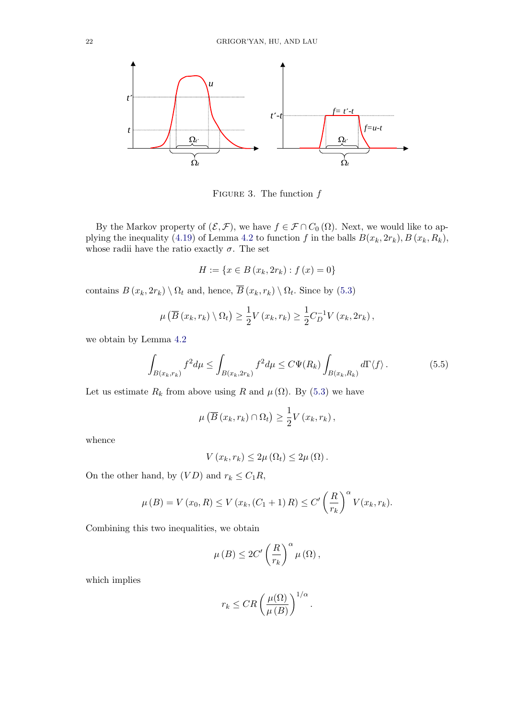

FIGURE 3. The function  $f$ 

By the Markov property of  $(\mathcal{E}, \mathcal{F})$ , we have  $f \in \mathcal{F} \cap C_0(\Omega)$ . Next, we would like to applying the inequality (4.19) of Lemma 4.2 to function f in the balls  $B(x_k, 2r_k)$ ,  $B(x_k, R_k)$ , whose radii have the ratio exactly  $\sigma$ . The set

$$
H := \{ x \in B (x_k, 2r_k) : f (x) = 0 \}
$$

contains  $B(x_k, 2r_k) \setminus \Omega_t$  and, hence,  $\overline{B}(x_k, r_k) \setminus \Omega_t$ . Since by (5.3)

$$
\mu\left(\overline{B}\left(x_k,r_k\right)\setminus\Omega_t\right)\geq \frac{1}{2}V\left(x_k,r_k\right)\geq \frac{1}{2}C_D^{-1}V\left(x_k,2r_k\right),
$$

we obtain by Lemma 4.2

$$
\int_{B(x_k, r_k)} f^2 d\mu \le \int_{B(x_k, 2r_k)} f^2 d\mu \le C\Psi(R_k) \int_{B(x_k, R_k)} d\Gamma \langle f \rangle.
$$
 (5.5)

Let us estimate  $R_k$  from above using R and  $\mu(\Omega)$ . By (5.3) we have

$$
\mu\left(\overline{B}\left(x_k,r_k\right)\cap\Omega_t\right)\geq\frac{1}{2}V\left(x_k,r_k\right),\,
$$

whence

$$
V(x_k,r_k)\leq 2\mu\left(\Omega_t\right)\leq 2\mu\left(\Omega\right).
$$

On the other hand, by  $(VD)$  and  $r_k \leq C_1 R$ ,

$$
\mu(B) = V(x_0, R) \le V(x_k, (C_1 + 1) R) \le C' \left(\frac{R}{r_k}\right)^{\alpha} V(x_k, r_k).
$$

Combining this two inequalities, we obtain

$$
\mu(B) \leq 2C' \left(\frac{R}{r_k}\right)^{\alpha} \mu(\Omega),
$$

which implies

$$
r_k \leq CR \left(\frac{\mu(\Omega)}{\mu(B)}\right)^{1/\alpha}.
$$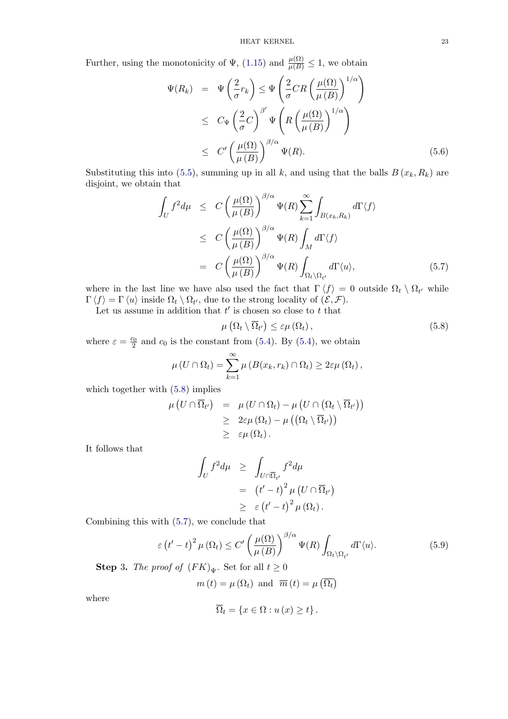Further, using the monotonicity of  $\Psi$ , (1.15) and  $\frac{\mu(\Omega)}{\mu(B)} \leq 1$ , we obtain

$$
\Psi(R_k) = \Psi\left(\frac{2}{\sigma}r_k\right) \leq \Psi\left(\frac{2}{\sigma}CR\left(\frac{\mu(\Omega)}{\mu(B)}\right)^{1/\alpha}\right)
$$
  
\n
$$
\leq C_{\Psi}\left(\frac{2}{\sigma}C\right)^{\beta'}\Psi\left(R\left(\frac{\mu(\Omega)}{\mu(B)}\right)^{1/\alpha}\right)
$$
  
\n
$$
\leq C'\left(\frac{\mu(\Omega)}{\mu(B)}\right)^{\beta/\alpha}\Psi(R). \tag{5.6}
$$

Substituting this into (5.5), summing up in all k, and using that the balls  $B(x_k, R_k)$  are disjoint, we obtain that

$$
\int_{U} f^{2} d\mu \leq C \left( \frac{\mu(\Omega)}{\mu(B)} \right)^{\beta/\alpha} \Psi(R) \sum_{k=1}^{\infty} \int_{B(x_{k}, R_{k})} d\Gamma \langle f \rangle
$$
\n
$$
\leq C \left( \frac{\mu(\Omega)}{\mu(B)} \right)^{\beta/\alpha} \Psi(R) \int_{M} d\Gamma \langle f \rangle
$$
\n
$$
= C \left( \frac{\mu(\Omega)}{\mu(B)} \right)^{\beta/\alpha} \Psi(R) \int_{\Omega_{t} \setminus \Omega_{t'}} d\Gamma \langle u \rangle, \tag{5.7}
$$

where in the last line we have also used the fact that  $\Gamma \langle f \rangle = 0$  outside  $\Omega_t \setminus \Omega_{t'}$  while  $\Gamma \langle f \rangle = \Gamma \langle u \rangle$  inside  $\Omega_t \setminus \Omega_{t'}$ , due to the strong locality of  $(\mathcal{E}, \mathcal{F})$ .

Let us assume in addition that  $t'$  is chosen so close to  $t$  that

$$
\mu\left(\Omega_t\setminus\overline{\Omega}_{t'}\right)\leq\varepsilon\mu\left(\Omega_t\right),\tag{5.8}
$$

where  $\varepsilon = \frac{c_0}{2}$  and  $c_0$  is the constant from (5.4). By (5.4), we obtain

$$
\mu\left(U\cap\Omega_t\right)=\sum_{k=1}^\infty\mu\left(B(x_k,r_k)\cap\Omega_t\right)\geq 2\varepsilon\mu\left(\Omega_t\right),
$$

which together with (5.8) implies

$$
\mu\left(U \cap \overline{\Omega}_{t'}\right) = \mu\left(U \cap \Omega_{t}\right) - \mu\left(U \cap \left(\Omega_{t} \setminus \overline{\Omega}_{t'}\right)\right) \geq 2\varepsilon\mu\left(\Omega_{t}\right) - \mu\left(\left(\Omega_{t} \setminus \overline{\Omega}_{t'}\right)\right) \geq \varepsilon\mu\left(\Omega_{t}\right).
$$

It follows that

$$
\int_{U} f^{2} d\mu \geq \int_{U \cap \overline{\Omega}_{t'}} f^{2} d\mu
$$
  
=  $(t' - t)^{2} \mu (U \cap \overline{\Omega}_{t'})$   
 $\geq \varepsilon (t' - t)^{2} \mu (\Omega_{t}).$ 

Combining this with (5.7), we conclude that

$$
\varepsilon \left(t'-t\right)^2 \mu \left(\Omega_t\right) \le C' \left(\frac{\mu(\Omega)}{\mu\left(B\right)}\right)^{\beta/\alpha} \Psi(R) \int_{\Omega_t \setminus \Omega_{t'}} d\Gamma \langle u \rangle. \tag{5.9}
$$

**Step 3.** The proof of  $(FK)_{\Psi}$ . Set for all  $t \geq 0$ 

$$
m(t) = \mu(\Omega_t)
$$
 and  $\overline{m}(t) = \mu(\overline{\Omega_t})$ 

where

$$
\overline{\Omega}_{t} = \{ x \in \Omega : u(x) \geq t \}.
$$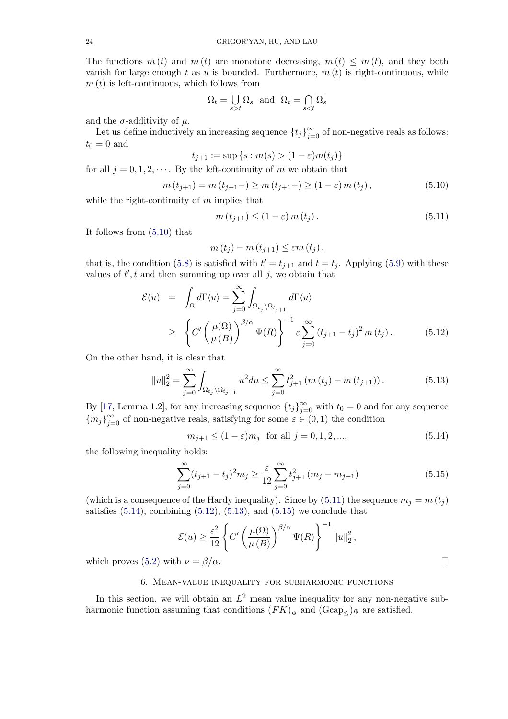<span id="page-23-0"></span>The functions  $m(t)$  and  $\overline{m}(t)$  are monotone decreasing,  $m(t) \leq \overline{m}(t)$ , and they both vanish for large enough t as u is bounded. Furthermore,  $m(t)$  is right-continuous, while  $\overline{m}(t)$  is left-continuous, which follows from

$$
\Omega_t = \bigcup_{s>t} \Omega_s \text{ and } \overline{\Omega}_t = \bigcap_{s
$$

and the  $\sigma$ -additivity of  $\mu$ .

Let us define inductively an increasing sequence  $\{t_j\}_{j=0}^{\infty}$  of non-negative reals as follows:  $t_0 = 0$  and

$$
t_{j+1} := \sup \{ s : m(s) > (1 - \varepsilon) m(t_j) \}
$$

for all  $j = 0, 1, 2, \dots$ . By the left-continuity of  $\overline{m}$  we obtain that

$$
\overline{m}(t_{j+1}) = \overline{m}(t_{j+1}) \ge m(t_{j+1}) \ge (1 - \varepsilon) m(t_j), \qquad (5.10)
$$

while the right-continuity of  $m$  implies that

$$
m(t_{j+1}) \le (1 - \varepsilon) m(t_j). \tag{5.11}
$$

It follows from (5.10) that

$$
m(t_j)-\overline{m}(t_{j+1})\leq \varepsilon m(t_j),
$$

that is, the condition (5.8) is satisfied with  $t' = t_{j+1}$  and  $t = t_j$ . Applying (5.9) with these values of  $t', t$  and then summing up over all j, we obtain that

$$
\mathcal{E}(u) = \int_{\Omega} d\Gamma \langle u \rangle = \sum_{j=0}^{\infty} \int_{\Omega_{t_j} \setminus \Omega_{t_{j+1}}} d\Gamma \langle u \rangle
$$
  
\n
$$
\geq \left\{ C' \left( \frac{\mu(\Omega)}{\mu(B)} \right)^{\beta/\alpha} \Psi(R) \right\}^{-1} \varepsilon \sum_{j=0}^{\infty} (t_{j+1} - t_j)^2 m(t_j). \tag{5.12}
$$

On the other hand, it is clear that

$$
||u||_2^2 = \sum_{j=0}^{\infty} \int_{\Omega_{t_j} \setminus \Omega_{t_{j+1}}} u^2 d\mu \le \sum_{j=0}^{\infty} t_{j+1}^2 (m(t_j) - m(t_{j+1})). \tag{5.13}
$$

By [17, Lemma 1.2], for any increasing sequence  $\{t_j\}_{j=0}^{\infty}$  with  $t_0 = 0$  and for any sequence  ${m_j}_{j=0}^{\infty}$  of non-negative reals, satisfying for some  $\varepsilon \in (0,1)$  the condition

$$
m_{j+1} \le (1 - \varepsilon)m_j \text{ for all } j = 0, 1, 2, ..., \tag{5.14}
$$

the [foll](#page-48-0)owing inequality holds:

$$
\sum_{j=0}^{\infty} (t_{j+1} - t_j)^2 m_j \ge \frac{\varepsilon}{12} \sum_{j=0}^{\infty} t_{j+1}^2 (m_j - m_{j+1})
$$
\n(5.15)

(which is a consequence of the Hardy inequality). Since by (5.11) the sequence  $m_j = m(t_j)$ satisfies  $(5.14)$ , combining  $(5.12)$ ,  $(5.13)$ , and  $(5.15)$  we conclude that

$$
\mathcal{E}(u) \ge \frac{\varepsilon^2}{12} \left\{ C' \left( \frac{\mu(\Omega)}{\mu(B)} \right)^{\beta/\alpha} \Psi(R) \right\}^{-1} \|u\|_2^2,
$$

which proves (5.2) with  $\nu = \beta/\alpha$ .

## 6. Mean-value inequality for subharmonic functions

In this sect[ion,](#page-18-0) we will obtain an  $L^2$  mean value inequality for any non-negative subharmonic function assuming that conditions  $(FK)_{\Psi}$  and  $(Gcap_{\leq})_{\Psi}$  are satisfied.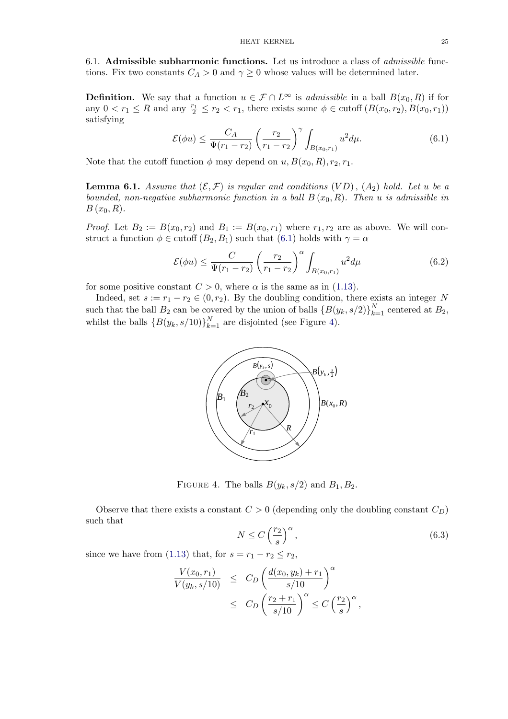<span id="page-24-0"></span>6.1. Admissible subharmonic functions. Let us introduce a class of admissible functions. Fix two constants  $C_A > 0$  and  $\gamma \geq 0$  whose values will be determined later.

**Definition.** We say that a function  $u \in \mathcal{F} \cap L^{\infty}$  is *admissible* in a ball  $B(x_0, R)$  if for any  $0 < r_1 \leq R$  and any  $\frac{r_1}{2} \leq r_2 < r_1$ , there exists some  $\phi \in \text{cutoff}(B(x_0, r_2), B(x_0, r_1))$ satisfying

$$
\mathcal{E}(\phi u) \le \frac{C_A}{\Psi(r_1 - r_2)} \left(\frac{r_2}{r_1 - r_2}\right)^{\gamma} \int_{B(x_0, r_1)} u^2 d\mu. \tag{6.1}
$$

Note that the cutoff function  $\phi$  may depend on  $u, B(x_0, R), r_2, r_1$ .

**Lemma 6.1.** Assume that  $(\mathcal{E}, \mathcal{F})$  is regular and conditions  $(VD)$ ,  $(A_2)$  hold. Let u be a bounded, non-negative subharmonic function in a ball  $B(x_0, R)$ . Then u is admissible in  $B(x_0, R)$ .

*Proof.* Let  $B_2 := B(x_0, r_2)$  and  $B_1 := B(x_0, r_1)$  where  $r_1, r_2$  are as above. We will construct a function  $\phi \in \text{cutoff}(B_2, B_1)$  such that  $(6.1)$  holds with  $\gamma = \alpha$ 

$$
\mathcal{E}(\phi u) \le \frac{C}{\Psi(r_1 - r_2)} \left(\frac{r_2}{r_1 - r_2}\right)^{\alpha} \int_{B(x_0, r_1)} u^2 d\mu \tag{6.2}
$$

for some positive constant  $C > 0$ , where  $\alpha$  is the same as in (1.13).

Indeed, set  $s := r_1 - r_2 \in (0, r_2)$ . By the doubling condition, there exists an integer N such that the ball  $B_2$  can be covered by the union of balls  $\{B(y_k, s/2)\}_{k=1}^N$  centered at  $B_2$ , whilst the balls  $\{B(y_k, s/10)\}_{k=1}^N$  are disjointed (see Figure 4[\).](#page-4-0)



FIGURE 4. The balls  $B(y_k, s/2)$  and  $B_1, B_2$ .

Observe that there exists a constant  $C > 0$  (depending only the doubling constant  $C_D$ ) such that

$$
N \le C \left(\frac{r_2}{s}\right)^{\alpha},\tag{6.3}
$$

,

since we have from (1.13) that, for  $s = r_1 - r_2 \le r_2$ ,

$$
\frac{V(x_0, r_1)}{V(y_k, s/10)} \leq C_D \left( \frac{d(x_0, y_k) + r_1}{s/10} \right)^{\alpha} \leq C_D \left( \frac{r_2 + r_1}{s/10} \right)^{\alpha} \leq C \left( \frac{r_2}{s} \right)^{\alpha}
$$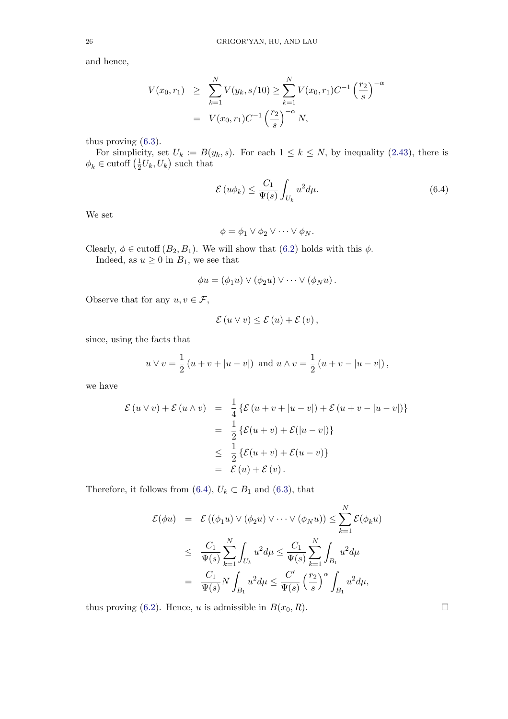and hence,

$$
V(x_0, r_1) \geq \sum_{k=1}^{N} V(y_k, s/10) \geq \sum_{k=1}^{N} V(x_0, r_1) C^{-1} \left(\frac{r_2}{s}\right)^{-\alpha}
$$
  
=  $V(x_0, r_1) C^{-1} \left(\frac{r_2}{s}\right)^{-\alpha} N$ ,

thus proving (6.3).

For simplicity, set  $U_k := B(y_k, s)$ . For each  $1 \leq k \leq N$ , by inequality (2.43), there is  $\phi_k \in \text{cutoff}\left(\frac{1}{2}U_k, U_k\right)$  such that

$$
\mathcal{E}\left(u\phi_k\right) \le \frac{C_1}{\Psi(s)} \int_{U_k} u^2 d\mu. \tag{6.4}
$$

We set

$$
\phi = \phi_1 \vee \phi_2 \vee \dots \vee \phi_N.
$$

Clearly,  $\phi \in \text{cutoff}(B_2, B_1)$ . We will show that  $(6.2)$  holds with this  $\phi$ .

Indeed, as  $u \ge 0$  in  $B_1$ , we see that

$$
\phi u = (\phi_1 u) \vee (\phi_2 u) \vee \cdots \vee (\phi_N u).
$$

Observe that for any  $u, v \in \mathcal{F}$ ,

$$
\mathcal{E}(u\vee v)\leq \mathcal{E}(u)+\mathcal{E}(v),
$$

since, using the facts that

$$
u \vee v = \frac{1}{2} (u + v + |u - v|)
$$
 and  $u \wedge v = \frac{1}{2} (u + v - |u - v|)$ ,

we have

$$
\mathcal{E}(u \vee v) + \mathcal{E}(u \wedge v) = \frac{1}{4} \{ \mathcal{E}(u + v + |u - v|) + \mathcal{E}(u + v - |u - v|) \}
$$
  

$$
= \frac{1}{2} \{ \mathcal{E}(u + v) + \mathcal{E}(|u - v|) \}
$$
  

$$
\leq \frac{1}{2} \{ \mathcal{E}(u + v) + \mathcal{E}(u - v) \}
$$
  

$$
= \mathcal{E}(u) + \mathcal{E}(v).
$$

Therefore, it follows from (6.4),  $U_k \subset B_1$  and (6.3), that

$$
\mathcal{E}(\phi u) = \mathcal{E}((\phi_1 u) \vee (\phi_2 u) \vee \cdots \vee (\phi_N u)) \le \sum_{k=1}^N \mathcal{E}(\phi_k u)
$$
  

$$
\le \frac{C_1}{\Psi(s)} \sum_{k=1}^N \int_{U_k} u^2 d\mu \le \frac{C_1}{\Psi(s)} \sum_{k=1}^N \int_{B_1} u^2 d\mu
$$
  

$$
= \frac{C_1}{\Psi(s)} N \int_{B_1} u^2 d\mu \le \frac{C'}{\Psi(s)} \left(\frac{r_2}{s}\right)^\alpha \int_{B_1} u^2 d\mu,
$$

thus proving (6.2). Hence, u is admissible in  $B(x_0, R)$ .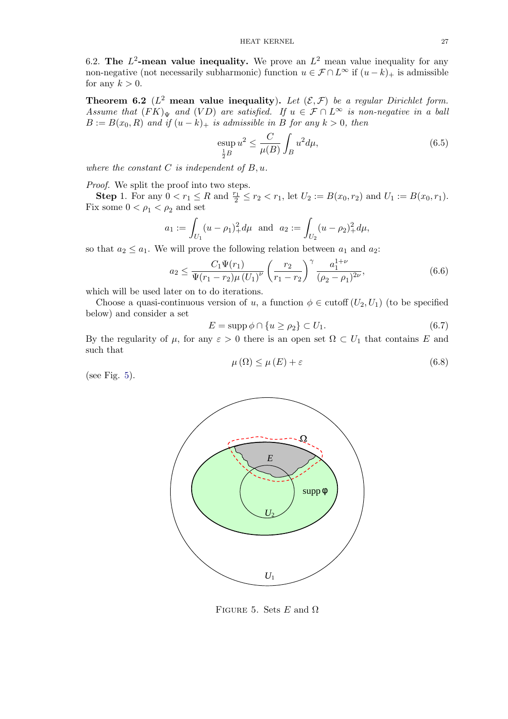<span id="page-26-0"></span>6.2. The  $L^2$ -mean value inequality. We prove an  $L^2$  mean value inequality for any non-negative (not necessarily subharmonic) function  $u \in \mathcal{F} \cap L^{\infty}$  if  $(u - k)$ + is admissible for any  $k > 0$ .

**Theorem 6.2** ( $L^2$  mean value inequality). Let  $(\mathcal{E}, \mathcal{F})$  be a regular Dirichlet form. Assume that  $(FK)_{\Psi}$  and  $(VD)$  are satisfied. If  $u \in \mathcal{F} \cap L^{\infty}$  is non-negative in a ball  $B := B(x_0, R)$  and if  $(u - k)_+$  is admissible in B for any  $k > 0$ , then

$$
\mathop{\rm exp}_{\frac{1}{2}B} u^2 \le \frac{C}{\mu(B)} \int_B u^2 d\mu,\tag{6.5}
$$

where the constant  $C$  is independent of  $B, u$ .

Proof. We split the proof into two steps.

**Step 1.** For any  $0 < r_1 \leq R$  and  $\frac{r_1}{2} \leq r_2 < r_1$ , let  $U_2 := B(x_0, r_2)$  and  $U_1 := B(x_0, r_1)$ . Fix some  $0 < \rho_1 < \rho_2$  and set

$$
a_1 := \int_{U_1} (u - \rho_1)_+^2 d\mu \text{ and } a_2 := \int_{U_2} (u - \rho_2)_+^2 d\mu,
$$

so that  $a_2 \le a_1$ . We will prove the following relation between  $a_1$  and  $a_2$ .

$$
a_2 \le \frac{C_1 \Psi(r_1)}{\Psi(r_1 - r_2)\mu (U_1)^{\nu}} \left(\frac{r_2}{r_1 - r_2}\right)^{\gamma} \frac{a_1^{1+\nu}}{(\rho_2 - \rho_1)^{2\nu}},
$$
(6.6)

which will be used later on to do iterations.

Choose a quasi-continuous version of u, a function  $\phi \in \text{cutoff}(U_2, U_1)$  (to be specified below) and consider a set

$$
E = \operatorname{supp} \phi \cap \{u \ge \rho_2\} \subset U_1. \tag{6.7}
$$

By the regularity of  $\mu$ , for any  $\varepsilon > 0$  there is an open set  $\Omega \subset U_1$  that contains E and such that

$$
\mu(\Omega) \le \mu(E) + \varepsilon \tag{6.8}
$$

(see Fig. 5).



FIGURE 5. Sets E and  $\Omega$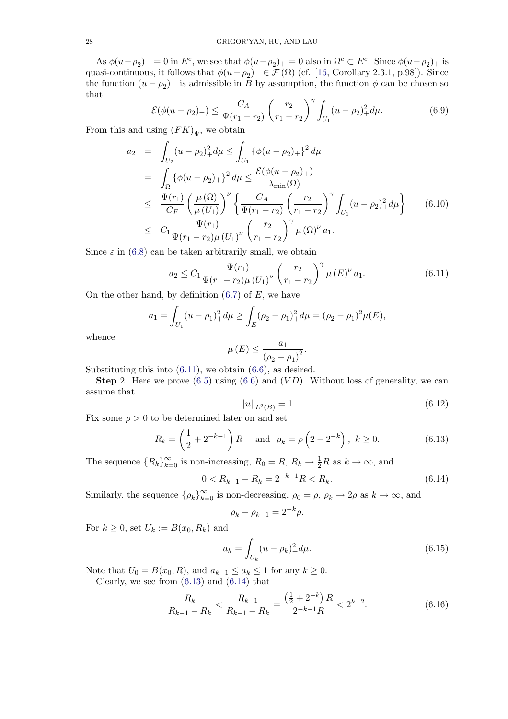<span id="page-27-0"></span>As  $\phi(u-\rho_2)_+ = 0$  in  $E^c$ , we see that  $\phi(u-\rho_2)_+ = 0$  also in  $\Omega^c \subset E^c$ . Since  $\phi(u-\rho_2)_+$  is quasi-continuous, it follows that  $\phi(u-\rho_2)_+ \in \mathcal{F}(\Omega)$  (cf. [16, Corollary 2.3.1, p.98]). Since the function  $(u - \rho_2)_+$  is admissible in B by assumption, the function  $\phi$  can be chosen so that

$$
\mathcal{E}(\phi(u-\rho_2)_+) \le \frac{C_A}{\Psi(r_1-r_2)} \left(\frac{r_2}{r_1-r_2}\right)^\gamma \int_{U_1} (u-\rho_2)_+^2 d\mu. \tag{6.9}
$$

From this and using  $(FK)_{\Psi}$ , we obtain

$$
a_2 = \int_{U_2} (u - \rho_2)_+^2 d\mu \le \int_{U_1} {\{\phi(u - \rho_2)_+\}^2 d\mu}
$$
  
\n
$$
= \int_{\Omega} {\{\phi(u - \rho_2)_+\}^2 d\mu \le \frac{\mathcal{E}(\phi(u - \rho_2)_+)}{\lambda_{\min}(\Omega)}}
$$
  
\n
$$
\le \frac{\Psi(r_1)}{C_F} \left(\frac{\mu(\Omega)}{\mu(U_1)}\right)^{\nu} \left\{\frac{C_A}{\Psi(r_1 - r_2)} \left(\frac{r_2}{r_1 - r_2}\right)^{\gamma} \int_{U_1} (u - \rho_2)_+^2 d\mu \right\} \qquad (6.10)
$$
  
\n
$$
\le C_1 \frac{\Psi(r_1)}{\Psi(r_1 - r_2)\mu(U_1)^{\nu}} \left(\frac{r_2}{r_1 - r_2}\right)^{\gamma} \mu(\Omega)^{\nu} a_1.
$$

Since  $\varepsilon$  in (6.8) can be taken arbitrarily small, we obtain

$$
a_2 \leq C_1 \frac{\Psi(r_1)}{\Psi(r_1 - r_2)\mu (U_1)^{\nu}} \left(\frac{r_2}{r_1 - r_2}\right)^{\gamma} \mu (E)^{\nu} a_1.
$$
 (6.11)

On the oth[er](#page-26-0) [h](#page-26-0)and, by definition  $(6.7)$  of E, we have

$$
a_1 = \int_{U_1} (u - \rho_1)_+^2 d\mu \ge \int_E (\rho_2 - \rho_1)_+^2 d\mu = (\rho_2 - \rho_1)^2 \mu(E),
$$

whence

$$
\mu(E) \le \frac{a_1}{(\rho_2 - \rho_1)^2}.
$$

Substituting this into  $(6.11)$ , we obtain  $(6.6)$ , as desired.

**Step 2.** Here we prove  $(6.5)$  using  $(6.6)$  and  $(VD)$ . Without loss of generality, we can assume that

$$
||u||_{L^{2}(B)} = 1.
$$
\n(6.12)

Fix some  $\rho > 0$  to be deter[min](#page-26-0)ed later [on](#page-26-0) [an](#page-26-0)d set

$$
R_k = \left(\frac{1}{2} + 2^{-k-1}\right)R \text{ and } \rho_k = \rho\left(2 - 2^{-k}\right), \ k \ge 0. \tag{6.13}
$$

The sequence  ${R_k}_{k=0}^{\infty}$  is non-increasing,  $R_0 = R$ ,  $R_k \to \frac{1}{2}R$  as  $k \to \infty$ , and

$$
0 < R_{k-1} - R_k = 2^{-k-1}R < R_k. \tag{6.14}
$$

Similarly, the sequence  $\{\rho_k\}_{k=0}^{\infty}$  is non-decreasing,  $\rho_0 = \rho$ ,  $\rho_k \to 2\rho$  as  $k \to \infty$ , and

$$
\rho_k - \rho_{k-1} = 2^{-k} \rho.
$$

For  $k \geq 0$ , set  $U_k := B(x_0, R_k)$  and

$$
a_k = \int_{U_k} (u - \rho_k)_+^2 d\mu.
$$
 (6.15)

Note that  $U_0 = B(x_0, R)$ , and  $a_{k+1} \le a_k \le 1$  for any  $k \ge 0$ .

Clearly, we see from  $(6.13)$  and  $(6.14)$  that

$$
\frac{R_k}{R_{k-1} - R_k} < \frac{R_{k-1}}{R_{k-1} - R_k} = \frac{\left(\frac{1}{2} + 2^{-k}\right)R}{2^{-k-1}R} < 2^{k+2}.\tag{6.16}
$$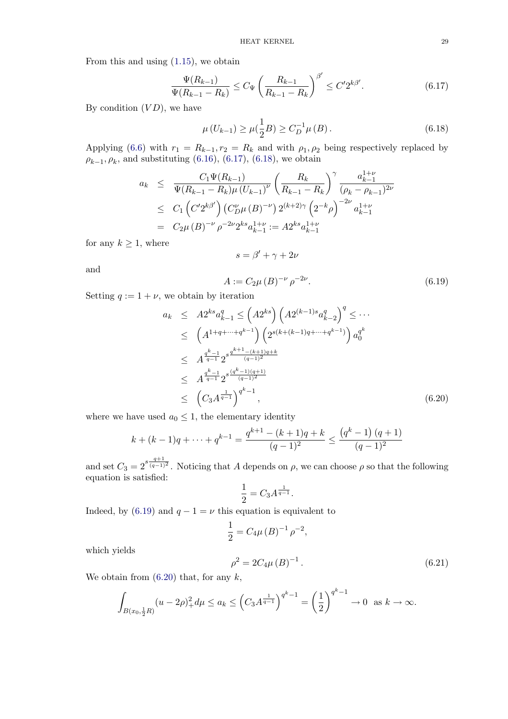<span id="page-28-0"></span>From this and using (1.15), we obtain

$$
\frac{\Psi(R_{k-1})}{\Psi(R_{k-1} - R_k)} \le C_\Psi \left(\frac{R_{k-1}}{R_{k-1} - R_k}\right)^{\beta'} \le C' 2^{k\beta'}.
$$
\n(6.17)

By condition  $(VD)$ , [we](#page-4-0) [ha](#page-4-0)ve

$$
\mu\left(U_{k-1}\right) \ge \mu\left(\frac{1}{2}B\right) \ge C_D^{-1}\mu\left(B\right). \tag{6.18}
$$

Applying (6.6) with  $r_1 = R_{k-1}, r_2 = R_k$  and with  $\rho_1, \rho_2$  being respectively replaced by  $\rho_{k-1}, \rho_k$ , and substituting (6.16), (6.17), (6.18), we obtain

$$
a_k \leq \frac{C_1 \Psi(R_{k-1})}{\Psi(R_{k-1} - R_k) \mu (U_{k-1})^{\nu}} \left(\frac{R_k}{R_{k-1} - R_k}\right)^{\gamma} \frac{a_{k-1}^{1+\nu}}{(\rho_k - \rho_{k-1})^{2\nu}}
$$
  

$$
\leq C_1 \left(\frac{C' 2^{k\beta'}}{D} \right) \left(\frac{C_D^{\nu}}{\mu (B)}\right)^{-\nu} 2^{(k+2)\gamma} \left(2^{-k}\rho\right)^{-2\nu} a_{k-1}^{1+\nu}
$$
  

$$
= C_2 \mu (B)^{-\nu} \rho^{-2\nu} 2^{ks} a_{k-1}^{1+\nu} := A 2^{ks} a_{k-1}^{1+\nu}
$$

for any  $k \geq 1$ , where

$$
s = \beta' + \gamma + 2\nu
$$

and

$$
A := C_2 \mu (B)^{-\nu} \rho^{-2\nu}.
$$
\n(6.19)

Setting  $q := 1 + \nu$ , we obtain by iteration

$$
a_{k} \leq A2^{ks} a_{k-1}^{q} \leq (A2^{ks}) \left( A2^{(k-1)s} a_{k-2}^{q} \right)^{q} \leq \cdots
$$
  
\n
$$
\leq \left( A^{1+q+\cdots+q^{k-1}} \right) \left( 2^{s(k+(k-1)q+\cdots+q^{k-1})} \right) a_{0}^{q^{k}}
$$
  
\n
$$
\leq A^{\frac{q^{k}-1}{q-1}} 2^{s^{\frac{q^{k+1}-(k+1)q+k}{(q-1)^{2}}}}
$$
  
\n
$$
\leq A^{\frac{q^{k}-1}{q-1}} 2^{s^{\frac{(q^{k}-1)(q+1)}{(q-1)^{2}}}}
$$
  
\n
$$
\leq \left( C_{3} A^{\frac{1}{q-1}} \right)^{q^{k}-1}, \qquad (6.20)
$$

where we have used  $a_0 \leq 1$ , the elementary identity

$$
k + (k - 1)q + \dots + q^{k-1} = \frac{q^{k+1} - (k+1)q + k}{(q-1)^2} \le \frac{(q^k - 1)(q+1)}{(q-1)^2}
$$

and set  $C_3 = 2^{s \frac{q+1}{(q-1)^2}}$ . Noticing that A depends on  $\rho$ , we can choose  $\rho$  so that the following equation is satisfied:

$$
\frac{1}{2}=C_3 A^{\frac{1}{q-1}}.
$$

Indeed, by (6.19) and  $q - 1 = \nu$  this equation is equivalent to

$$
\frac{1}{2} = C_4 \mu (B)^{-1} \rho^{-2},
$$

which yields

$$
\rho^2 = 2C_4\mu (B)^{-1} \,. \tag{6.21}
$$

We obtain from  $(6.20)$  that, for any  $k$ ,

$$
\int_{B(x_0,\frac{1}{2}R)} (u-2\rho)_+^2 d\mu \le a_k \le \left(C_3 A^{\frac{1}{q-1}}\right)^{q^k-1} = \left(\frac{1}{2}\right)^{q^k-1} \to 0 \text{ as } k \to \infty.
$$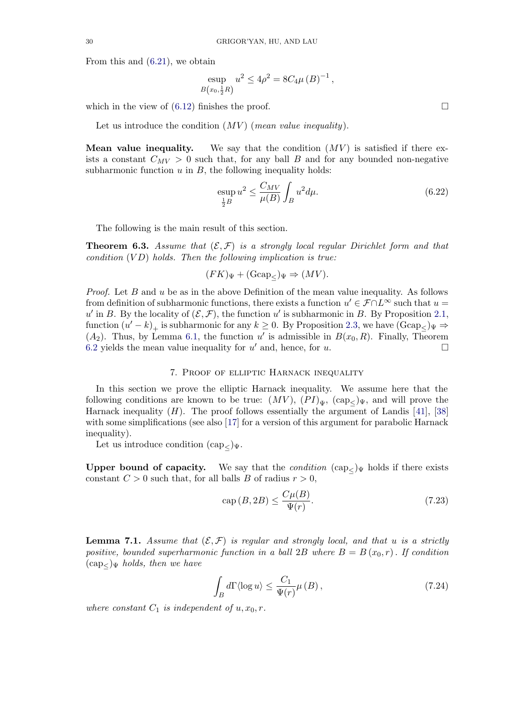<span id="page-29-0"></span>From this and (6.21), we obtain

$$
\text{exp}_{B(x_0, \frac{1}{2}R)} u^2 \le 4\rho^2 = 8C_4\mu (B)^{-1},
$$

which in the vi[ew](#page-28-0) [of](#page-28-0)  $(6.12)$  finishes the proof.

Let us introduce the condition  $(MV)$  (*mean value inequality*).

**Mean value inequ[ality.](#page-27-0)** We say that the condition  $(MV)$  is satisfied if there exists a constant  $C_{MV} > 0$  such that, for any ball B and for any bounded non-negative subharmonic function  $u$  in  $B$ , the following inequality holds:

$$
\mathop{\mathrm{exp}}_{\frac{1}{2}B} u^2 \le \frac{C_{MV}}{\mu(B)} \int_B u^2 d\mu. \tag{6.22}
$$

The following is the main result of this section.

**Theorem 6.3.** Assume that  $(\mathcal{E}, \mathcal{F})$  is a strongly local regular Dirichlet form and that condition  $(VD)$  holds. Then the following implication is true:

$$
(FK)_{\Psi} + (\text{Gcap}_{\leq})_{\Psi} \Rightarrow (MV).
$$

*Proof.* Let B and u be as in the above Definition of the mean value inequality. As follows from definition of subharmonic functions, there exists a function  $u' \in \mathcal{F} \cap L^{\infty}$  such that  $u =$ u' in B. By the locality of  $(\mathcal{E}, \mathcal{F})$ , the function u' is subharmonic in B. By Proposition 2.1, function  $(u'-k)_+$  is subharmonic for any  $k \geq 0$ . By Proposition 2.3, we have  $(Gcap_{\leq} \psi \Rightarrow$  $(A_2)$ . Thus, by Lemma 6.1, the function u' is admissible in  $B(x_0, R)$ . Finally, Theorem 6.2 yields the mean value inequality for  $u'$  and, hence, for u.

# 7. [Pro](#page-24-0)of of elliptic Harnack inequa[lit](#page-13-0)y

[I](#page-26-0)n this section we prove the elliptic Harnack inequality. We assume here that the following conditions are known to be true:  $(MV)$ ,  $(PI)_{\Psi}$ ,  $(\text{cap}_{\leq \Psi})_{\Psi}$ , and will prove the Harnack inequality  $(H)$ . The proof follows essentially the argument of Landis [41], [38] with some simplifications (see also [17] for a version of this argument for parabolic Harnack inequality).

Let us introduce condition  $(\text{cap}_{<})_{\Psi}$ .

Upper bound of capacity. [We](#page-48-0) [s](#page-48-0)ay that the *condition*  $(\text{cap}_{<})$ Ψ holds if there exists constant  $C > 0$  such that, for all balls B of radius  $r > 0$ ,

$$
cap(B, 2B) \le \frac{C\mu(B)}{\Psi(r)}.\tag{7.23}
$$

**Lemma 7.1.** Assume that  $(\mathcal{E}, \mathcal{F})$  is regular and strongly local, and that u is a strictly positive, bounded superharmonic function in a ball 2B where  $B = B(x_0, r)$ . If condition  $(\text{cap}_{<} )$  w holds, then we have

$$
\int_{B} d\Gamma \langle \log u \rangle \le \frac{C_1}{\Psi(r)} \mu(B) ,\qquad(7.24)
$$

where constant  $C_1$  is independent of  $u, x_0, r$ .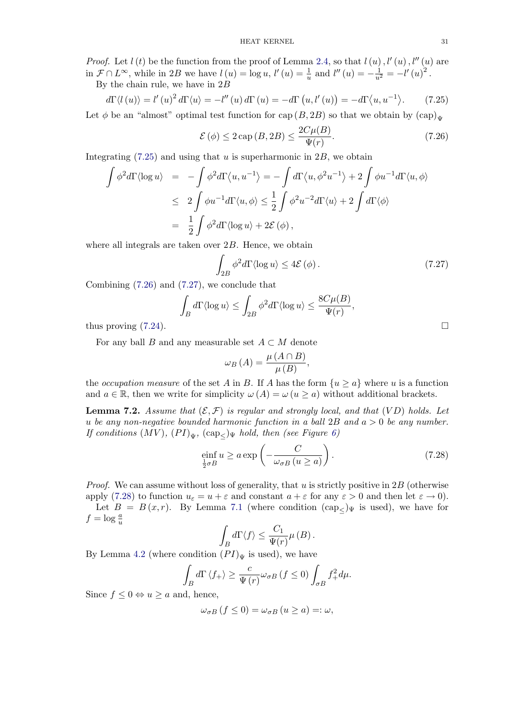<span id="page-30-0"></span>*Proof.* Let  $l(t)$  be the function from the proof of Lemma 2.4, so that  $l(u)$ ,  $l'(u)$ ,  $l''(u)$  are in  $\mathcal{F} \cap L^{\infty}$ , while in 2B we have  $l(u) = \log u$ ,  $l'(u) = \frac{1}{u}$  and  $l''(u) = -\frac{1}{u^2} = -l'(u)^2$ . By the chain rule, we have in  $2B$ 

$$
d\Gamma \langle l\left(u\right) \rangle = l'\left(u\right)^2 d\Gamma \langle u \rangle = -l''\left(u\right) d\Gamma \left(u\right) = -d\Gamma \left(u, l'\left(u\right)\right) = -d\Gamma \langle u, u^{-1} \rangle. \tag{7.25}
$$

Let  $\phi$  be an "almost" optimal test function for cap  $(B, 2B)$  so that we obtain by  $(\text{cap})_{\Psi}$ 

$$
\mathcal{E}(\phi) \le 2 \operatorname{cap}(B, 2B) \le \frac{2C\mu(B)}{\Psi(r)}.\tag{7.26}
$$

Integrating  $(7.25)$  and using that u is superharmonic in  $2B$ , we obtain

$$
\int \phi^2 d\Gamma \langle \log u \rangle = -\int \phi^2 d\Gamma \langle u, u^{-1} \rangle = -\int d\Gamma \langle u, \phi^2 u^{-1} \rangle + 2 \int \phi u^{-1} d\Gamma \langle u, \phi \rangle
$$
  
\n
$$
\leq 2 \int \phi u^{-1} d\Gamma \langle u, \phi \rangle \leq \frac{1}{2} \int \phi^2 u^{-2} d\Gamma \langle u \rangle + 2 \int d\Gamma \langle \phi \rangle
$$
  
\n
$$
= \frac{1}{2} \int \phi^2 d\Gamma \langle \log u \rangle + 2 \mathcal{E}(\phi),
$$

where all integrals are taken over 2B. Hence, we obtain

$$
\int_{2B} \phi^2 d\Gamma \langle \log u \rangle \le 4\mathcal{E}(\phi). \tag{7.27}
$$

Combining (7.26) and (7.27), we conclude that

$$
\int_B d\Gamma \langle \log u \rangle \le \int_{2B} \phi^2 d\Gamma \langle \log u \rangle \le \frac{8C\mu(B)}{\Psi(r)},
$$

thus proving  $(7.24)$ .

For any ball B and any measurable set  $A \subset M$  denote

$$
\omega_B(A) = \frac{\mu(A \cap B)}{\mu(B)},
$$

the *occupation measure* of the set A in B. If A has the form  $\{u \ge a\}$  where u is a function and  $a \in \mathbb{R}$ , then we write for simplicity  $\omega(A) = \omega(u \ge a)$  without additional brackets.

**Lemma 7.2.** Assume that  $(\mathcal{E}, \mathcal{F})$  is regular and strongly local, and that  $(VD)$  holds. Let u be any non-negative bounded harmonic function in a ball  $2B$  and  $a > 0$  be any number. If conditions  $(MV)$ ,  $(PI)_{\Psi}$ ,  $(\text{cap}_{\leq})_{\Psi}$  hold, then (see Figure 6)

$$
\underset{\frac{1}{2}\sigma B}{\text{einf}} u \ge a \exp\left(-\frac{C}{\omega_{\sigma B} (u \ge a)}\right). \tag{7.28}
$$

*Proof.* We can assume without loss of generality, that u is strictly positive in  $2B$  (otherwise apply (7.28) to function  $u_{\varepsilon} = u + \varepsilon$  and constant  $a + \varepsilon$  for any  $\varepsilon > 0$  and then let  $\varepsilon \to 0$ . Let  $B = B(x,r)$ . By Lemma 7.1 (where condition  $(\text{cap}_{\leq})_{\Psi}$  is used), we have for  $f = \log \frac{a}{u}$  $u$ 

$$
\int_{B} d\Gamma \langle f \rangle \leq \frac{C_1}{\Psi(r)} \mu(B).
$$

By Lemma 4.2 (where condition  $(PI)_{\Psi}$  $(PI)_{\Psi}$  $(PI)_{\Psi}$  is used), we have

$$
\int_{B} d\Gamma \left\langle f_{+} \right\rangle \geq \frac{c}{\Psi(r)} \omega_{\sigma B} \left( f \leq 0 \right) \int_{\sigma B} f_{+}^{2} d\mu.
$$

Since  $f \leq 0 \Leftrightarrow u \geq a$  and, hence,

$$
\omega_{\sigma B} (f \le 0) = \omega_{\sigma B} (u \ge a) =: \omega,
$$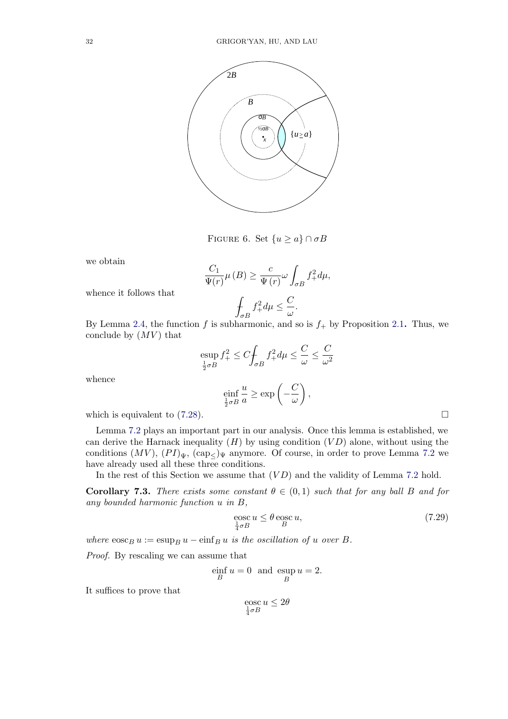<span id="page-31-0"></span>

FIGURE 6. Set  $\{u \ge a\} \cap \sigma B$ 

we obtain

$$
\frac{C_1}{\Psi(r)}\mu(B) \ge \frac{c}{\Psi(r)}\omega \int_{\sigma B} f_+^2 d\mu,
$$

$$
\int_{\sigma B} f_+^2 d\mu \le \frac{C}{\omega}.
$$

whence it follows that

By Lemma 2.4, the function f is subharmonic, and so is  $f_{+}$  by Proposition 2.1. Thus, we conclude by  $(MV)$  that

$$
\operatorname{exp} f_+^2 \le C \int_{\sigma B} f_+^2 d\mu \le \frac{C}{\omega} \le \frac{C}{\omega^2}
$$
  

$$
\operatorname{einf}_{\frac{1}{2}\sigma B} \frac{u}{a} \ge \exp\left(-\frac{C}{\omega}\right),
$$

whence

which is equivalent to 
$$
(7.28)
$$
.  $\Box$ 

Lemma 7.2 plays an important part in our analysis. Once this lemma is established, we can derive the Harnack inequality  $(H)$  by using condition  $(VD)$  alone, without using the conditions  $(MV)$ ,  $(PI)_{\Psi}$ ,  $(\text{cap}_{\leq})_{\Psi}$  anymore. Of course, in order to prove Lemma 7.2 we have already used all these three conditions.

In the r[est](#page-30-0) of this Section we assume that  $(VD)$  and the validity of Lemma 7.2 hold.

**Corollary 7.3.** There exists some constant  $\theta \in (0,1)$  such that for any ball B [and](#page-30-0) for any bounded harmonic function u in B,

$$
\underset{\frac{1}{4}\sigma B}{\text{eosc}} u \le \theta \underset{B}{\text{eosc}} u,\tag{7.29}
$$

where  $\cos c_B u := \sin b_B u - \sin f_B u$  is the oscillation of u over B.

Proof. By rescaling we can assume that

$$
\inf_B u = 0 \text{ and } \sup_B u = 2.
$$

It suffices to prove that

$$
\operatorname*{eosc}_{\frac{1}{4}\sigma B} u \leq 2\theta
$$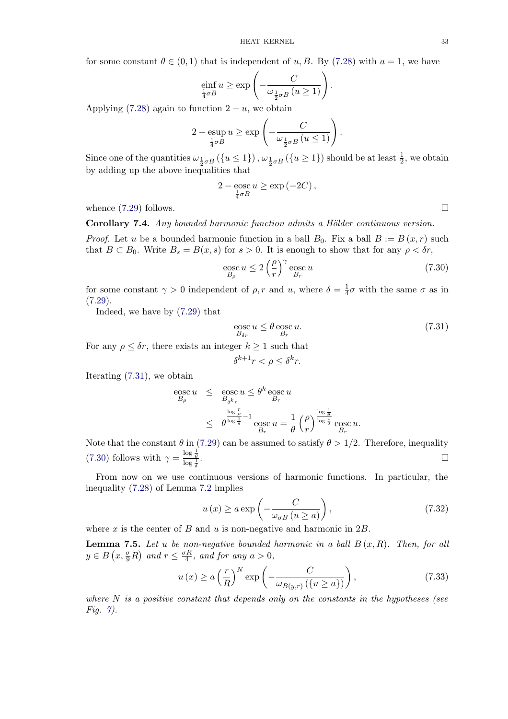<span id="page-32-0"></span>for some constant  $\theta \in (0,1)$  that is independent of u, B. By (7.28) with  $a=1$ , we have

$$
\underset{\frac{1}{4}\sigma B}{\text{einf}} u \ge \exp\left(-\frac{C}{\omega_{\frac{1}{2}\sigma B}(u \ge 1)}\right).
$$

Applying (7.28) again to function  $2 - u$ , we obtain

$$
2 - \exp_{\frac{1}{4}\sigma B} u \ge \exp\left(-\frac{C}{\omega_{\frac{1}{2}\sigma B}(u \le 1)}\right).
$$

Since one [of](#page-30-0) [the](#page-30-0) quantities  $\omega_{\frac{1}{2}\sigma B}(\{u \leq 1\})$ ,  $\omega_{\frac{1}{2}\sigma B}(\{u \geq 1\})$  should be at least  $\frac{1}{2}$ , we obtain by adding up the above inequalities that

$$
2 - \cos c u \ge \exp(-2C),
$$
  

$$
\frac{1}{4}\sigma B
$$

whence  $(7.29)$  follows.

Corollary 7.4. Any bounded harmonic function admits a Hölder continuous version.

*Proof.* Let u be a bounded harmonic function in a ball  $B_0$ . Fix a ball  $B := B(x, r)$  such that  $B \subset B_0$  $B \subset B_0$ . Write  $B_s = B(x, s)$  for  $s > 0$ . It is enough to show that for any  $\rho < \delta r$ ,

$$
\underset{B_{\rho}}{\text{eosc}} u \le 2 \left(\frac{\rho}{r}\right)^{\gamma} \underset{B_r}{\text{eosc}} u \tag{7.30}
$$

for some constant  $\gamma > 0$  independent of  $\rho$ , r and u, where  $\delta = \frac{1}{4}\sigma$  with the same  $\sigma$  as in  $(7.29).$ 

Indeed, we have by (7.29) that

$$
\underset{B_{\delta r}}{\operatorname{eosc}} u \le \theta \underset{B_r}{\operatorname{eosc}} u. \tag{7.31}
$$

[For](#page-31-0) [a](#page-31-0)ny  $\rho \leq \delta r$ , there e[xists](#page-31-0) an integer  $k \geq 1$  such that

$$
\delta^{k+1}r < \rho \le \delta^k r.
$$

Iterating (7.31), we obtain

$$
\begin{array}{rcl}\n\text{eosc } u & \leq & \text{eosc } u \\
\frac{B_{\delta} k_r}{B_{\delta k_r}} & \text{B}_{r} \\
& \leq & \theta^{\frac{\log \frac{r}{\delta}}{\log \frac{1}{\delta}}} - 1 \\
& \leq & \theta^{\frac{\log \frac{1}{\delta}}{\log \frac{1}{\delta}}} \cdot \text{eosc } u = \frac{1}{\theta} \left(\frac{\rho}{r}\right)^{\frac{\log \frac{1}{\delta}}{\log \frac{1}{\delta}}} \text{eosc } u.\n\end{array}
$$

Note that the constant  $\theta$  in (7.29) can be assumed to satisfy  $\theta > 1/2$ . Therefore, inequality (7.30) follows with  $\gamma = \frac{\log \frac{1}{\theta}}{\log \frac{1}{\delta}}$ . В последните поставите на селото на селото на селото на селото на селото на селото на селото на селото на се<br>Селото на селото на селото на селото на селото на селото на селото на селото на селото на селото на селото на

From now on we use continuous versions of harmonic functions. In particular, the inequality (7.28) of Lemma [7.2](#page-31-0) implies

$$
u(x) \ge a \exp\left(-\frac{C}{\omega_{\sigma B} \left(u \ge a\right)}\right),\tag{7.32}
$$

where x is [the c](#page-30-0)enter of B [and](#page-30-0) u is non-negative and harmonic in  $2B$ .

**Lemma 7.5.** Let u be non-negative bounded harmonic in a ball  $B(x,R)$ . Then, for all  $y \in B\left(x, \frac{\sigma}{9}R\right)$  and  $r \leq \frac{\sigma R}{4}$ , and for any  $a > 0$ ,

$$
u(x) \ge a \left(\frac{r}{R}\right)^N \exp\left(-\frac{C}{\omega_{B(y,r)}\left(\{u \ge a\}\right)}\right),\tag{7.33}
$$

where  $N$  is a positive constant that depends only on the constants in the hypotheses (see Fig.  $\gamma$ ).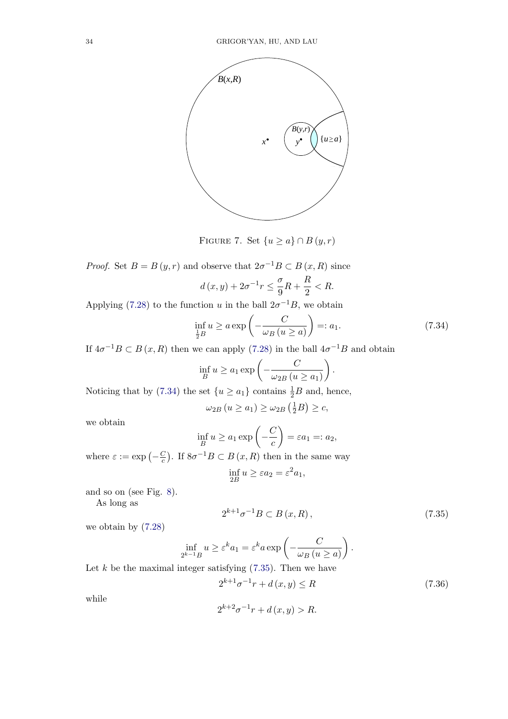

FIGURE 7. Set  $\{u \ge a\} \cap B(y,r)$ 

*Proof.* Set  $B = B(y, r)$  and observe that  $2\sigma^{-1}B \subset B(x, R)$  since  $d(x,y) + 2\sigma^{-1}r \leq \frac{\sigma}{9}$  $\frac{\sigma}{9}R + \frac{R}{2} < R.$ 

Applying (7.28) to the function u in the ball  $2\sigma^{-1}B$ , we obtain

$$
\inf_{\frac{1}{2}B} u \ge a \exp\left(-\frac{C}{\omega_B(u \ge a)}\right) =: a_1. \tag{7.34}
$$

If  $4\sigma^{-1}B \subset B(x, R)$  $4\sigma^{-1}B \subset B(x, R)$  $4\sigma^{-1}B \subset B(x, R)$  then we can apply (7.28) in the ball  $4\sigma^{-1}B$  and obtain

$$
\inf_{B} u \ge a_1 \exp\left(-\frac{C}{\omega_{2B} (u \ge a_1)}\right).
$$

Noticing that by (7.34) the set  $\{u \ge a_1\}$  [cont](#page-30-0)ains  $\frac{1}{2}B$  and, hence,

$$
\omega_{2B} (u \ge a_1) \ge \omega_{2B} (\frac{1}{2}B) \ge c,
$$

we obtain

$$
\inf_{B} u \ge a_1 \exp\left(-\frac{C}{c}\right) = \varepsilon a_1 =: a_2,
$$

where  $\varepsilon := \exp(-\frac{C}{c})$ . If  $8\sigma^{-1}B \subset B(x, R)$  then in the same way

$$
\inf_{2B} u \ge \varepsilon a_2 = \varepsilon^2 a_1,
$$

and so on (see Fig. 8).

As long as

$$
2^{k+1}\sigma^{-1}B \subset B(x,R),\tag{7.35}
$$

we obtain by (7.28)

$$
\inf_{2^{k-1}B} u \ge \varepsilon^k a_1 = \varepsilon^k a \exp\left(-\frac{C}{\omega_B (u \ge a)}\right).
$$

Let  $k$  be the [maxim](#page-30-0)al integer satisfying  $(7.35)$ . Then we have

$$
2^{k+1}\sigma^{-1}r + d(x, y) \le R\tag{7.36}
$$

while

$$
2^{k+2}\sigma^{-1}r + d(x, y) > R.
$$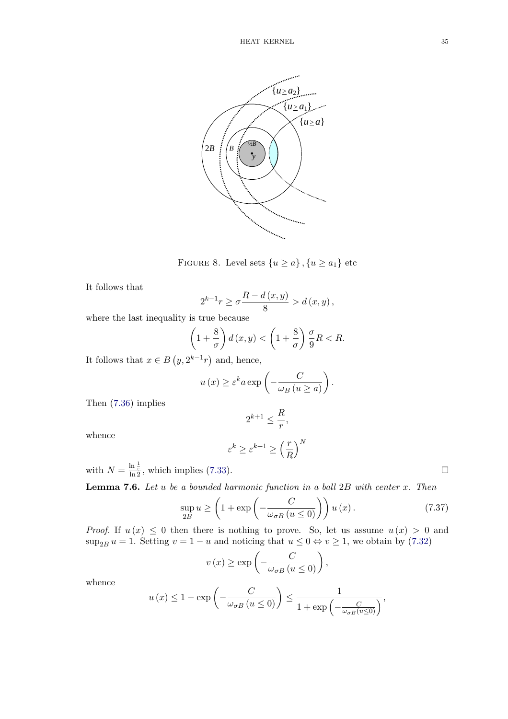<span id="page-34-0"></span>

FIGURE 8. Level sets  $\{u \ge a\}$ ,  $\{u \ge a_1\}$  etc

It follows that

$$
2^{k-1}r \ge \sigma \frac{R - d(x, y)}{8} > d(x, y),
$$

where the last inequality is true because

$$
\left(1+\frac{8}{\sigma}\right)d\left(x,y\right) < \left(1+\frac{8}{\sigma}\right)\frac{\sigma}{9}R < R.
$$

It follows that  $x \in B(y, 2^{k-1}r)$  and, hence,

$$
u(x) \ge \varepsilon^k a \exp\left(-\frac{C}{\omega_B (u \ge a)}\right).
$$

Then (7.36) implies

$$
2^{k+1} \leq \frac{R}{r},
$$

whence

$$
\varepsilon^k \ge \varepsilon^{k+1} \ge \left(\frac{r}{R}\right)^N
$$

with  $N = \frac{\ln \frac{1}{\varepsilon}}{\ln 2}$ , which implies (7.33).

**Lemma 7.6.** Let u be a bounded harmonic function in a ball  $2B$  with center x. Then

$$
\sup_{2B} u \ge \left(1 + \exp\left(-\frac{C}{\omega_{\sigma B} \left(u \le 0\right)}\right)\right) u \left(x\right). \tag{7.37}
$$

*Proof.* If  $u(x) \leq 0$  then there is nothing to prove. So, let us assume  $u(x) > 0$  and  $\sup_{2B} u = 1$ . Setting  $v = 1 - u$  and noticing that  $u \le 0 \Leftrightarrow v \ge 1$ , we obtain by (7.32)

$$
v(x) \ge \exp\left(-\frac{C}{\omega_{\sigma B} (u \le 0)}\right),\,
$$

whence

$$
u(x) \le 1 - \exp\left(-\frac{C}{\omega_{\sigma B} \left(u \le 0\right)}\right) \le \frac{1}{1 + \exp\left(-\frac{C}{\omega_{\sigma B}(u \le 0)}\right)},
$$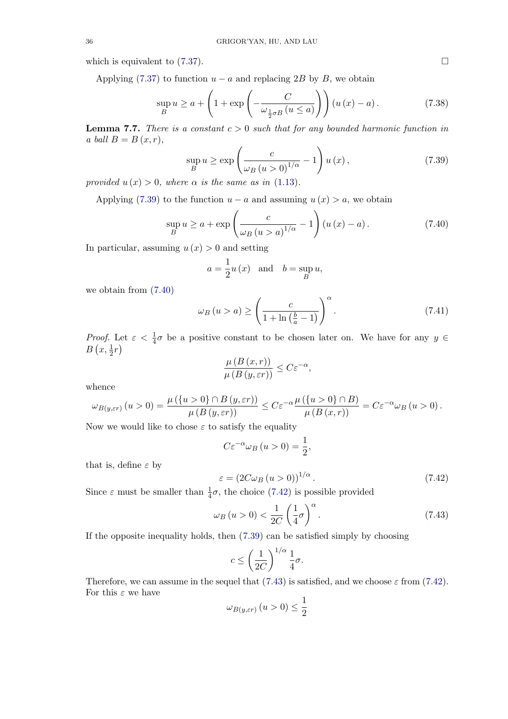which is equivalent to  $(7.37)$ .

Applying (7.37) to function  $u - a$  and replacing 2B by B, we obtain

$$
\sup_{B} u \ge a + \left(1 + \exp\left(-\frac{C}{\omega_{\frac{1}{2}\sigma B}(u \le a)}\right)\right) (u(x) - a). \tag{7.38}
$$

**Lemma 7.7.** [Th](#page-34-0)ere is a constant  $c > 0$  such that for any bounded harmonic function in a ball  $B = B(x, r)$ ,

$$
\sup_{B} u \ge \exp\left(\frac{c}{\omega_B (u > 0)^{1/\alpha}} - 1\right) u(x),\tag{7.39}
$$

provided  $u(x) > 0$ , where  $\alpha$  is the same as in (1.13).

Applying (7.39) to the function  $u - a$  and assuming  $u(x) > a$ , we obtain

$$
\sup_{B} u \ge a + \exp\left(\frac{c}{\omega_B (u > a)^{1/\alpha}} - 1\right) (u(x) - a). \tag{7.40}
$$

In particular, assuming  $u(x) > 0$  and setting

$$
a = \frac{1}{2}u(x)
$$
 and  $b = \sup_{B} u$ ,

we obtain from (7.40)

$$
\omega_B(u > a) \ge \left(\frac{c}{1 + \ln\left(\frac{b}{a} - 1\right)}\right)^{\alpha}.\tag{7.41}
$$

Proof. Let  $\varepsilon < \frac{1}{4}\sigma$  be a positive constant to be chosen later on. We have for any  $y \in$  $B\left(x,\frac{1}{2}r\right)$ 

$$
\frac{\mu(B(x,r))}{\mu(B(y,\varepsilon r))} \leq C\varepsilon^{-\alpha},
$$

whence

$$
\omega_{B(y,\varepsilon r)}\left(u>0\right)=\frac{\mu\left(\left\{u>0\right\}\cap B\left(y,\varepsilon r\right)\right)}{\mu\left(B\left(y,\varepsilon r\right)\right)}\leq C\varepsilon^{-\alpha}\frac{\mu\left(\left\{u>0\right\}\cap B\right)}{\mu\left(B\left(x,r\right)\right)}=C\varepsilon^{-\alpha}\omega_{B}\left(u>0\right).
$$

Now we would like to chose  $\varepsilon$  to satisfy the equality

$$
C\varepsilon^{-\alpha}\omega_B(u>0)=\frac{1}{2},
$$

that is, define  $\varepsilon$  by

$$
\varepsilon = \left(2C\omega_B\left(u>0\right)\right)^{1/\alpha}.\tag{7.42}
$$

Since  $\varepsilon$  must be smaller than  $\frac{1}{4}\sigma$ , the choice (7.42) is possible provided

$$
\omega_B(u>0) < \frac{1}{2C} \left(\frac{1}{4}\sigma\right)^{\alpha}.\tag{7.43}
$$

If the opposite inequality holds, then (7.39) can be satisfied simply by choosing

$$
c \le \left(\frac{1}{2C}\right)^{1/\alpha} \frac{1}{4}\sigma.
$$

Therefore, we can assume in the sequel that (7.43) is satisfied, and we choose  $\varepsilon$  from (7.42). For this  $\varepsilon$  we have

$$
\omega_{B(y,\varepsilon r)}\left(u>0\right)\leq\frac{1}{2}
$$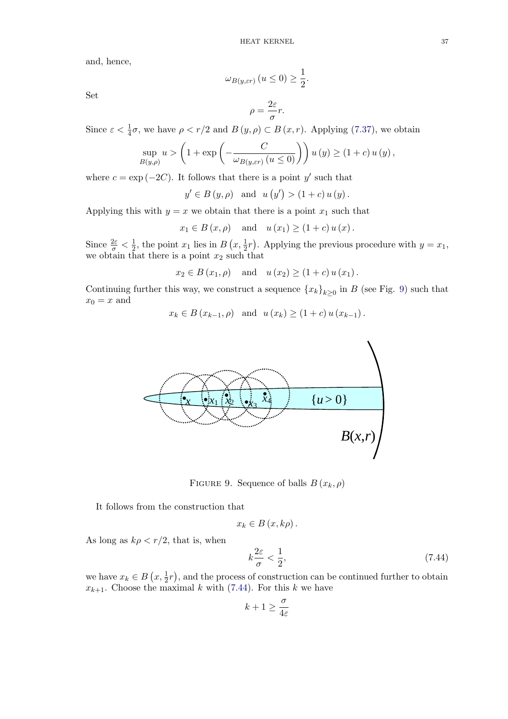and, hence,

$$
\omega_{B(y,\varepsilon r)}\left(u\leq 0\right)\geq \frac{1}{2}.
$$

Set

$$
\rho = \frac{2\varepsilon}{\sigma}r.
$$

Since  $\varepsilon < \frac{1}{4}\sigma$ , we have  $\rho < r/2$  and  $B(y, \rho) \subset B(x, r)$ . Applying (7.37), we obtain

$$
\sup_{B(y,\rho)} u > \left(1 + \exp\left(-\frac{C}{\omega_{B(y,\varepsilon r)}\left(u \le 0\right)}\right)\right) u\left(y\right) \ge \left(1 + c\right) u\left(y\right),\,
$$

where  $c = \exp(-2C)$ . It follows that there is a point y' such that

$$
y' \in B(y, \rho)
$$
 and  $u(y') > (1 + c) u(y)$ .

Applying this with  $y = x$  we obtain that there is a point  $x_1$  such that

$$
x_1 \in B(x, \rho)
$$
 and  $u(x_1) \ge (1 + c) u(x)$ .

Since  $\frac{2\varepsilon}{\sigma} < \frac{1}{2}$ , the point  $x_1$  lies in  $B(x, \frac{1}{2}r)$ . Applying the previous procedure with  $y = x_1$ , we obtain that there is a point  $x_2$  such that

$$
x_2 \in B(x_1, \rho)
$$
 and  $u(x_2) \ge (1 + c) u(x_1)$ .

Continuing further this way, we construct a sequence  ${x_k}_{k\geq 0}$  in B (see Fig. 9) such that  $x_0 = x$  and

$$
x_k \in B(x_{k-1}, \rho)
$$
 and  $u(x_k) \ge (1+c) u(x_{k-1}).$ 



FIGURE 9. Sequence of balls  $B(x_k, \rho)$ 

It follows from the construction that

$$
x_k\in B\left(x,k\rho\right).
$$

As long as  $k\rho < r/2$ , that is, when

$$
k\frac{2\varepsilon}{\sigma} < \frac{1}{2},\tag{7.44}
$$

we have  $x_k \in B\left(x, \frac{1}{2}r\right)$ , and the process of construction can be continued further to obtain  $x_{k+1}$ . Choose the maximal k with (7.44). For this k we have

$$
k+1 \geq \frac{\sigma}{4\varepsilon}
$$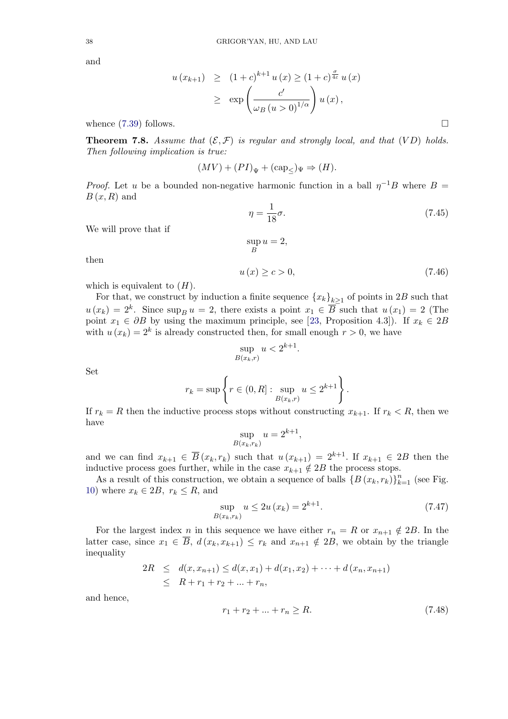and

$$
u(x_{k+1}) \geq (1+c)^{k+1} u(x) \geq (1+c)^{\frac{\sigma}{4\epsilon}} u(x)
$$
  
 
$$
\geq \exp\left(\frac{c'}{\omega_B (u>0)^{1/\alpha}}\right) u(x),
$$

whence  $(7.39)$  follows.

**Theorem 7.8.** Assume that  $(\mathcal{E}, \mathcal{F})$  is regular and strongly local, and that  $(VD)$  holds. Then following implication is true:

$$
(MV) + (PI)_{\Psi} + (\text{cap}_{\leq})_{\Psi} \Rightarrow (H).
$$

*Proof.* Let u be a bounded non-negative harmonic function in a ball  $\eta^{-1}B$  where  $B =$  $B(x,R)$  and

$$
\eta = \frac{1}{18}\sigma. \tag{7.45}
$$

We will prove that if

$$
\sup_B u = 2,
$$

then

$$
u(x) \ge c > 0,\tag{7.46}
$$

.

which is equivalent to  $(H)$ .

For that, we construct by induction a finite sequence  ${x_k}_{k>1}$  of points in 2B such that  $u(x_k) = 2^k$ . Since  $\sup_B u = 2$ , there exists a point  $x_1 \in \overline{B}$  such that  $u(x_1) = 2$  (The point  $x_1 \in \partial B$  by using the maximum principle, see [23, Proposition 4.3]). If  $x_k \in 2B$ with  $u(x_k) = 2^k$  is already constructed then, for small enough  $r > 0$ , we have

$$
\sup_{B(x_k,r)} u < 2^{k+1}.
$$

Set

$$
r_k = \sup \left\{ r \in (0,R]: \sup_{B(x_k,r)} u \leq 2^{k+1} \right\}
$$

If  $r_k = R$  then the inductive process stops without constructing  $x_{k+1}$ . If  $r_k < R$ , then we have

$$
\sup_{B(x_k,r_k)} u = 2^{k+1},
$$

and we can find  $x_{k+1} \in \overline{B}(x_k, r_k)$  such that  $u(x_{k+1}) = 2^{k+1}$ . If  $x_{k+1} \in 2B$  then the inductive process goes further, while in the case  $x_{k+1} \notin 2B$  the process stops.

As a result of this construction, we obtain a sequence of balls  $\{B(x_k, r_k)\}_{k=1}^n$  (see Fig. 10) where  $x_k \in 2B$ ,  $r_k \leq R$ , and

$$
\sup_{B(x_k, r_k)} u \le 2u(x_k) = 2^{k+1}.
$$
\n(7.47)

For the largest index n in this sequence we have either  $r_n = R$  or  $x_{n+1} \notin 2B$ . In the latter case, since  $x_1 \in \overline{B}$ ,  $d(x_k, x_{k+1}) \leq r_k$  and  $x_{n+1} \notin 2B$ , we obtain by the triangle inequality

$$
2R \leq d(x, x_{n+1}) \leq d(x, x_1) + d(x_1, x_2) + \cdots + d(x_n, x_{n+1})
$$
  
 
$$
\leq R + r_1 + r_2 + \ldots + r_n,
$$

and hence,

$$
r_1 + r_2 + \dots + r_n \ge R. \tag{7.48}
$$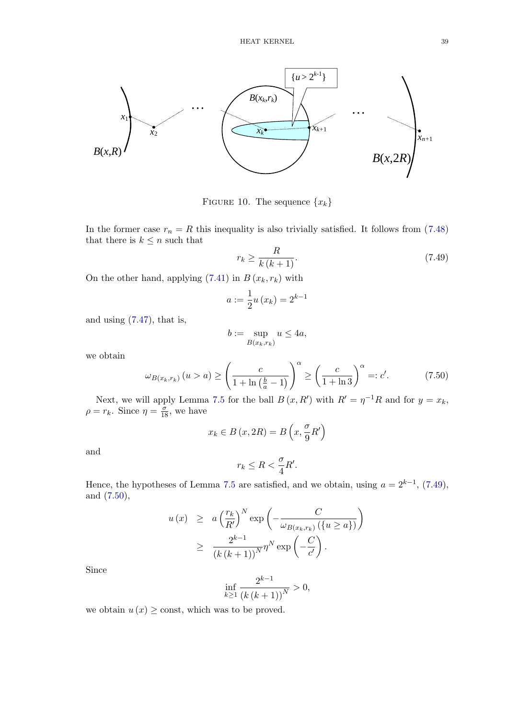

FIGURE 10. The sequence  $\{x_k\}$ 

In the former case  $r_n = R$  this inequality is also trivially satisfied. It follows from (7.48) that there is  $k \leq n$  such that

$$
r_k \ge \frac{R}{k\left(k+1\right)}.\tag{7.49}
$$

On the other hand, applying  $(7.41)$  in  $B(x_k, r_k)$  with

$$
a := \frac{1}{2}u(x_k) = 2^{k-1}
$$

and using (7.47), that is,

$$
b := \sup_{B(x_k, r_k)} u \le 4a,
$$

we obtain

$$
\omega_{B(x_k, r_k)} (u > a) \ge \left(\frac{c}{1 + \ln\left(\frac{b}{a} - 1\right)}\right)^{\alpha} \ge \left(\frac{c}{1 + \ln 3}\right)^{\alpha} =: c'. \tag{7.50}
$$

Next, we will apply Lemma 7.5 for the ball  $B(x, R')$  with  $R' = \eta^{-1}R$  and for  $y = x_k$ ,  $\rho = r_k$ . Since  $\eta = \frac{\sigma}{18}$ , we have

$$
x_k \in B\left(x, 2R\right) = B\left(x, \frac{\sigma}{9}R'\right)
$$

and

$$
r_k \leq R < \frac{\sigma}{4}R'.
$$

Hence, the hypotheses of Lemma 7.5 are satisfied, and we obtain, using  $a = 2^{k-1}$ , (7.49), and (7.50),

$$
u(x) \geq a \left(\frac{r_k}{R'}\right)^N \exp\left(-\frac{C}{\omega_{B(x_k,r_k)}(\lbrace u \geq a \rbrace)}\right)
$$
  

$$
\geq \frac{2^{k-1}}{(k(k+1))^N} \eta^N \exp\left(-\frac{C}{c'}\right).
$$

Since

$$
\inf_{k\geq 1} \frac{2^{k-1}}{\left(k\left(k+1\right)\right)^N} > 0,
$$

we obtain  $u(x) \geq$  const, which was to be proved.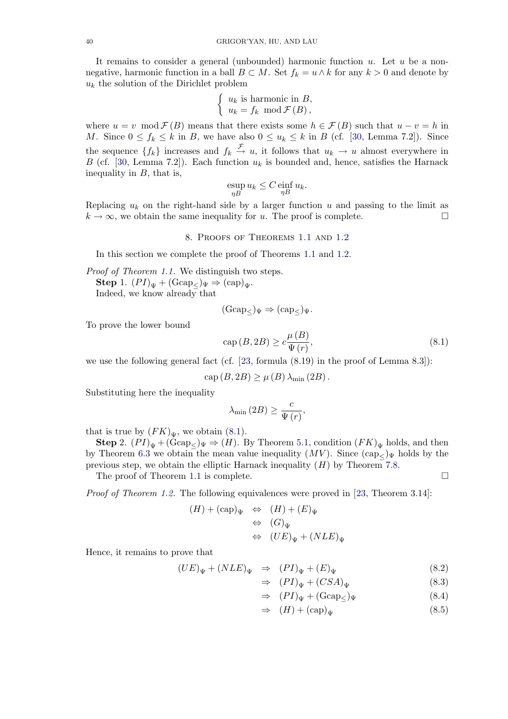<span id="page-39-0"></span>It remains to consider a general (unbounded) harmonic function  $u$ . Let  $u$  be a nonnegative, harmonic function in a ball  $B \subset M$ . Set  $f_k = u \wedge k$  for any  $k > 0$  and denote by  $u_k$  the solution of the Dirichlet problem

$$
\begin{cases} u_k \text{ is harmonic in } B, \\ u_k = f_k \mod \mathcal{F}(B), \end{cases}
$$

where  $u = v \mod \mathcal{F}(B)$  means that there exists some  $h \in \mathcal{F}(B)$  such that  $u - v = h$  in M. Since  $0 \le f_k \le k$  in B, we have also  $0 \le u_k \le k$  in B (cf. [30, Lemma 7.2]). Since the sequence  $\{f_k\}$  increases and  $f_k \stackrel{f}{\rightarrow} u$ , it follows that  $u_k \rightarrow u$  almost everywhere in B (cf. [30, Lemma 7.2]). Each function  $u_k$  is bounded and, hence, satisfies the Harnack inequality in  $B$ , that is,

$$
\sup_{\eta B} u_k \le C \inf_{\eta B} u_k.
$$

Replaci[ng](#page-48-0)  $u_k$  on the right-hand side by a larger function u and passing to the limit as  $k \to \infty$ , we obtain the same inequality for u. The proof is complete.

#### 8. Proofs of Theorems 1.1 and 1.2

In this section we complete the proof of Theorems 1.1 and 1.2.

Proof of Theorem 1.1. We distinguish two steps. Step 1.  $(PI)_{\Psi}$  +  $(\text{Gcap}_{\mathcal{L}})_{\Psi}$   $\Rightarrow$   $(\text{cap})_{\Psi}$ . Indeed, we know already that

$$
(\text{Gcap}_{\leq})_{\Psi} \Rightarrow (\text{cap}_{\leq})_{\Psi}.
$$

To prove the lower bound

$$
cap (B, 2B) \ge c \frac{\mu(B)}{\Psi(r)},
$$
\n(8.1)

we use the following general fact (cf. [23, formula (8.19) in the proof of Lemma 8.3]):

$$
cap (B, 2B) \ge \mu (B) \lambda_{\min} (2B).
$$

Substituting here the inequality

$$
\lambda_{\min}\left(2B\right) \geq \frac{c}{\Psi\left(r\right)},
$$

that is true by  $(FK)_{\Psi}$ , we obtain (8.1).

**Step 2.**  $(PI)_{\Psi} + (\text{Gcap}_{\leq \Psi})_{\Psi} \Rightarrow (H)$ . By Theorem 5.1, condition  $(FK)_{\Psi}$  holds, and then by Theorem 6.3 we obtain the mean value inequality  $(MV)$ . Since  $(\text{cap}_{\leq})_{\Psi}$  holds by the previous step, we obtain the elliptic Harnack inequality  $(H)$  by Theorem 7.8.

The proof of Theorem 1.1 is complete.  $\Box$ 

*Proof of The[orem](#page-29-0) 1.2.* The following equivalences were proved in [23, Theorem 3.14]:

$$
(H) + (cap)_{\Psi} \Leftrightarrow (H) + (E)_{\Psi}
$$
  
\n
$$
\Leftrightarrow (G)_{\Psi}
$$
  
\n
$$
\Leftrightarrow (UE)_{\Psi} + (NLE)_{\Psi}
$$

Hence, it remains to prove that

$$
(UE)_{\Psi} + (NLE)_{\Psi} \Rightarrow (PI)_{\Psi} + (E)_{\Psi}
$$
\n(8.2)

$$
\Rightarrow (PI)_{\Psi} + (CSA)_{\Psi} \tag{8.3}
$$

$$
\Rightarrow (PI)_{\Psi} + (\text{Gcap}_{\leq})_{\Psi} \tag{8.4}
$$

$$
\Rightarrow (H) + (\text{cap})_{\Psi} \tag{8.5}
$$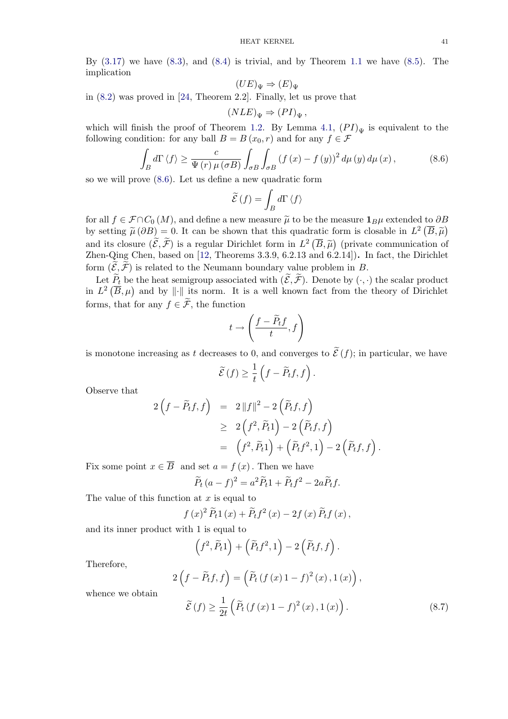<span id="page-40-0"></span>By  $(3.17)$  we have  $(8.3)$ , and  $(8.4)$  is trivial, and by Theorem 1.1 we have  $(8.5)$ . The implication

$$
(UE)_{\Psi} \Rightarrow (E)_{\Psi}
$$

in (8[.2\)](#page-17-0) [w](#page-17-0)as proved i[n](#page-39-0) [\[2](#page-39-0)4, The[orem](#page-39-0) 2.2]. Finally, let us prove th[at](#page-7-0)

$$
(NLE)_{\Psi} \Rightarrow (PI)_{\Psi},
$$

which will finish the proof of Theorem 1.2. By Lemma 4.1,  $(PI)_{\Psi}$  is equivalent to the foll[owi](#page-39-0)ng condition: fo[r an](#page-48-0)y ball  $B = B(x_0, r)$  and for any  $f \in \mathcal{F}$ 

$$
\int_{B} d\Gamma \langle f \rangle \geq \frac{c}{\Psi(r)\,\mu(\sigma B)} \int_{\sigma B} \int_{\sigma B} (f(x) - f(y))^{2} \, d\mu(y) \, d\mu(x), \tag{8.6}
$$

so we will prove (8.6). Let us define a new quadratic form

$$
\widetilde{\mathcal{E}}\left(f\right)=\int_{B}d\Gamma\left\langle f\right\rangle
$$

for all  $f \in \mathcal{F} \cap C_0(M)$ , and define a new measure  $\tilde{\mu}$  to be the measure  $1_B\mu$  extended to  $\partial B$ by setting  $\tilde{\mu}(\partial B) = 0$ . It can be shown that this quadratic form is closable in  $L^2(\overline{B}, \tilde{\mu})$ and its closure  $(\widetilde{\mathcal{E}}, \widetilde{\mathcal{F}})$  is a regular Dirichlet form in  $L^2(\overline{B}, \widetilde{\mu})$  (private communication of Zhen-Qing Chen, based on [12, Theorems 3.3.9, 6.2.13 and 6.2.14]). In fact, the Dirichlet form  $(\mathcal{E}, \mathcal{F})$  is related to the Neumann boundary value problem in B.

Let  $P_t$  be the heat semigroup associated with  $(\mathcal{E}, \mathcal{F})$ . Denote by  $(\cdot, \cdot)$  the scalar product in  $L^2(\overline{B},\mu)$  and by  $\|\cdot\|$  its [no](#page-47-0)rm. It is a well known fact from the theory of Dirichlet forms, that for any  $f \in \widetilde{\mathcal{F}}$ , the function

$$
t\to \left(\frac{f-\widetilde{P}_tf}{t},f\right)
$$

is monotone increasing as t decreases to 0, and converges to  $\mathcal{E}(f)$ ; in particular, we have

$$
\widetilde{\mathcal{E}}(f) \geq \frac{1}{t} \left( f - \widetilde{P}_t f, f \right).
$$

Observe that

$$
2\left(f - \widetilde{P}_t f, f\right) = 2\|f\|^2 - 2\left(\widetilde{P}_t f, f\right)
$$
  
\n
$$
\geq 2\left(f^2, \widetilde{P}_t 1\right) - 2\left(\widetilde{P}_t f, f\right)
$$
  
\n
$$
= \left(f^2, \widetilde{P}_t 1\right) + \left(\widetilde{P}_t f^2, 1\right) - 2\left(\widetilde{P}_t f, f\right).
$$

Fix some point  $x \in \overline{B}$  and set  $a = f(x)$ . Then we have

$$
\widetilde{P}_t (a - f)^2 = a^2 \widetilde{P}_t 1 + \widetilde{P}_t f^2 - 2a \widetilde{P}_t f.
$$

The value of this function at  $x$  is equal to

$$
f(x)^{2} \widetilde{P}_{t}1(x) + \widetilde{P}_{t}f^{2}(x) - 2f(x) \widetilde{P}_{t}f(x),
$$

and its inner product with 1 is equal to

$$
(\widehat{f}^2,\widetilde{P}_t 1) + (\widetilde{P}_t f^2,1) - 2(\widetilde{P}_t f,f).
$$

Therefore,

$$
2\left(f - \widetilde{P}_t f, f\right) = \left(\widetilde{P}_t \left(f\left(x\right)1 - f\right)^2 \left(x\right), 1\left(x\right)\right),
$$

whence we obtain

$$
\widetilde{\mathcal{E}}(f) \ge \frac{1}{2t} \left( \widetilde{P}_t \left( f \left( x \right) 1 - f \right)^2(x), 1 \left( x \right) \right). \tag{8.7}
$$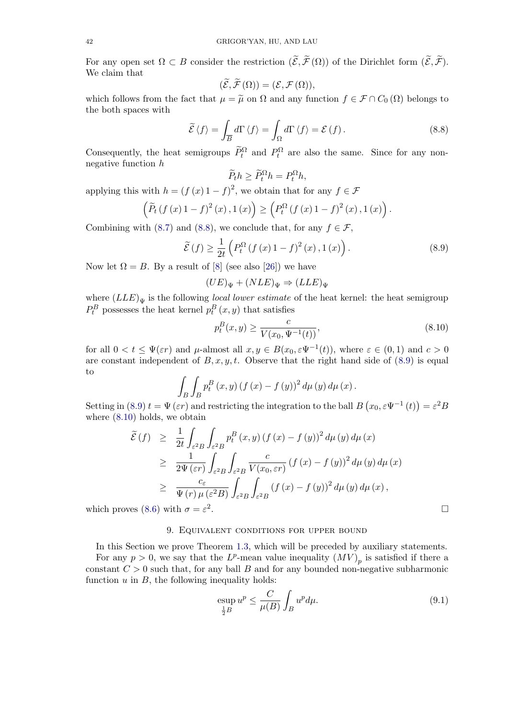<span id="page-41-0"></span>For any open set  $\Omega \subset B$  consider the restriction  $(\mathcal{E}, \mathcal{F}(\Omega))$  of the Dirichlet form  $(\mathcal{E}, \mathcal{F})$ . We claim that

$$
(\widetilde{\mathcal{E}}, \widetilde{\mathcal{F}}(\Omega)) = (\mathcal{E}, \mathcal{F}(\Omega)),
$$

which follows from the fact that  $\mu = \tilde{\mu}$  on  $\Omega$  and any function  $f \in \mathcal{F} \cap C_0(\Omega)$  belongs to the both spaces with

$$
\widetilde{\mathcal{E}}\langle f \rangle = \int_{\overline{B}} d\Gamma \langle f \rangle = \int_{\Omega} d\Gamma \langle f \rangle = \mathcal{E}(f). \tag{8.8}
$$

Consequently, the heat semigroups  $\tilde{P}_t^{\Omega}$  and  $P_t^{\Omega}$  are also the same. Since for any nonnegative function h

$$
\widetilde{P}_t h \ge \widetilde{P}_t^{\Omega} h = P_t^{\Omega} h,
$$

applying this with  $h = (f(x) 1 - f)^2$ , we obtain that for any  $f \in \mathcal{F}$ 

$$
\left(\widetilde{P}_t\left(f\left(x\right)1-f\right)^2(x),1\left(x\right)\right) \ge \left(P_t^{\Omega}\left(f\left(x\right)1-f\right)^2(x),1\left(x\right)\right).
$$

Combining with (8.7) and (8.8), we conclude that, for any  $f \in \mathcal{F}$ ,

$$
\widetilde{\mathcal{E}}(f) \ge \frac{1}{2t} \left( P_t^{\Omega} \left( f \left( x \right) 1 - f \right)^2(x), 1 \left( x \right) \right). \tag{8.9}
$$

Now let  $\Omega = B$ . [By a](#page-40-0) result of [8] (see also [26]) we have

$$
(UE)_{\Psi} + (NLE)_{\Psi} \Rightarrow (LLE)_{\Psi}
$$

where  $(LLE)_{\Psi}$  is the following *local lower estimate* of the heat kernel: the heat semigroup  $P_t^B$  possesses the heat kernel  $p_t^B(x, y)$  $p_t^B(x, y)$  $p_t^B(x, y)$  that [sat](#page-48-0)isfies

$$
p_t^B(x, y) \ge \frac{c}{V(x_0, \Psi^{-1}(t))},
$$
\n(8.10)

for all  $0 < t \leq \Psi(\varepsilon r)$  and  $\mu$ -almost all  $x, y \in B(x_0, \varepsilon \Psi^{-1}(t))$ , where  $\varepsilon \in (0, 1)$  and  $c > 0$ are constant independent of  $B, x, y, t$ . Observe that the right hand side of (8.9) is equal to

$$
\int_{B} \int_{B} p_{t}^{B} (x, y) (f (x) - f (y))^{2} d\mu (y) d\mu (x).
$$

Setting in (8.9)  $t = \Psi(\varepsilon r)$  and restricting the integration to the ball  $B(x_0, \varepsilon \Psi^{-1}(t)) = \varepsilon^2 B$ where (8.10) holds, we obtain

$$
\tilde{\mathcal{E}}(f) \geq \frac{1}{2t} \int_{\varepsilon^2 B} \int_{\varepsilon^2 B} p_t^B(x, y) (f(x) - f(y))^2 d\mu(y) d\mu(x)
$$
\n
$$
\geq \frac{1}{2\Psi(\varepsilon r)} \int_{\varepsilon^2 B} \int_{\varepsilon^2 B} \frac{c}{V(x_0, \varepsilon r)} (f(x) - f(y))^2 d\mu(y) d\mu(x)
$$
\n
$$
\geq \frac{c_{\varepsilon}}{\Psi(r)\mu(\varepsilon^2 B)} \int_{\varepsilon^2 B} \int_{\varepsilon^2 B} (f(x) - f(y))^2 d\mu(y) d\mu(x),
$$
\nwhich proves (8.6) with  $\sigma = \varepsilon^2$ .

## 9. Equivalent conditions for upper bound

In this Sect[ion](#page-40-0) we prove Theorem 1.3, which will be preceded by auxiliary statements.

For any  $p > 0$ , we say that the  $L^p$ -mean value inequality  $(MV)_p$  is satisfied if there a constant  $C > 0$  such that, for any ball B and for any bounded non-negative subharmonic function  $u$  in  $B$ , the following inequality holds:

$$
\sup_{\frac{1}{2}B} u^p \le \frac{C}{\mu(B)} \int_B u^p d\mu. \tag{9.1}
$$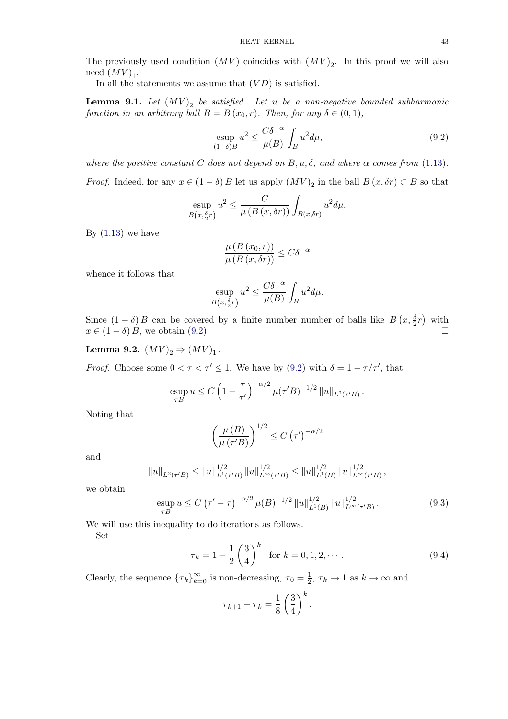<span id="page-42-0"></span>The previously used condition  $(MV)$  coincides with  $(MV)_{2}$ . In this proof we will also need  $(MV)_1$ .

In all the statements we assume that  $(VD)$  is satisfied.

**Lemma 9.1.** Let  $(MV)_{2}$  be satisfied. Let u be a non-negative bounded subharmonic function in an arbitrary ball  $B = B(x_0, r)$ . Then, for any  $\delta \in (0, 1)$ ,

$$
\underset{(1-\delta)B}{\text{exp}} u^2 \le \frac{C\delta^{-\alpha}}{\mu(B)} \int_B u^2 d\mu,\tag{9.2}
$$

where the positive constant C does not depend on  $B, u, \delta$ , and where  $\alpha$  comes from (1.13).

*Proof.* Indeed, for any  $x \in (1 - \delta) B$  let us apply  $(MV)_2$  in the ball  $B(x, \delta r) \subset B$  so that

$$
\sup_{B(x,\frac{\delta}{2}r)} u^2 \le \frac{C}{\mu(B(x,\delta r))} \int_{B(x,\delta r)} u^2 d\mu.
$$

By  $(1.13)$  we have

$$
\frac{\mu(B(x_0,r))}{\mu(B(x,\delta r))} \leq C\delta^{-\alpha}
$$

whe[nce i](#page-4-0)t follows that

$$
\sup_{B(x,\frac{\delta}{2}r)} u^2 \le \frac{C\delta^{-\alpha}}{\mu(B)} \int_B u^2 d\mu.
$$

Since  $(1 - \delta) B$  can be covered by a finite number number of balls like  $B(x, \frac{\delta}{2}r)$  with  $x \in (1 - \delta) B$ , we obtain (9.2)

Lemma 9.2.  $(MV)_2 \Rightarrow (MV)_1$ .

*Proof.* Choose some  $0 < \tau < \tau' \leq 1$ . We have by (9.2) with  $\delta = 1 - \tau/\tau'$ , that

$$
\sup_{\tau B} u \le C \left( 1 - \frac{\tau}{\tau'} \right)^{-\alpha/2} \mu(\tau' B)^{-1/2} ||u||_{L^2(\tau' B)}.
$$

Noting that

$$
\left(\frac{\mu(B)}{\mu(\tau' B)}\right)^{1/2} \leq C (\tau')^{-\alpha/2}
$$

and

$$
||u||_{L^{2}(\tau^{'}B)} \leq ||u||_{L^{1}(\tau^{'}B)}^{1/2} ||u||_{L^{\infty}(\tau^{'}B)}^{1/2} \leq ||u||_{L^{1}(B)}^{1/2} ||u||_{L^{\infty}(\tau^{'}B)}^{1/2},
$$

we obtain

$$
\sup_{\tau B} u \le C \left( \tau' - \tau \right)^{-\alpha/2} \mu(B)^{-1/2} \left\| u \right\|_{L^1(B)}^{1/2} \left\| u \right\|_{L^\infty(\tau' B)}^{1/2} . \tag{9.3}
$$

We will use this inequality to do iterations as follows.

Set

$$
\tau_k = 1 - \frac{1}{2} \left(\frac{3}{4}\right)^k \quad \text{for } k = 0, 1, 2, \cdots.
$$
 (9.4)

Clearly, the sequence  $\{\tau_k\}_{k=0}^{\infty}$  is non-decreasing,  $\tau_0 = \frac{1}{2}, \tau_k \to 1$  as  $k \to \infty$  and

$$
\tau_{k+1} - \tau_k = \frac{1}{8} \left(\frac{3}{4}\right)^k.
$$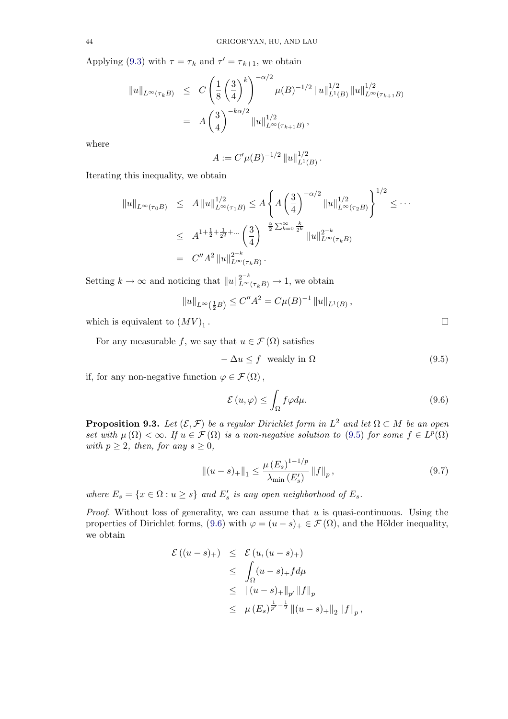<span id="page-43-0"></span>Applying (9.3) with  $\tau = \tau_k$  and  $\tau' = \tau_{k+1}$ , we obtain

$$
\|u\|_{L^{\infty}(\tau_{k}B)} \leq C \left(\frac{1}{8} \left(\frac{3}{4}\right)^{k}\right)^{-\alpha/2} \mu(B)^{-1/2} \|u\|_{L^{1}(B)}^{1/2} \|u\|_{L^{\infty}(\tau_{k+1}B)}^{1/2}
$$

$$
= A \left(\frac{3}{4}\right)^{-k\alpha/2} \|u\|_{L^{\infty}(\tau_{k+1}B)}^{1/2},
$$

where

$$
A := C'\mu(B)^{-1/2} ||u||_{L^1(B)}^{1/2}.
$$

Iterating this inequality, we obtain

$$
||u||_{L^{\infty}(\tau_{0}B)} \leq A ||u||_{L^{\infty}(\tau_{1}B)}^{1/2} \leq A \left\{ A \left(\frac{3}{4}\right)^{-\alpha/2} ||u||_{L^{\infty}(\tau_{2}B)}^{1/2} \right\}^{1/2} \leq \cdots
$$
  

$$
\leq A^{1+\frac{1}{2}+\frac{1}{2^{2}}+\cdots} \left(\frac{3}{4}\right)^{-\frac{\alpha}{2}\sum_{k=0}^{\infty}\frac{k}{2^{k}}} ||u||_{L^{\infty}(\tau_{k}B)}^{2-k}
$$
  

$$
= C'' A^{2} ||u||_{L^{\infty}(\tau_{k}B)}^{2-k}.
$$

Setting  $k \to \infty$  and noticing that  $||u||_{L^{\infty}(\tau_kB)}^{2^{-k}} \to 1$ , we obtain

$$
||u||_{L^{\infty}(\frac{1}{2}B)} \leq C''A^2 = C\mu(B)^{-1} ||u||_{L^1(B)},
$$

which is equivalent to  $(MV)_1$ .

For any measurable f, we say that  $u \in \mathcal{F}(\Omega)$  satisfies

$$
-\Delta u \le f \quad \text{weakly in } \Omega \tag{9.5}
$$

if, for any non-negative function  $\varphi \in \mathcal{F}(\Omega)$ ,

$$
\mathcal{E}\left(u,\varphi\right) \le \int_{\Omega} f\varphi d\mu. \tag{9.6}
$$

**Proposition 9.3.** Let  $(\mathcal{E}, \mathcal{F})$  be a regular Dirichlet form in  $L^2$  and let  $\Omega \subset M$  be an open set with  $\mu(\Omega) < \infty$ . If  $u \in \mathcal{F}(\Omega)$  is a non-negative solution to (9.5) for some  $f \in L^p(\Omega)$ with  $p \geq 2$ , then, for any  $s \geq 0$ ,

$$
\left\| (u-s)_+ \right\|_1 \le \frac{\mu \left( E_s \right)^{1-1/p}}{\lambda_{\min} \left( E_s' \right)} \left\| f \right\|_p, \tag{9.7}
$$

where  $E_s = \{x \in \Omega : u \ge s\}$  and  $E'_s$  is any open neighborhood of  $E_s$ .

*Proof.* Without loss of generality, we can assume that  $u$  is quasi-continuous. Using the properties of Dirichlet forms, (9.6) with  $\varphi = (u - s)_+ \in \mathcal{F}(\Omega)$ , and the Hölder inequality, we obtain

$$
\mathcal{E}((u-s)_+) \leq \mathcal{E}(u,(u-s)_+)
$$
  
\n
$$
\leq \int_{\Omega} (u-s)_+ f d\mu
$$
  
\n
$$
\leq ||(u-s)_+||_{p'} ||f||_p
$$
  
\n
$$
\leq \mu (E_s)^{\frac{1}{p'}-\frac{1}{2}} ||(u-s)_+||_2 ||f||_p,
$$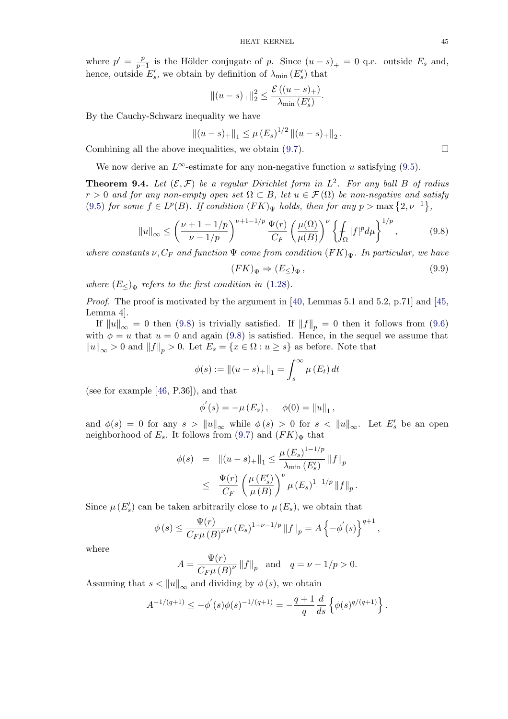<span id="page-44-0"></span>where  $p' = \frac{p}{p-1}$  is the Hölder conjugate of p. Since  $(u - s)_+ = 0$  q.e. outside  $E_s$  and, hence, outside  $E_s'$ , we obtain by definition of  $\lambda_{\min}(E_s')$  that

$$
||(u-s)_+||_2^2 \leq \frac{\mathcal{E}((u-s)_+)}{\lambda_{\min}(E'_s)}.
$$

By the Cauchy-Schwarz inequality we have

$$
||(u-s)_+||_1 \leq \mu (E_s)^{1/2} ||(u-s)_+||_2.
$$

Combining all the above inequalities, we obtain  $(9.7)$ .

We now derive an  $L^{\infty}$ -estimate for any non-negative function u satisfying (9.5).

**Theorem 9.4.** Let  $(\mathcal{E}, \mathcal{F})$  be a regular Dirichlet form in  $L^2$ . For any ball B of radius  $r > 0$  and for any non-empty open s[et](#page-43-0)  $\Omega \subset B$ , let  $u \in \mathcal{F}(\Omega)$  be non-negative and satisfy (9.5) for some  $f \in L^p(B)$ . If condition  $(FK)_{\Psi}$  holds, then for any  $p > \max\{2, \nu^{-1}\},$ 

$$
||u||_{\infty} \le \left(\frac{\nu+1-1/p}{\nu-1/p}\right)^{\nu+1-1/p} \frac{\Psi(r)}{C_F} \left(\frac{\mu(\Omega)}{\mu(B)}\right)^{\nu} \left\{\int_{\Omega} |f|^p d\mu\right\}^{1/p},\tag{9.8}
$$

[wher](#page-43-0)e constants  $\nu$ ,  $C_F$  and function  $\Psi$  come from condition  $(FK)_{\Psi}$ . In particular, we have

$$
(FK)_{\Psi} \Rightarrow (E_{\leq})_{\Psi}, \tag{9.9}
$$

where  $(E_{\leq})_{\Psi}$  refers to the first condition in (1.28).

*Proof.* The proof is motivated by the argument in [40, Lemmas 5.1 and 5.2, p.71] and [45, Lemma 4].

If  $||u||_{\infty} = 0$  then (9.8) is trivially satisfi[ed.](#page-8-0) If  $||f||_{p} = 0$  then it follows from (9.6) with  $\phi = u$  that  $u = 0$  and again (9.8) is satisfied. Hence, in the sequel we assume that  $||u||_{\infty} > 0$  and  $||f||_{p} > 0$ . Let  $E_s = \{x \in \Omega : u \geq s\}$  [as](#page-48-0) before. Note that

$$
\phi(s) := ||(u - s)_+||_1 = \int_s^\infty \mu(E_t) dt
$$

(see for example [46, P.36]), and that

$$
\phi'(s) = -\mu(E_s), \quad \phi(0) = ||u||_1,
$$

and  $\phi(s) = 0$  for any  $s > ||u||_{\infty}$  while  $\phi(s) > 0$  for  $s < ||u||_{\infty}$ . Let  $E'_s$  be an open neighborhood of  $E_s$  $E_s$ . It follows from (9.7) and  $(FK)_{\Psi}$  that

$$
\begin{array}{rcl}\n\phi(s) & = & \|(u-s)_+\|_1 \le \frac{\mu\left(E_s\right)^{1-1/p}}{\lambda_{\min}\left(E'_s\right)} \, \|f\|_p \\
& \le \frac{\Psi(r)}{C_F} \left(\frac{\mu\left(E'_s\right)}{\mu\left(B\right)}\right)^{\nu} \mu\left(E_s\right)^{1-1/p} \|f\|_p\,. \n\end{array}
$$

Since  $\mu(E_s)$  can be taken arbitrarily close to  $\mu(E_s)$ , we obtain that

$$
\phi(s) \le \frac{\Psi(r)}{C_F \mu(B)^{\nu}} \mu(E_s)^{1+\nu-1/p} ||f||_p = A \left\{-\phi'(s)\right\}^{q+1},
$$

where

$$
A = \frac{\Psi(r)}{C_F \mu(B)^{\nu}} \|f\|_p \text{ and } q = \nu - 1/p > 0.
$$

Assuming that  $s < ||u||_{\infty}$  and dividing by  $\phi(s)$ , we obtain

$$
A^{-1/(q+1)} \le -\phi'(s)\phi(s)^{-1/(q+1)} = -\frac{q+1}{q}\frac{d}{ds}\left\{\phi(s)^{q/(q+1)}\right\}.
$$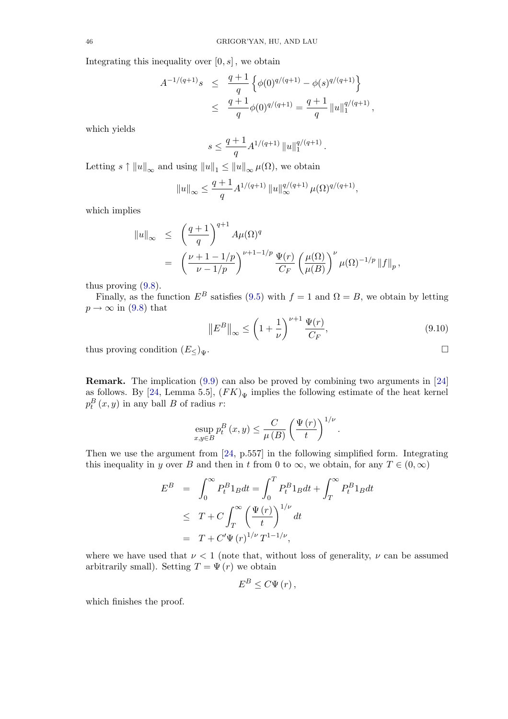Integrating this inequality over  $[0, s]$ , we obtain

$$
A^{-1/(q+1)}s \le \frac{q+1}{q} \left\{ \phi(0)^{q/(q+1)} - \phi(s)^{q/(q+1)} \right\}
$$
  

$$
\le \frac{q+1}{q} \phi(0)^{q/(q+1)} = \frac{q+1}{q} ||u||_1^{q/(q+1)},
$$

which yields

$$
s\leq \frac{q+1}{q}A^{1/(q+1)}\, \|u\|_1^{q/(q+1)}\,.
$$

Letting  $s \uparrow ||u||_{\infty}$  and using  $||u||_1 \leq ||u||_{\infty} \mu(\Omega)$ , we obtain

$$
||u||_{\infty} \le \frac{q+1}{q} A^{1/(q+1)} ||u||_{\infty}^{q/(q+1)} \mu(\Omega)^{q/(q+1)},
$$

which implies

$$
\|u\|_{\infty} \leq \left(\frac{q+1}{q}\right)^{q+1} A\mu(\Omega)^q
$$
  
= 
$$
\left(\frac{\nu+1-1/p}{\nu-1/p}\right)^{\nu+1-1/p} \frac{\Psi(r)}{C_F} \left(\frac{\mu(\Omega)}{\mu(B)}\right)^{\nu} \mu(\Omega)^{-1/p} \|f\|_p,
$$

thus proving (9.8).

Finally, as the function  $E^B$  satisfies (9.5) with  $f = 1$  and  $\Omega = B$ , we obtain by letting  $p \rightarrow \infty$  in (9.8) that

$$
\left\| E^{B} \right\|_{\infty} \le \left( 1 + \frac{1}{\nu} \right)^{\nu+1} \frac{\Psi(r)}{C_F},\tag{9.10}
$$

.

thus provi[ng c](#page-44-0)ondition  $(E_{\leq})_{\Psi}$ .

Remark. The implication (9.9) can also be proved by combining two arguments in [24] as follows. By [24, Lemma 5.5],  $(FK)_{\Psi}$  implies the following estimate of the heat kernel  $p_t^B(x, y)$  in any ball B of radius r:

$$
\sup_{x,y\in B} p_t^B(x,y) \le \frac{C}{\mu(B)} \left(\frac{\Psi(r)}{t}\right)^{1/\nu}
$$

Then we use the argument from [24, p.557] in the following simplified form. Integrating this inequality in y over B and then in t from 0 to  $\infty$ , we obtain, for any  $T \in (0, \infty)$ 

$$
E^{B} = \int_{0}^{\infty} P_{t}^{B} 1_{B} dt = \int_{0}^{T} P_{t}^{B} 1_{B} dt + \int_{T}^{\infty} P_{t}^{B} 1_{B} dt
$$
  
\n
$$
\leq T + C \int_{T}^{\infty} \left(\frac{\Psi(r)}{t}\right)^{1/\nu} dt
$$
  
\n
$$
= T + C' \Psi(r)^{1/\nu} T^{1-1/\nu},
$$

where we have used that  $\nu < 1$  (note that, without loss of generality,  $\nu$  can be assumed arbitrarily small). Setting  $T = \Psi(r)$  we obtain

$$
E^{B} \leq C \Psi(r) \,,
$$

which finishes the proof.

$$
\Box
$$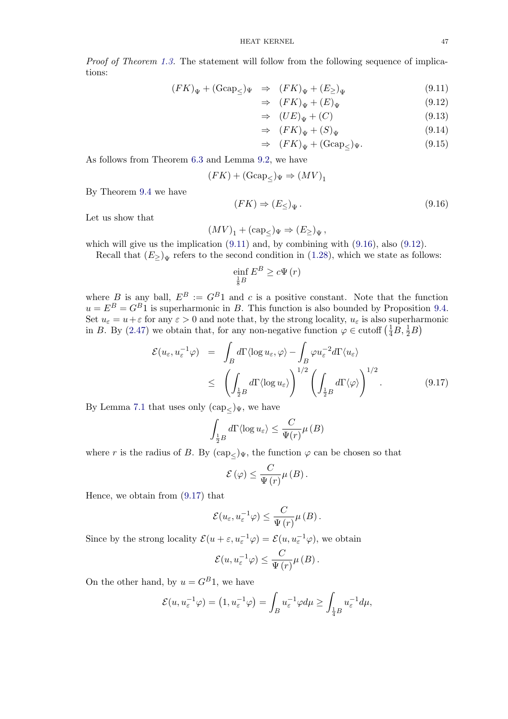<span id="page-46-0"></span>Proof of Theorem 1.3. The statement will follow from the following sequence of implications:

$$
(FK)_{\Psi} + (\text{Gcap}_{\leq})_{\Psi} \Rightarrow (FK)_{\Psi} + (E_{\geq})_{\Psi}
$$
\n
$$
(9.11)
$$

$$
\Rightarrow (FK)_{\Psi} + (E)_{\Psi} \tag{9.12}
$$

$$
\Rightarrow (UE)_{\Psi} + (C) \tag{9.13}
$$

$$
\Rightarrow (FK)_{\Psi} + (S)_{\Psi} \tag{9.14}
$$

$$
\Rightarrow (FK)_{\Psi} + (\text{Gcap}_{\leq})_{\Psi}.
$$
\n(9.15)

As follows from Theorem 6.3 and Lemma 9.2, we have

$$
(FK) + (\text{Gcap}_\leq)_{\Psi} \Rightarrow (MV)_1
$$

By Theorem 9.4 we have

$$
(FK) \Rightarrow (E_{\leq})_{\Psi}.
$$
\n
$$
(9.16)
$$

Let us show that

$$
(MV)_1 + (\text{cap}_{\leq})_{\Psi} \Rightarrow (E_{\geq})_{\Psi},
$$

which will give us the implication (9.11) and, by combining with (9.16), also (9.12).

Recall that  $(E_{\geq})_{\Psi}$  refers to the second condition in (1.28), which we state as follows:

$$
\underset{\frac{1}{8}B}{\text{einf}}\,E^B \geq c\Psi\left(r\right)
$$

where B is any ball,  $E^B := G^B1$  and c is a positive [const](#page-8-0)ant. Note that the function  $u = E^{B} = G^{B}$  is superharmonic in B. This function is also bounded by Proposition 9.4. Set  $u_{\varepsilon} = u + \varepsilon$  for any  $\varepsilon > 0$  and note that, by the strong locality,  $u_{\varepsilon}$  is also superharmonic in B. By (2.47) we obtain that, for any non-negative function  $\varphi \in \text{cutoff}\left(\frac{1}{4}B, \frac{1}{2}B\right)$ 

$$
\mathcal{E}(u_{\varepsilon}, u_{\varepsilon}^{-1}\varphi) = \int_{B} d\Gamma \langle \log u_{\varepsilon}, \varphi \rangle - \int_{B} \varphi u_{\varepsilon}^{-2} d\Gamma \langle u_{\varepsilon} \rangle
$$
  

$$
\leq \left( \int_{\frac{1}{2}B} d\Gamma \langle \log u_{\varepsilon} \rangle \right)^{1/2} \left( \int_{\frac{1}{2}B} d\Gamma \langle \varphi \rangle \right)^{1/2} .
$$
 (9.17)

By Lemma 7.1 that uses only  $(\text{cap}_{<})_{\Psi}$ , we have

$$
\int_{\frac{1}{2}B} d\Gamma \langle \log u_{\varepsilon} \rangle \leq \frac{C}{\Psi(r)} \mu (B)
$$

w[he](#page-29-0)re r is the radius of B. By  $(\text{cap}_{\leq})_{\Psi}$ , the function  $\varphi$  can be chosen so that

$$
\mathcal{E}(\varphi) \leq \frac{C}{\Psi(r)} \mu(B).
$$

Hence, we obtain from (9.17) that

$$
\mathcal{E}(u_{\varepsilon}, u_{\varepsilon}^{-1}\varphi) \leq \frac{C}{\Psi(r)}\mu(B).
$$

Since by the strong locality  $\mathcal{E}(u+\varepsilon, u_{\varepsilon}^{-1}\varphi) = \mathcal{E}(u, u_{\varepsilon}^{-1}\varphi)$ , we obtain

$$
\mathcal{E}(u, u_{\varepsilon}^{-1} \varphi) \leq \frac{C}{\Psi(r)} \mu(B).
$$

On the other hand, by  $u = G<sup>B</sup>1$ , we have

$$
\mathcal{E}(u, u_{\varepsilon}^{-1} \varphi) = \left(1, u_{\varepsilon}^{-1} \varphi\right) = \int_{B} u_{\varepsilon}^{-1} \varphi d\mu \ge \int_{\frac{1}{4}B} u_{\varepsilon}^{-1} d\mu,
$$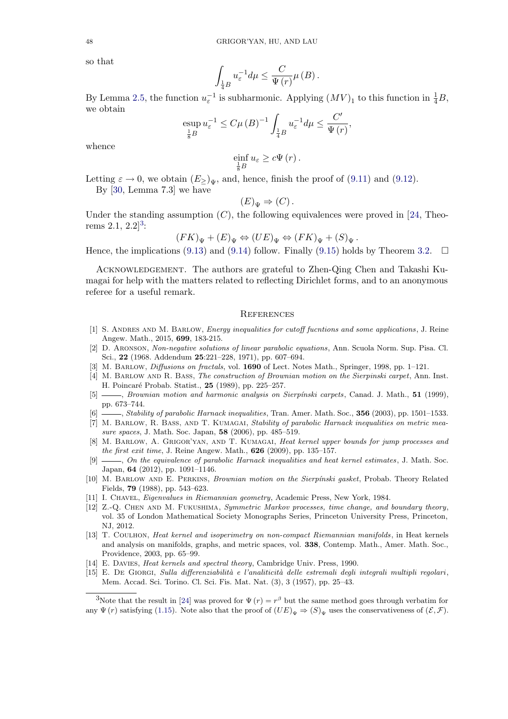<span id="page-47-0"></span>so that

$$
\int_{\frac{1}{4}B} u_{\varepsilon}^{-1} d\mu \leq \frac{C}{\Psi(r)} \mu(B).
$$

By Lemma 2.5, the function  $u_{\varepsilon}^{-1}$  is subharmonic. Applying  $(MV)_1$  to this function in  $\frac{1}{4}B$ , we obtain

$$
\operatorname*{\mathrm{exp}}_{\frac{1}{8}B} u_{\varepsilon}^{-1} \leq C\mu\left(B\right)^{-1} \int_{\frac{1}{4}B} u_{\varepsilon}^{-1} d\mu \leq \frac{C'}{\Psi\left(r\right)},
$$

whence

$$
\underset{\frac{1}{8}B}{\text{einf}} u_{\varepsilon} \geq c\Psi\left(r\right).
$$

Letting  $\varepsilon \to 0$ , we obtain  $(E_{\geq})_{\leq y}$ , and, hence, finish the proof of (9.11) and (9.12). By [30, Lemma 7.3] we have

$$
(E)_{\Psi} \Rightarrow (C).
$$

Under the standing assumption  $(C)$ , the following equivalences [were p](#page-46-0)roved [in \[2](#page-46-0)4, Theo-rems 2[.1,](#page-48-0)  $2.2$ <sup>3</sup>:

$$
(FK)_{\Psi} + (E)_{\Psi} \Leftrightarrow (UE)_{\Psi} \Leftrightarrow (FK)_{\Psi} + (S)_{\Psi}.
$$

Hence, the i[m](#page-48-0)plications (9.13) and (9.14) follow. Finally (9.15) holds by Theorem 3.2.  $\Box$ 

Acknowledgement. The authors are grateful to Zhen-Qing Chen and Takashi Kumagai for help with the matters related to reflecting Dirichlet forms, and to an anonymous referee for a useful rema[rk.](#page-46-0)

#### **REFERENCES**

- [1] S. Andres and M. Barlow, Energy inequalities for cutoff fucntions and some applications, J. Reine Angew. Math., 2015, 699, 183-215.
- [2] D. Aronson, Non-negative solutions of linear parabolic equations, Ann. Scuola Norm. Sup. Pisa. Cl. Sci., 22 (1968. Addendum 25:221–228, 1971), pp. 607–694.
- [3] M. Barlow, Diffusions on fractals, vol. 1690 of Lect. Notes Math., Springer, 1998, pp. 1–121.
- [4] M. Barlow and R. Bass, The construction of Brownian motion on the Sierpinski carpet, Ann. Inst. H. Poincar´e Probab. Statist., 25 (1989), pp. 225–257.
- [5] , Brownian motion and harmonic analysis on Sierpínski carpets, Canad. J. Math., 51 (1999), pp. 673–744.
- [6]  $\qquad \qquad$ , Stability of parabolic Harnack inequalities, Tran. Amer. Math. Soc., 356 (2003), pp. 1501–1533.
- [7] M. BARLOW, R. BASS, AND T. KUMAGAI, Stability of parabolic Harnack inequalities on metric measure spaces, J. Math. Soc. Japan, 58 (2006), pp. 485–519.
- [8] M. BARLOW, A. GRIGOR'YAN, AND T. KUMAGAI, Heat kernel upper bounds for jump processes and the first exit time, J. Reine Angew. Math.,  $626$  (2009), pp. 135–157.
- [9]  $\_\_\_\_\_$  On the equivalence of parabolic Harnack inequalities and heat kernel estimates, J. Math. Soc. Japan, 64 (2012), pp. 1091–1146.
- [10] M. BARLOW AND E. PERKINS, *Brownian motion on the Sierpínski gasket*, Probab. Theory Related Fields, 79 (1988), pp. 543–623.
- [11] I. Chavel, Eigenvalues in Riemannian geometry, Academic Press, New York, 1984.
- [12] Z.-Q. Chen and M. Fukushima, Symmetric Markov processes, time change, and boundary theory, vol. 35 of London Mathematical Society Monographs Series, Princeton University Press, Princeton, NJ, 2012.
- [13] T. Coulhon, Heat kernel and isoperimetry on non-compact Riemannian manifolds, in Heat kernels and analysis on manifolds, graphs, and metric spaces, vol. 338, Contemp. Math., Amer. Math. Soc., Providence, 2003, pp. 65–99.
- [14] E. DAVIES, *Heat kernels and spectral theory*, Cambridge Univ. Press, 1990.
- [15] E. DE GIORGI, Sulla differenziabilità e l'analiticità delle estremali degli integrali multipli regolari, Mem. Accad. Sci. Torino. Cl. Sci. Fis. Mat. Nat. (3), 3 (1957), pp. 25–43.

<sup>&</sup>lt;sup>3</sup>Note that the result in [24] was proved for  $\Psi(r) = r^{\beta}$  but the same method goes through verbatim for any  $\Psi(r)$  satisfying (1.15). Note also that the proof of  $(UE)_{\Psi} \Rightarrow (S)_{\Psi}$  uses the conservativeness of  $(\mathcal{E}, \mathcal{F})$ .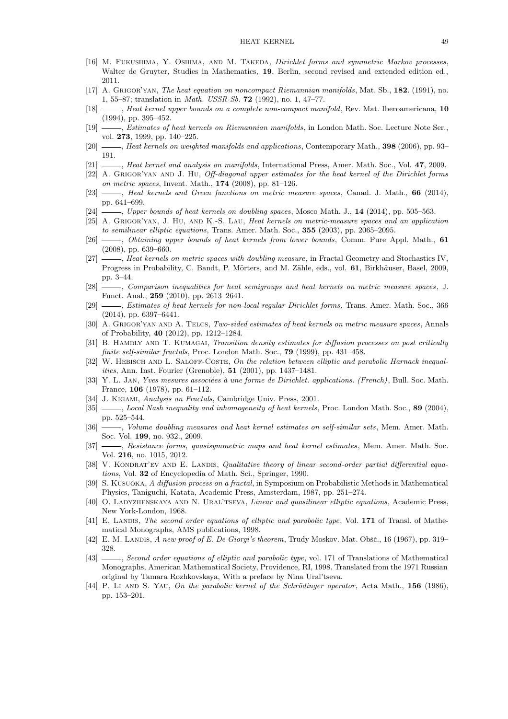- <span id="page-48-0"></span>[16] M. FUKUSHIMA, Y. OSHIMA, AND M. TAKEDA, *Dirichlet forms and symmetric Markov processes*, Walter de Gruyter, Studies in Mathematics, 19, Berlin, second revised and extended edition ed., 2011.
- [17] A. GRIGOR'YAN, The heat equation on noncompact Riemannian manifolds, Mat. Sb., 182. (1991), no. 1, 55–87; translation in Math. USSR-Sb. 72 (1992), no. 1, 47–77.
- [18]  $\qquad \qquad$ , Heat kernel upper bounds on a complete non-compact manifold, Rev. Mat. Iberoamericana, 10 (1994), pp. 395–452.
- [19]  $\_\_\_\_\$ . Estimates of heat kernels on Riemannian manifolds, in London Math. Soc. Lecture Note Ser., vol. 273, 1999, pp. 140–225.
- [20]  $\_\_\_\_\_\$  Heat kernels on weighted manifolds and applications, Contemporary Math., 398 (2006), pp. 93– 191.
- [21]  $\_\_\_\_\$ , Heat kernel and analysis on manifolds, International Press, Amer. Math. Soc., Vol. 47, 2009.
- [22] A. GRIGOR'YAN AND J. HU, Off-diagonal upper estimates for the heat kernel of the Dirichlet forms on metric spaces, Invent. Math., 174 (2008), pp. 81–126.
- [23] , Heat kernels and Green functions on metric measure spaces, Canad. J. Math., 66 (2014), pp. 641–699.
- [24] , Upper bounds of heat kernels on doubling spaces, Mosco Math. J., 14 (2014), pp. 505–563.
- [25] A. Grigor'yan, J. Hu, and K.-S. Lau, Heat kernels on metric-measure spaces and an application to semilinear elliptic equations, Trans. Amer. Math. Soc., 355 (2003), pp. 2065–2095.
- [26] , Obtaining upper bounds of heat kernels from lower bounds, Comm. Pure Appl. Math., 61 (2008), pp. 639–660.
- [27] , Heat kernels on metric spaces with doubling measure, in Fractal Geometry and Stochastics IV, Progress in Probability, C. Bandt, P. Mörters, and M. Zähle, eds., vol. 61, Birkhäuser, Basel, 2009, pp. 3–44.
- [28] Comparison inequalities for heat semigroups and heat kernels on metric measure spaces, J. Funct. Anal., 259 (2010), pp. 2613–2641.
- [29] , Estimates of heat kernels for non-local regular Dirichlet forms, Trans. Amer. Math. Soc., 366 (2014), pp. 6397–6441.
- [30] A. GRIGOR'YAN AND A. TELCS, Two-sided estimates of heat kernels on metric measure spaces, Annals of Probability, 40 (2012), pp. 1212–1284.
- [31] B. HAMBLY AND T. KUMAGAI, Transition density estimates for diffusion processes on post critically finite self-similar fractals, Proc. London Math. Soc., 79 (1999), pp. 431–458.
- [32] W. HEBISCH AND L. SALOFF-COSTE, On the relation between elliptic and parabolic Harnack inequalities, Ann. Inst. Fourier (Grenoble), 51 (2001), pp. 1437–1481.
- [33] Y. L. JAN, Yves mesures associées à une forme de Dirichlet. applications. (French), Bull. Soc. Math. France, 106 (1978), pp. 61–112.
- [34] J. KIGAMI, Analysis on Fractals, Cambridge Univ. Press, 2001.
- [35] , Local Nash inequality and inhomogeneity of heat kernels, Proc. London Math. Soc., 89 (2004), pp. 525–544.
- [36] , Volume doubling measures and heat kernel estimates on self-similar sets, Mem. Amer. Math. Soc. Vol. 199, no. 932., 2009.
- [37] , Resistance forms, quasisymmetric maps and heat kernel estimates, Mem. Amer. Math. Soc. Vol. 216, no. 1015, 2012.
- [38] V. KONDRAT'EV AND E. LANDIS, Qualitative theory of linear second-order partial differential equations, Vol. 32 of Encyclopedia of Math. Sci., Springer, 1990.
- S. KUSUOKA, A diffusion process on a fractal, in Symposium on Probabilistic Methods in Mathematical Physics, Taniguchi, Katata, Academic Press, Amsterdam, 1987, pp. 251–274.
- [40] O. LADYZHENSKAYA AND N. URAL'TSEVA, Linear and quasilinear elliptic equations, Academic Press, New York-London, 1968.
- [41] E. LANDIS, The second order equations of elliptic and parabolic type, Vol. 171 of Transl. of Mathematical Monographs, AMS publications, 1998.
- [42] E. M. Landis, A new proof of E. De Giorgi's theorem, Trudy Moskov. Mat. Obšč., 16 (1967), pp. 319– 328.
- [43]  $\_\_\_\_\_\_\_\_\_\_\.\$  Second order equations of elliptic and parabolic type, vol. 171 of Translations of Mathematical Monographs, American Mathematical Society, Providence, RI, 1998. Translated from the 1971 Russian original by Tamara Rozhkovskaya, With a preface by Nina Ural'tseva.
- [44] P. Li AND S. YAU, On the parabolic kernel of the Schrödinger operator, Acta Math., 156 (1986), pp. 153–201.